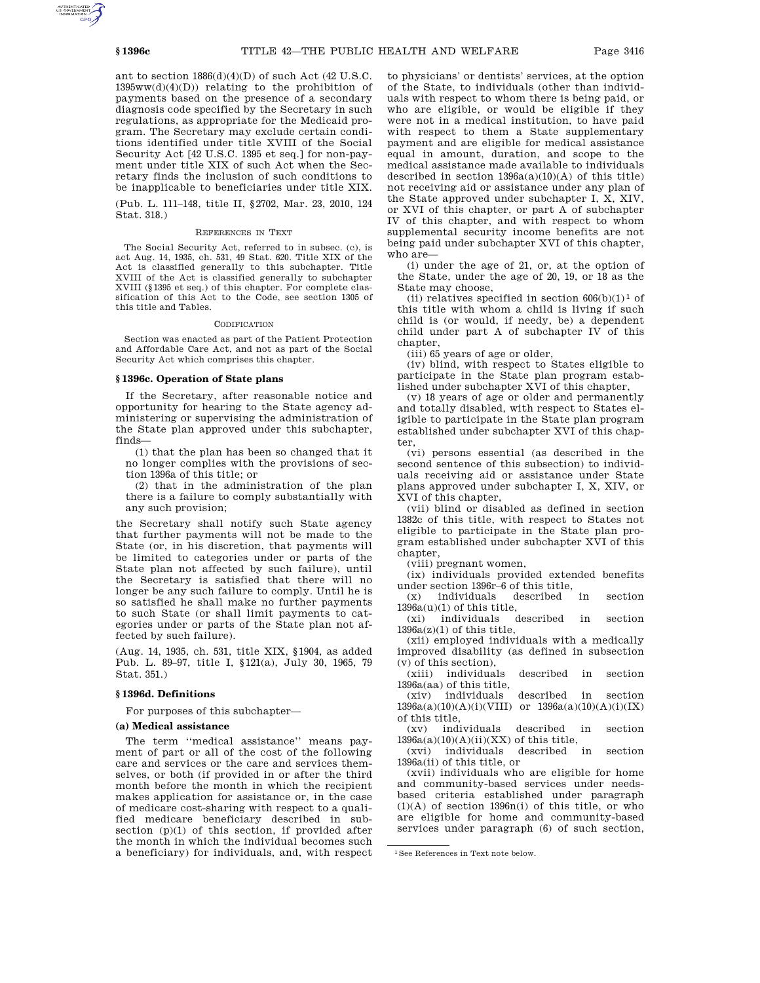ant to section 1886(d)(4)(D) of such Act (42 U.S.C.  $1395ww(d)(4)(D))$  relating to the prohibition of payments based on the presence of a secondary diagnosis code specified by the Secretary in such regulations, as appropriate for the Medicaid program. The Secretary may exclude certain conditions identified under title XVIII of the Social Security Act [42 U.S.C. 1395 et seq.] for non-payment under title XIX of such Act when the Secretary finds the inclusion of such conditions to be inapplicable to beneficiaries under title XIX.

(Pub. L. 111–148, title II, §2702, Mar. 23, 2010, 124 Stat. 318.)

## REFERENCES IN TEXT

The Social Security Act, referred to in subsec. (c), is act Aug. 14, 1935, ch. 531, 49 Stat. 620. Title XIX of the Act is classified generally to this subchapter. Title XVIII of the Act is classified generally to subchapter XVIII (§1395 et seq.) of this chapter. For complete classification of this Act to the Code, see section 1305 of this title and Tables.

## CODIFICATION

Section was enacted as part of the Patient Protection and Affordable Care Act, and not as part of the Social Security Act which comprises this chapter.

# **§ 1396c. Operation of State plans**

If the Secretary, after reasonable notice and opportunity for hearing to the State agency administering or supervising the administration of the State plan approved under this subchapter, finds—

(1) that the plan has been so changed that it no longer complies with the provisions of section 1396a of this title; or

(2) that in the administration of the plan there is a failure to comply substantially with any such provision;

the Secretary shall notify such State agency that further payments will not be made to the State (or, in his discretion, that payments will be limited to categories under or parts of the State plan not affected by such failure), until the Secretary is satisfied that there will no longer be any such failure to comply. Until he is so satisfied he shall make no further payments to such State (or shall limit payments to categories under or parts of the State plan not affected by such failure).

(Aug. 14, 1935, ch. 531, title XIX, §1904, as added Pub. L. 89–97, title I, §121(a), July 30, 1965, 79 Stat. 351.)

# **§ 1396d. Definitions**

For purposes of this subchapter—

# **(a) Medical assistance**

The term ''medical assistance'' means payment of part or all of the cost of the following care and services or the care and services themselves, or both (if provided in or after the third month before the month in which the recipient makes application for assistance or, in the case of medicare cost-sharing with respect to a qualified medicare beneficiary described in subsection (p)(1) of this section, if provided after the month in which the individual becomes such a beneficiary) for individuals, and, with respect to physicians' or dentists' services, at the option of the State, to individuals (other than individuals with respect to whom there is being paid, or who are eligible, or would be eligible if they were not in a medical institution, to have paid with respect to them a State supplementary payment and are eligible for medical assistance equal in amount, duration, and scope to the medical assistance made available to individuals described in section  $1396a(a)(10)(A)$  of this title) not receiving aid or assistance under any plan of the State approved under subchapter I, X, XIV, or XVI of this chapter, or part A of subchapter IV of this chapter, and with respect to whom supplemental security income benefits are not being paid under subchapter XVI of this chapter, who are—

(i) under the age of 21, or, at the option of the State, under the age of 20, 19, or 18 as the State may choose,

(ii) relatives specified in section  $606(b)(1)^1$  of this title with whom a child is living if such child is (or would, if needy, be) a dependent child under part A of subchapter IV of this chapter,

(iii) 65 years of age or older,

(iv) blind, with respect to States eligible to participate in the State plan program established under subchapter XVI of this chapter,

(v) 18 years of age or older and permanently and totally disabled, with respect to States eligible to participate in the State plan program established under subchapter XVI of this chapter,

(vi) persons essential (as described in the second sentence of this subsection) to individuals receiving aid or assistance under State plans approved under subchapter I, X, XIV, or XVI of this chapter,

(vii) blind or disabled as defined in section 1382c of this title, with respect to States not eligible to participate in the State plan program established under subchapter XVI of this chapter,

(viii) pregnant women,

(ix) individuals provided extended benefits under section 1396r–6 of this title,

(x) individuals described in section  $1396a(u)(1)$  of this title,

(xi) individuals described in section  $1396a(z)(1)$  of this title,

(xii) employed individuals with a medically improved disability (as defined in subsection (v) of this section),

(xiii) individuals described in section 1396a(aa) of this title,

(xiv) individuals described in section 1396a(a)(10)(A)(i)(VIII) or 1396a(a)(10)(A)(i)(IX) of this title,<br>(xv) individuals

(xv) individuals described in section  $1396a(a)(10)(A)(ii)(XX)$  of this title,

(xvi) individuals described in section 1396a(ii) of this title, or

(xvii) individuals who are eligible for home and community-based services under needsbased criteria established under paragraph  $(1)(A)$  of section 1396 $n(i)$  of this title, or who are eligible for home and community-based services under paragraph (6) of such section,

<sup>1</sup>See References in Text note below.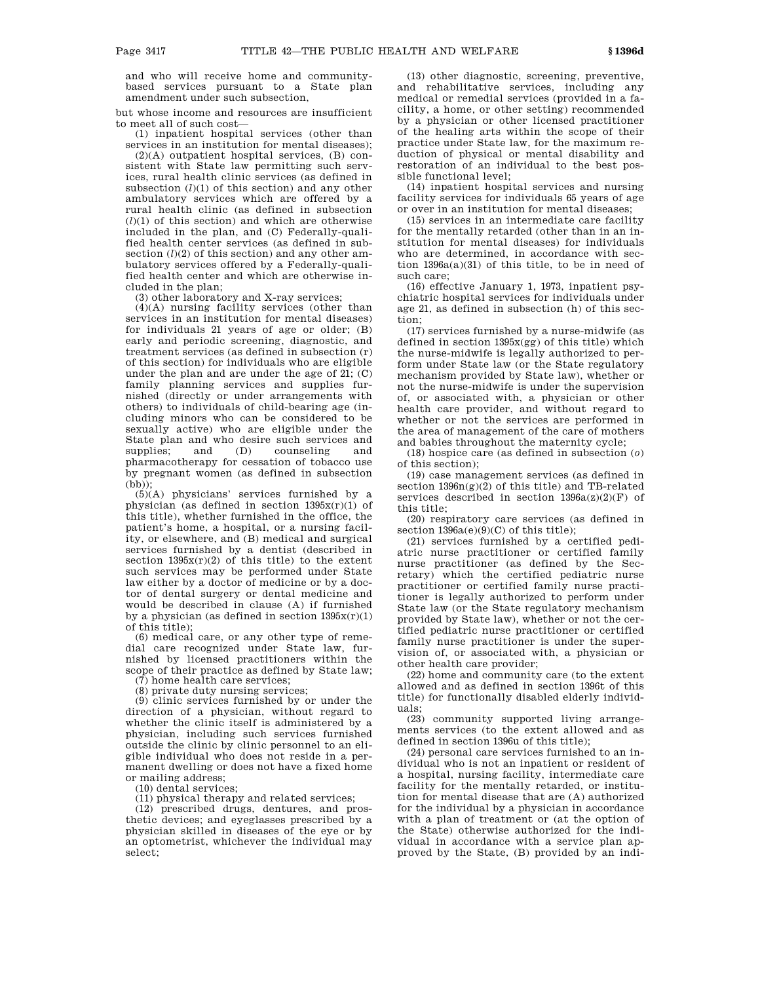and who will receive home and communitybased services pursuant to a State plan amendment under such subsection,

but whose income and resources are insufficient to meet all of such cost—

(1) inpatient hospital services (other than services in an institution for mental diseases);

(2)(A) outpatient hospital services, (B) consistent with State law permitting such services, rural health clinic services (as defined in subsection  $(l)(1)$  of this section) and any other ambulatory services which are offered by a rural health clinic (as defined in subsection (*l*)(1) of this section) and which are otherwise included in the plan, and (C) Federally-qualified health center services (as defined in subsection  $(l)(2)$  of this section) and any other ambulatory services offered by a Federally-qualified health center and which are otherwise included in the plan;

(3) other laboratory and X-ray services;

(4)(A) nursing facility services (other than services in an institution for mental diseases) for individuals 21 years of age or older; (B) early and periodic screening, diagnostic, and treatment services (as defined in subsection (r) of this section) for individuals who are eligible under the plan and are under the age of 21; (C) family planning services and supplies furnished (directly or under arrangements with others) to individuals of child-bearing age (including minors who can be considered to be sexually active) who are eligible under the State plan and who desire such services and<br>supplies; and (D) counseling and supplies; and (D) counseling and pharmacotherapy for cessation of tobacco use by pregnant women (as defined in subsection (bb));

 $(5)(A)$  physicians' services furnished by a physician (as defined in section  $1395x(r)(1)$  of this title), whether furnished in the office, the patient's home, a hospital, or a nursing facility, or elsewhere, and (B) medical and surgical services furnished by a dentist (described in section  $1395x(r)(2)$  of this title) to the extent such services may be performed under State law either by a doctor of medicine or by a doctor of dental surgery or dental medicine and would be described in clause (A) if furnished by a physician (as defined in section  $1395x(r)(1)$ of this title);

(6) medical care, or any other type of remedial care recognized under State law, furnished by licensed practitioners within the scope of their practice as defined by State law;

(7) home health care services;

(8) private duty nursing services; (9) clinic services furnished by or under the

direction of a physician, without regard to whether the clinic itself is administered by a physician, including such services furnished outside the clinic by clinic personnel to an eligible individual who does not reside in a permanent dwelling or does not have a fixed home or mailing address;

(10) dental services;

(11) physical therapy and related services;

(12) prescribed drugs, dentures, and prosthetic devices; and eyeglasses prescribed by a physician skilled in diseases of the eye or by an optometrist, whichever the individual may select;

(13) other diagnostic, screening, preventive, and rehabilitative services, including any medical or remedial services (provided in a facility, a home, or other setting) recommended by a physician or other licensed practitioner of the healing arts within the scope of their practice under State law, for the maximum reduction of physical or mental disability and restoration of an individual to the best possible functional level;

(14) inpatient hospital services and nursing facility services for individuals 65 years of age or over in an institution for mental diseases;

(15) services in an intermediate care facility for the mentally retarded (other than in an institution for mental diseases) for individuals who are determined, in accordance with section  $1396a(a)(31)$  of this title, to be in need of such care;

(16) effective January 1, 1973, inpatient psychiatric hospital services for individuals under age 21, as defined in subsection (h) of this section;

(17) services furnished by a nurse-midwife (as defined in section 1395x(gg) of this title) which the nurse-midwife is legally authorized to perform under State law (or the State regulatory mechanism provided by State law), whether or not the nurse-midwife is under the supervision of, or associated with, a physician or other health care provider, and without regard to whether or not the services are performed in the area of management of the care of mothers and babies throughout the maternity cycle;

(18) hospice care (as defined in subsection (*o*) of this section);

(19) case management services (as defined in section  $1396n(g)(2)$  of this title) and TB-related services described in section  $1396a(z)(2)(F)$  of this title;

(20) respiratory care services (as defined in section  $1396a(e)(9)(C)$  of this title);

(21) services furnished by a certified pediatric nurse practitioner or certified family nurse practitioner (as defined by the Secretary) which the certified pediatric nurse practitioner or certified family nurse practitioner is legally authorized to perform under State law (or the State regulatory mechanism provided by State law), whether or not the certified pediatric nurse practitioner or certified family nurse practitioner is under the supervision of, or associated with, a physician or other health care provider;

(22) home and community care (to the extent allowed and as defined in section 1396t of this title) for functionally disabled elderly individuals;

(23) community supported living arrangements services (to the extent allowed and as defined in section 1396u of this title);

(24) personal care services furnished to an individual who is not an inpatient or resident of a hospital, nursing facility, intermediate care facility for the mentally retarded, or institution for mental disease that are (A) authorized for the individual by a physician in accordance with a plan of treatment or (at the option of the State) otherwise authorized for the individual in accordance with a service plan approved by the State, (B) provided by an indi-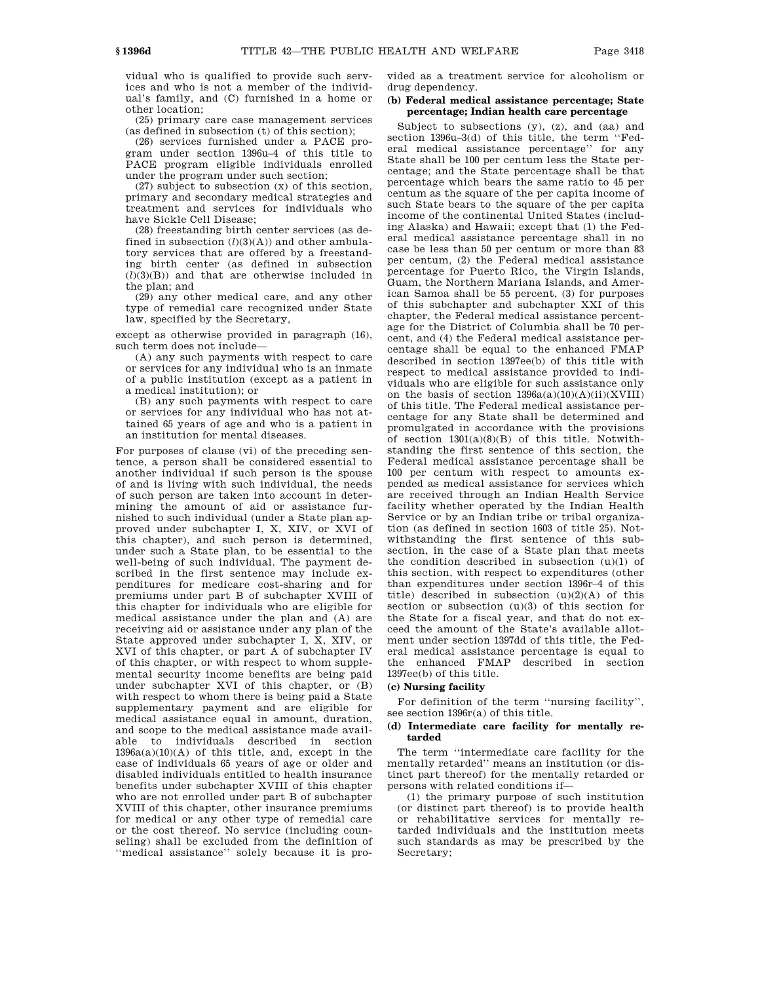vidual who is qualified to provide such services and who is not a member of the individual's family, and (C) furnished in a home or other location;

(25) primary care case management services (as defined in subsection (t) of this section);

(26) services furnished under a PACE program under section 1396u–4 of this title to PACE program eligible individuals enrolled under the program under such section;

(27) subject to subsection (x) of this section, primary and secondary medical strategies and treatment and services for individuals who have Sickle Cell Disease;

(28) freestanding birth center services (as defined in subsection  $(l)(3)(A)$  and other ambulatory services that are offered by a freestanding birth center (as defined in subsection (*l*)(3)(B)) and that are otherwise included in the plan; and

(29) any other medical care, and any other type of remedial care recognized under State law, specified by the Secretary,

except as otherwise provided in paragraph (16), such term does not include—

(A) any such payments with respect to care or services for any individual who is an inmate of a public institution (except as a patient in a medical institution); or

(B) any such payments with respect to care or services for any individual who has not attained 65 years of age and who is a patient in an institution for mental diseases.

For purposes of clause (vi) of the preceding sentence, a person shall be considered essential to another individual if such person is the spouse of and is living with such individual, the needs of such person are taken into account in determining the amount of aid or assistance furnished to such individual (under a State plan approved under subchapter I, X, XIV, or XVI of this chapter), and such person is determined, under such a State plan, to be essential to the well-being of such individual. The payment described in the first sentence may include expenditures for medicare cost-sharing and for premiums under part B of subchapter XVIII of this chapter for individuals who are eligible for medical assistance under the plan and (A) are receiving aid or assistance under any plan of the State approved under subchapter I, X, XIV, or XVI of this chapter, or part A of subchapter IV of this chapter, or with respect to whom supplemental security income benefits are being paid under subchapter XVI of this chapter, or (B) with respect to whom there is being paid a State supplementary payment and are eligible for medical assistance equal in amount, duration, and scope to the medical assistance made available to individuals described in section  $1396a(a)(10)(A)$  of this title, and, except in the case of individuals 65 years of age or older and disabled individuals entitled to health insurance benefits under subchapter XVIII of this chapter who are not enrolled under part B of subchapter XVIII of this chapter, other insurance premiums for medical or any other type of remedial care or the cost thereof. No service (including counseling) shall be excluded from the definition of ''medical assistance'' solely because it is provided as a treatment service for alcoholism or drug dependency.

# **(b) Federal medical assistance percentage; State percentage; Indian health care percentage**

Subject to subsections (y), (z), and (aa) and section 1396u–3(d) of this title, the term ''Federal medical assistance percentage'' for any State shall be 100 per centum less the State percentage; and the State percentage shall be that percentage which bears the same ratio to 45 per centum as the square of the per capita income of such State bears to the square of the per capita income of the continental United States (including Alaska) and Hawaii; except that (1) the Federal medical assistance percentage shall in no case be less than 50 per centum or more than 83 per centum, (2) the Federal medical assistance percentage for Puerto Rico, the Virgin Islands, Guam, the Northern Mariana Islands, and American Samoa shall be 55 percent, (3) for purposes of this subchapter and subchapter XXI of this chapter, the Federal medical assistance percentage for the District of Columbia shall be 70 percent, and (4) the Federal medical assistance percentage shall be equal to the enhanced FMAP described in section 1397ee(b) of this title with respect to medical assistance provided to individuals who are eligible for such assistance only on the basis of section  $1396a(a)(10)(A)(ii)(XVIII)$ of this title. The Federal medical assistance percentage for any State shall be determined and promulgated in accordance with the provisions of section  $1301(a)(8)(B)$  of this title. Notwithstanding the first sentence of this section, the Federal medical assistance percentage shall be 100 per centum with respect to amounts expended as medical assistance for services which are received through an Indian Health Service facility whether operated by the Indian Health Service or by an Indian tribe or tribal organization (as defined in section 1603 of title 25). Notwithstanding the first sentence of this subsection, in the case of a State plan that meets the condition described in subsection (u)(1) of this section, with respect to expenditures (other than expenditures under section 1396r–4 of this title) described in subsection  $(u)(2)(A)$  of this section or subsection  $(u)(3)$  of this section for the State for a fiscal year, and that do not exceed the amount of the State's available allotment under section 1397dd of this title, the Federal medical assistance percentage is equal to the enhanced FMAP described in section 1397ee(b) of this title.

### **(c) Nursing facility**

For definition of the term ''nursing facility'', see section 1396r(a) of this title.

## **(d) Intermediate care facility for mentally retarded**

The term ''intermediate care facility for the mentally retarded'' means an institution (or distinct part thereof) for the mentally retarded or persons with related conditions if—

(1) the primary purpose of such institution (or distinct part thereof) is to provide health or rehabilitative services for mentally retarded individuals and the institution meets such standards as may be prescribed by the Secretary;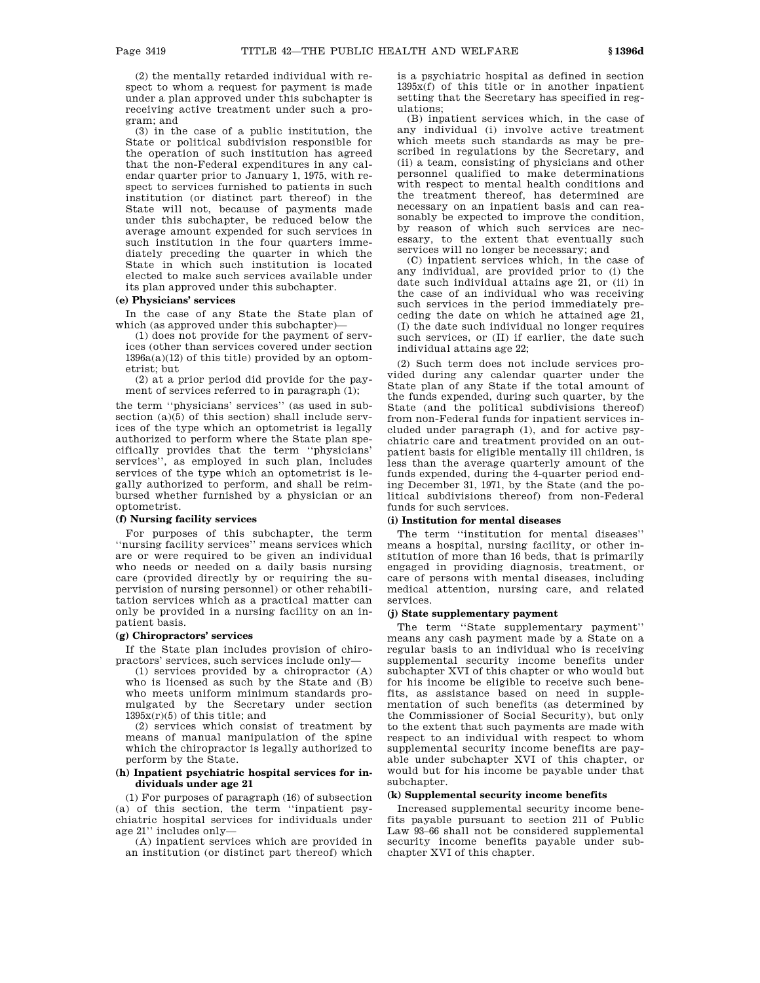(2) the mentally retarded individual with respect to whom a request for payment is made under a plan approved under this subchapter is receiving active treatment under such a program; and

(3) in the case of a public institution, the State or political subdivision responsible for the operation of such institution has agreed that the non-Federal expenditures in any calendar quarter prior to January 1, 1975, with respect to services furnished to patients in such institution (or distinct part thereof) in the State will not, because of payments made under this subchapter, be reduced below the average amount expended for such services in such institution in the four quarters immediately preceding the quarter in which the State in which such institution is located elected to make such services available under its plan approved under this subchapter.

## **(e) Physicians' services**

In the case of any State the State plan of which (as approved under this subchapter)-

(1) does not provide for the payment of services (other than services covered under section  $1396a(a)(12)$  of this title) provided by an optometrist; but

(2) at a prior period did provide for the payment of services referred to in paragraph (1);

the term ''physicians' services'' (as used in subsection (a)(5) of this section) shall include services of the type which an optometrist is legally authorized to perform where the State plan specifically provides that the term ''physicians' services'', as employed in such plan, includes services of the type which an optometrist is legally authorized to perform, and shall be reimbursed whether furnished by a physician or an optometrist.

## **(f) Nursing facility services**

For purposes of this subchapter, the term ''nursing facility services'' means services which are or were required to be given an individual who needs or needed on a daily basis nursing care (provided directly by or requiring the supervision of nursing personnel) or other rehabilitation services which as a practical matter can only be provided in a nursing facility on an inpatient basis.

# **(g) Chiropractors' services**

If the State plan includes provision of chiropractors' services, such services include only—

(1) services provided by a chiropractor (A) who is licensed as such by the State and (B) who meets uniform minimum standards promulgated by the Secretary under section  $1395x(r)(5)$  of this title; and

(2) services which consist of treatment by means of manual manipulation of the spine which the chiropractor is legally authorized to perform by the State.

# **(h) Inpatient psychiatric hospital services for individuals under age 21**

(1) For purposes of paragraph (16) of subsection (a) of this section, the term ''inpatient psychiatric hospital services for individuals under age 21'' includes only—

(A) inpatient services which are provided in an institution (or distinct part thereof) which is a psychiatric hospital as defined in section 1395x(f) of this title or in another inpatient setting that the Secretary has specified in regulations;

(B) inpatient services which, in the case of any individual (i) involve active treatment which meets such standards as may be prescribed in regulations by the Secretary, and (ii) a team, consisting of physicians and other personnel qualified to make determinations with respect to mental health conditions and the treatment thereof, has determined are necessary on an inpatient basis and can reasonably be expected to improve the condition, by reason of which such services are necessary, to the extent that eventually such services will no longer be necessary; and

(C) inpatient services which, in the case of any individual, are provided prior to (i) the date such individual attains age 21, or (ii) in the case of an individual who was receiving such services in the period immediately preceding the date on which he attained age 21, (I) the date such individual no longer requires such services, or (II) if earlier, the date such individual attains age 22;

(2) Such term does not include services provided during any calendar quarter under the State plan of any State if the total amount of the funds expended, during such quarter, by the State (and the political subdivisions thereof) from non-Federal funds for inpatient services included under paragraph (1), and for active psychiatric care and treatment provided on an outpatient basis for eligible mentally ill children, is less than the average quarterly amount of the funds expended, during the 4-quarter period ending December 31, 1971, by the State (and the political subdivisions thereof) from non-Federal funds for such services.

## **(i) Institution for mental diseases**

The term ''institution for mental diseases'' means a hospital, nursing facility, or other institution of more than 16 beds, that is primarily engaged in providing diagnosis, treatment, or care of persons with mental diseases, including medical attention, nursing care, and related services.

## **(j) State supplementary payment**

The term ''State supplementary payment'' means any cash payment made by a State on a regular basis to an individual who is receiving supplemental security income benefits under subchapter XVI of this chapter or who would but for his income be eligible to receive such benefits, as assistance based on need in supplementation of such benefits (as determined by the Commissioner of Social Security), but only to the extent that such payments are made with respect to an individual with respect to whom supplemental security income benefits are payable under subchapter XVI of this chapter, or would but for his income be payable under that subchapter.

### **(k) Supplemental security income benefits**

Increased supplemental security income benefits payable pursuant to section 211 of Public Law 93–66 shall not be considered supplemental security income benefits payable under subchapter XVI of this chapter.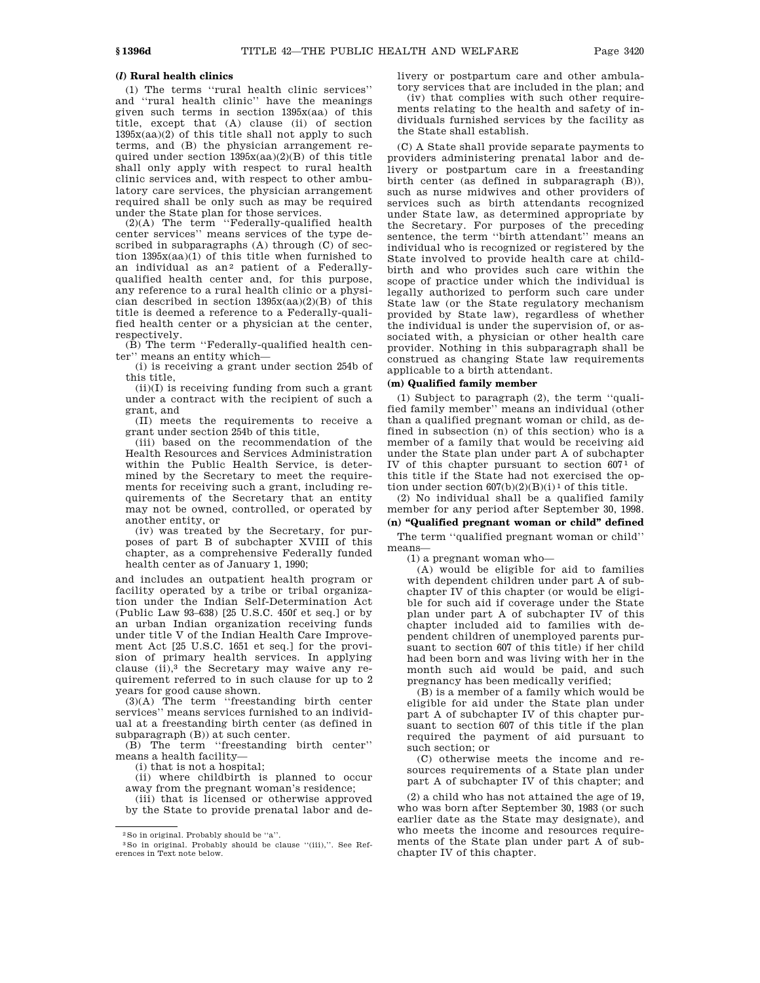# **(***l***) Rural health clinics**

(1) The terms ''rural health clinic services'' and ''rural health clinic'' have the meanings given such terms in section 1395x(aa) of this title, except that (A) clause (ii) of section  $1395x(aa)(2)$  of this title shall not apply to such terms, and (B) the physician arrangement required under section 1395x(aa)(2)(B) of this title shall only apply with respect to rural health clinic services and, with respect to other ambulatory care services, the physician arrangement required shall be only such as may be required under the State plan for those services.

(2)(A) The term ''Federally-qualified health center services'' means services of the type described in subparagraphs (A) through (C) of section  $1395x(aa)(1)$  of this title when furnished to an individual as an2 patient of a Federallyqualified health center and, for this purpose, any reference to a rural health clinic or a physician described in section  $1395x(aa)(2)(B)$  of this title is deemed a reference to a Federally-qualified health center or a physician at the center, respectively.

(B) The term ''Federally-qualified health center'' means an entity which—

(i) is receiving a grant under section 254b of this title,

(ii)(I) is receiving funding from such a grant under a contract with the recipient of such a grant, and

(II) meets the requirements to receive a grant under section 254b of this title,

(iii) based on the recommendation of the Health Resources and Services Administration within the Public Health Service, is determined by the Secretary to meet the requirements for receiving such a grant, including requirements of the Secretary that an entity may not be owned, controlled, or operated by another entity, or

(iv) was treated by the Secretary, for purposes of part B of subchapter XVIII of this chapter, as a comprehensive Federally funded health center as of January 1, 1990;

and includes an outpatient health program or facility operated by a tribe or tribal organization under the Indian Self-Determination Act (Public Law 93–638) [25 U.S.C. 450f et seq.] or by an urban Indian organization receiving funds under title V of the Indian Health Care Improvement Act [25 U.S.C. 1651 et seq.] for the provision of primary health services. In applying clause (ii),3 the Secretary may waive any requirement referred to in such clause for up to 2 years for good cause shown.

(3)(A) The term ''freestanding birth center services'' means services furnished to an individual at a freestanding birth center (as defined in subparagraph (B)) at such center.

(B) The term ''freestanding birth center'' means a health facility—

(i) that is not a hospital;

(ii) where childbirth is planned to occur away from the pregnant woman's residence;

(iii) that is licensed or otherwise approved by the State to provide prenatal labor and delivery or postpartum care and other ambulatory services that are included in the plan; and

(iv) that complies with such other requirements relating to the health and safety of individuals furnished services by the facility as the State shall establish.

(C) A State shall provide separate payments to providers administering prenatal labor and delivery or postpartum care in a freestanding birth center (as defined in subparagraph (B)), such as nurse midwives and other providers of services such as birth attendants recognized under State law, as determined appropriate by the Secretary. For purposes of the preceding sentence, the term ''birth attendant'' means an individual who is recognized or registered by the State involved to provide health care at childbirth and who provides such care within the scope of practice under which the individual is legally authorized to perform such care under State law (or the State regulatory mechanism provided by State law), regardless of whether the individual is under the supervision of, or associated with, a physician or other health care provider. Nothing in this subparagraph shall be construed as changing State law requirements applicable to a birth attendant.

# **(m) Qualified family member**

(1) Subject to paragraph (2), the term ''qualified family member'' means an individual (other than a qualified pregnant woman or child, as defined in subsection (n) of this section) who is a member of a family that would be receiving aid under the State plan under part A of subchapter IV of this chapter pursuant to section  $607<sup>1</sup>$  of this title if the State had not exercised the option under section  $607(b)(2)(B)(i)^1$  of this title.

(2) No individual shall be a qualified family member for any period after September 30, 1998.

**(n) ''Qualified pregnant woman or child'' defined**

The term ''qualified pregnant woman or child'' means—

(1) a pregnant woman who—

(A) would be eligible for aid to families with dependent children under part A of subchapter IV of this chapter (or would be eligible for such aid if coverage under the State plan under part A of subchapter IV of this chapter included aid to families with dependent children of unemployed parents pursuant to section 607 of this title) if her child had been born and was living with her in the month such aid would be paid, and such pregnancy has been medically verified;

(B) is a member of a family which would be eligible for aid under the State plan under part A of subchapter IV of this chapter pursuant to section 607 of this title if the plan required the payment of aid pursuant to such section; or

(C) otherwise meets the income and resources requirements of a State plan under part A of subchapter IV of this chapter; and

(2) a child who has not attained the age of 19, who was born after September 30, 1983 (or such earlier date as the State may designate), and who meets the income and resources requirements of the State plan under part A of subchapter IV of this chapter.

<sup>2</sup>So in original. Probably should be ''a''.

<sup>3</sup>So in original. Probably should be clause ''(iii),''. See References in Text note below.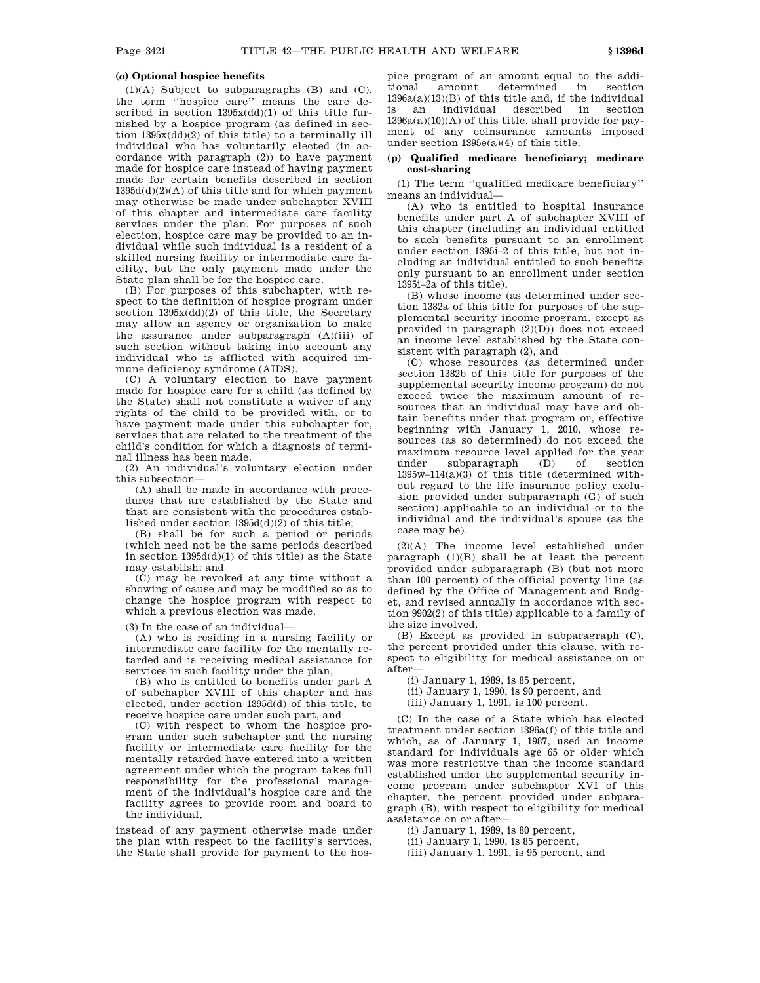# **(***o***) Optional hospice benefits**

(1)(A) Subject to subparagraphs (B) and (C), the term ''hospice care'' means the care described in section 1395x(dd)(1) of this title furnished by a hospice program (as defined in section 1395x(dd)(2) of this title) to a terminally ill individual who has voluntarily elected (in accordance with paragraph (2)) to have payment made for hospice care instead of having payment made for certain benefits described in section  $1395d(d)(2)(A)$  of this title and for which payment may otherwise be made under subchapter XVIII of this chapter and intermediate care facility services under the plan. For purposes of such election, hospice care may be provided to an individual while such individual is a resident of a skilled nursing facility or intermediate care facility, but the only payment made under the State plan shall be for the hospice care.

(B) For purposes of this subchapter, with respect to the definition of hospice program under section  $1395x(dd)(2)$  of this title, the Secretary may allow an agency or organization to make the assurance under subparagraph (A)(iii) of such section without taking into account any individual who is afflicted with acquired immune deficiency syndrome (AIDS).

(C) A voluntary election to have payment made for hospice care for a child (as defined by the State) shall not constitute a waiver of any rights of the child to be provided with, or to have payment made under this subchapter for, services that are related to the treatment of the child's condition for which a diagnosis of terminal illness has been made.

(2) An individual's voluntary election under this subsection—

(A) shall be made in accordance with procedures that are established by the State and that are consistent with the procedures established under section 1395d(d)(2) of this title;

(B) shall be for such a period or periods (which need not be the same periods described in section 1395d(d)(1) of this title) as the State may establish; and

(C) may be revoked at any time without a showing of cause and may be modified so as to change the hospice program with respect to which a previous election was made.

(3) In the case of an individual—

(A) who is residing in a nursing facility or intermediate care facility for the mentally retarded and is receiving medical assistance for services in such facility under the plan,

(B) who is entitled to benefits under part A of subchapter XVIII of this chapter and has elected, under section 1395d(d) of this title, to receive hospice care under such part, and

(C) with respect to whom the hospice program under such subchapter and the nursing facility or intermediate care facility for the mentally retarded have entered into a written agreement under which the program takes full responsibility for the professional management of the individual's hospice care and the facility agrees to provide room and board to the individual,

instead of any payment otherwise made under the plan with respect to the facility's services, the State shall provide for payment to the hospice program of an amount equal to the additional amount determined in section determined in section  $1396a(a)(13)(B)$  of this title and, if the individual<br>is an individual described in section is an individual described in section  $1396a(a)(10)(A)$  of this title, shall provide for payment of any coinsurance amounts imposed under section 1395e(a)(4) of this title.

# **(p) Qualified medicare beneficiary; medicare cost-sharing**

(1) The term ''qualified medicare beneficiary'' means an individual—

(A) who is entitled to hospital insurance benefits under part A of subchapter XVIII of this chapter (including an individual entitled to such benefits pursuant to an enrollment under section 1395i–2 of this title, but not including an individual entitled to such benefits only pursuant to an enrollment under section 1395i–2a of this title),

(B) whose income (as determined under section 1382a of this title for purposes of the supplemental security income program, except as provided in paragraph  $(2)(D)$  does not exceed an income level established by the State consistent with paragraph (2), and

(C) whose resources (as determined under section 1382b of this title for purposes of the supplemental security income program) do not exceed twice the maximum amount of resources that an individual may have and obtain benefits under that program or, effective beginning with January 1, 2010, whose resources (as so determined) do not exceed the maximum resource level applied for the year<br>under subparagraph (D) of section under subparagraph (D) of section 1395w–114(a)(3) of this title (determined without regard to the life insurance policy exclusion provided under subparagraph (G) of such section) applicable to an individual or to the individual and the individual's spouse (as the case may be).

(2)(A) The income level established under paragraph (1)(B) shall be at least the percent provided under subparagraph (B) (but not more than 100 percent) of the official poverty line (as defined by the Office of Management and Budget, and revised annually in accordance with section 9902(2) of this title) applicable to a family of the size involved.

(B) Except as provided in subparagraph (C), the percent provided under this clause, with respect to eligibility for medical assistance on or after—

(i) January 1, 1989, is 85 percent,

(ii) January 1, 1990, is 90 percent, and

(iii) January 1, 1991, is 100 percent.

(C) In the case of a State which has elected treatment under section 1396a(f) of this title and which, as of January 1, 1987, used an income standard for individuals age 65 or older which was more restrictive than the income standard established under the supplemental security income program under subchapter XVI of this chapter, the percent provided under subparagraph (B), with respect to eligibility for medical assistance on or after—

(i) January 1, 1989, is 80 percent,

(ii) January 1, 1990, is 85 percent,

(iii) January 1, 1991, is 95 percent, and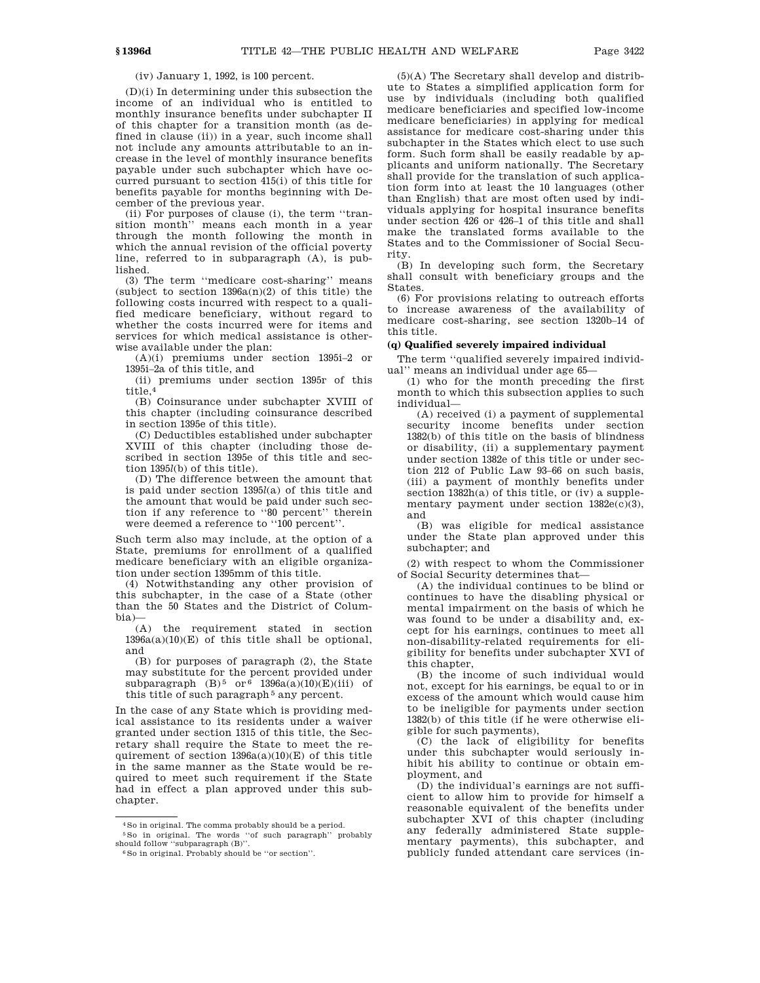(iv) January 1, 1992, is 100 percent.

(D)(i) In determining under this subsection the income of an individual who is entitled to monthly insurance benefits under subchapter II of this chapter for a transition month (as defined in clause (ii)) in a year, such income shall not include any amounts attributable to an increase in the level of monthly insurance benefits payable under such subchapter which have occurred pursuant to section 415(i) of this title for benefits payable for months beginning with December of the previous year.

(ii) For purposes of clause (i), the term ''transition month'' means each month in a year through the month following the month in which the annual revision of the official poverty line, referred to in subparagraph (A), is published.

(3) The term ''medicare cost-sharing'' means (subject to section  $1396a(n)(2)$  of this title) the following costs incurred with respect to a qualified medicare beneficiary, without regard to whether the costs incurred were for items and services for which medical assistance is otherwise available under the plan:

(A)(i) premiums under section 1395i–2 or 1395i–2a of this title, and

(ii) premiums under section 1395r of this title,4

(B) Coinsurance under subchapter XVIII of this chapter (including coinsurance described in section 1395e of this title).

(C) Deductibles established under subchapter XVIII of this chapter (including those described in section 1395e of this title and section 1395*l*(b) of this title).

(D) The difference between the amount that is paid under section 1395*l*(a) of this title and the amount that would be paid under such section if any reference to ''80 percent'' therein were deemed a reference to ''100 percent''.

Such term also may include, at the option of a State, premiums for enrollment of a qualified medicare beneficiary with an eligible organization under section 1395mm of this title.

(4) Notwithstanding any other provision of this subchapter, in the case of a State (other than the 50 States and the District of Columbia)—

(A) the requirement stated in section  $1396a(a)(10)(E)$  of this title shall be optional, and

(B) for purposes of paragraph (2), the State may substitute for the percent provided under subparagraph  $(B)^5$  or  $6 \frac{1396a(a)(10)(E)(iii)}{f}$  of this title of such paragraph<sup> $5$ </sup> any percent.

In the case of any State which is providing medical assistance to its residents under a waiver granted under section 1315 of this title, the Secretary shall require the State to meet the requirement of section  $1396a(a)(10)(E)$  of this title in the same manner as the State would be required to meet such requirement if the State had in effect a plan approved under this subchapter.

5So in original. The words ''of such paragraph'' probably should follow "subparagraph (B)"

(5)(A) The Secretary shall develop and distribute to States a simplified application form for use by individuals (including both qualified medicare beneficiaries and specified low-income medicare beneficiaries) in applying for medical assistance for medicare cost-sharing under this subchapter in the States which elect to use such form. Such form shall be easily readable by applicants and uniform nationally. The Secretary shall provide for the translation of such application form into at least the 10 languages (other than English) that are most often used by individuals applying for hospital insurance benefits under section 426 or 426–1 of this title and shall make the translated forms available to the States and to the Commissioner of Social Security.

(B) In developing such form, the Secretary shall consult with beneficiary groups and the States.

(6) For provisions relating to outreach efforts to increase awareness of the availability of medicare cost-sharing, see section 1320b–14 of this title.

### **(q) Qualified severely impaired individual**

The term ''qualified severely impaired individual'' means an individual under age 65—

(1) who for the month preceding the first month to which this subsection applies to such individual—

(A) received (i) a payment of supplemental security income benefits under section 1382(b) of this title on the basis of blindness or disability, (ii) a supplementary payment under section 1382e of this title or under section 212 of Public Law 93–66 on such basis, (iii) a payment of monthly benefits under section 1382h(a) of this title, or (iv) a supplementary payment under section 1382e(c)(3), and

(B) was eligible for medical assistance under the State plan approved under this subchapter; and

(2) with respect to whom the Commissioner of Social Security determines that—

(A) the individual continues to be blind or continues to have the disabling physical or mental impairment on the basis of which he was found to be under a disability and, except for his earnings, continues to meet all non-disability-related requirements for eligibility for benefits under subchapter XVI of this chapter,

(B) the income of such individual would not, except for his earnings, be equal to or in excess of the amount which would cause him to be ineligible for payments under section 1382(b) of this title (if he were otherwise eligible for such payments),

(C) the lack of eligibility for benefits under this subchapter would seriously inhibit his ability to continue or obtain employment, and

(D) the individual's earnings are not sufficient to allow him to provide for himself a reasonable equivalent of the benefits under subchapter XVI of this chapter (including any federally administered State supplementary payments), this subchapter, and publicly funded attendant care services (in-

<sup>4</sup>So in original. The comma probably should be a period.

<sup>6</sup>So in original. Probably should be ''or section''.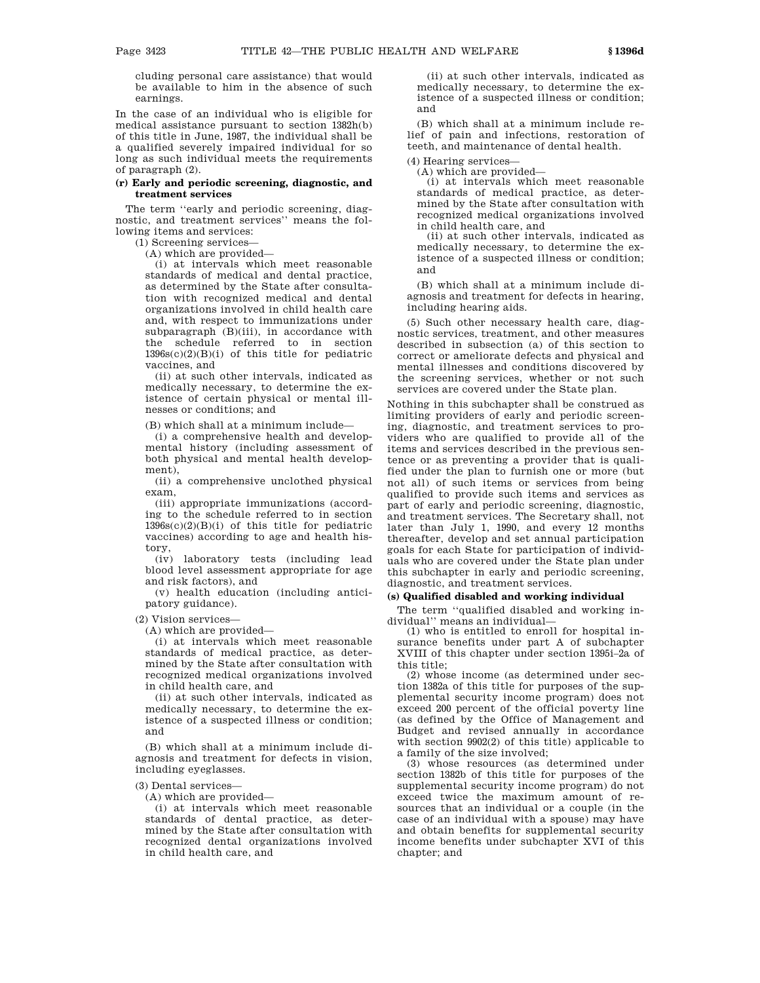cluding personal care assistance) that would be available to him in the absence of such earnings.

In the case of an individual who is eligible for medical assistance pursuant to section 1382h(b) of this title in June, 1987, the individual shall be a qualified severely impaired individual for so long as such individual meets the requirements of paragraph (2).

# **(r) Early and periodic screening, diagnostic, and treatment services**

The term "early and periodic screening, diagnostic, and treatment services'' means the following items and services:

(1) Screening services—

(A) which are provided—

(i) at intervals which meet reasonable standards of medical and dental practice, as determined by the State after consultation with recognized medical and dental organizations involved in child health care and, with respect to immunizations under subparagraph (B)(iii), in accordance with the schedule referred to in section  $1396s(c)(2)(B)(i)$  of this title for pediatric vaccines, and

(ii) at such other intervals, indicated as medically necessary, to determine the existence of certain physical or mental illnesses or conditions; and

(B) which shall at a minimum include—

(i) a comprehensive health and developmental history (including assessment of both physical and mental health development),

(ii) a comprehensive unclothed physical exam,

(iii) appropriate immunizations (according to the schedule referred to in section  $1396s(c)(2)(B)(i)$  of this title for pediatric vaccines) according to age and health history,

(iv) laboratory tests (including lead blood level assessment appropriate for age and risk factors), and

(v) health education (including anticipatory guidance).

(2) Vision services—

(A) which are provided—

(i) at intervals which meet reasonable standards of medical practice, as determined by the State after consultation with recognized medical organizations involved in child health care, and

(ii) at such other intervals, indicated as medically necessary, to determine the existence of a suspected illness or condition; and

(B) which shall at a minimum include diagnosis and treatment for defects in vision, including eyeglasses.

(3) Dental services—

(A) which are provided—

(i) at intervals which meet reasonable standards of dental practice, as determined by the State after consultation with recognized dental organizations involved in child health care, and

(ii) at such other intervals, indicated as medically necessary, to determine the existence of a suspected illness or condition; and

(B) which shall at a minimum include relief of pain and infections, restoration of teeth, and maintenance of dental health.

(4) Hearing services— (A) which are provided—

(i) at intervals which meet reasonable standards of medical practice, as determined by the State after consultation with recognized medical organizations involved in child health care, and

(ii) at such other intervals, indicated as medically necessary, to determine the existence of a suspected illness or condition; and

(B) which shall at a minimum include diagnosis and treatment for defects in hearing, including hearing aids.

(5) Such other necessary health care, diagnostic services, treatment, and other measures described in subsection (a) of this section to correct or ameliorate defects and physical and mental illnesses and conditions discovered by the screening services, whether or not such services are covered under the State plan.

Nothing in this subchapter shall be construed as limiting providers of early and periodic screening, diagnostic, and treatment services to providers who are qualified to provide all of the items and services described in the previous sentence or as preventing a provider that is qualified under the plan to furnish one or more (but not all) of such items or services from being qualified to provide such items and services as part of early and periodic screening, diagnostic, and treatment services. The Secretary shall, not later than July 1, 1990, and every 12 months thereafter, develop and set annual participation goals for each State for participation of individuals who are covered under the State plan under this subchapter in early and periodic screening, diagnostic, and treatment services.

#### **(s) Qualified disabled and working individual**

The term ''qualified disabled and working individual'' means an individual—

(1) who is entitled to enroll for hospital insurance benefits under part A of subchapter XVIII of this chapter under section 1395i–2a of this title;

(2) whose income (as determined under section 1382a of this title for purposes of the supplemental security income program) does not exceed 200 percent of the official poverty line (as defined by the Office of Management and Budget and revised annually in accordance with section 9902(2) of this title) applicable to a family of the size involved;

(3) whose resources (as determined under section 1382b of this title for purposes of the supplemental security income program) do not exceed twice the maximum amount of resources that an individual or a couple (in the case of an individual with a spouse) may have and obtain benefits for supplemental security income benefits under subchapter XVI of this chapter; and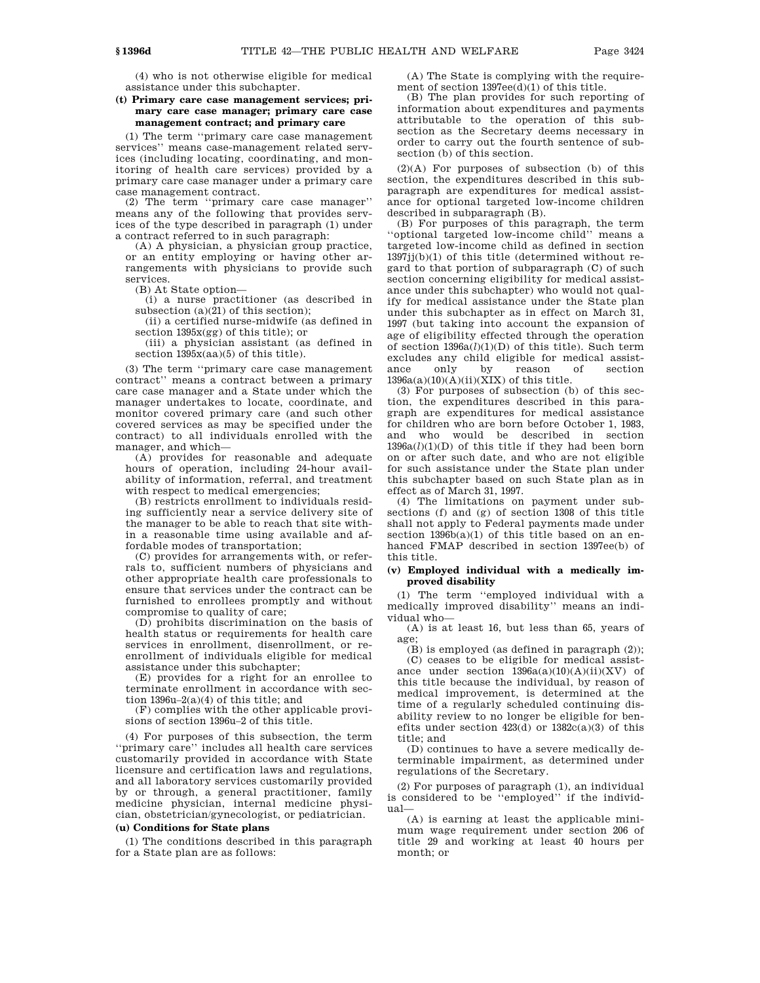(4) who is not otherwise eligible for medical assistance under this subchapter.

# **(t) Primary care case management services; primary care case manager; primary care case management contract; and primary care**

(1) The term ''primary care case management services'' means case-management related services (including locating, coordinating, and monitoring of health care services) provided by a primary care case manager under a primary care case management contract.

(2) The term ''primary care case manager'' means any of the following that provides services of the type described in paragraph (1) under a contract referred to in such paragraph:

(A) A physician, a physician group practice, or an entity employing or having other arrangements with physicians to provide such services.

(B) At State option—

(i) a nurse practitioner (as described in subsection (a)(21) of this section);

(ii) a certified nurse-midwife (as defined in section 1395x(gg) of this title); or

(iii) a physician assistant (as defined in section  $1395x(aa)(5)$  of this title).

(3) The term ''primary care case management contract'' means a contract between a primary care case manager and a State under which the manager undertakes to locate, coordinate, and monitor covered primary care (and such other covered services as may be specified under the contract) to all individuals enrolled with the manager, and which—

(A) provides for reasonable and adequate hours of operation, including 24-hour availability of information, referral, and treatment with respect to medical emergencies;

(B) restricts enrollment to individuals residing sufficiently near a service delivery site of the manager to be able to reach that site within a reasonable time using available and affordable modes of transportation;

(C) provides for arrangements with, or referrals to, sufficient numbers of physicians and other appropriate health care professionals to ensure that services under the contract can be furnished to enrollees promptly and without compromise to quality of care;

(D) prohibits discrimination on the basis of health status or requirements for health care services in enrollment, disenrollment, or reenrollment of individuals eligible for medical assistance under this subchapter;

(E) provides for a right for an enrollee to terminate enrollment in accordance with section 1396u–2(a)(4) of this title; and

(F) complies with the other applicable provisions of section 1396u–2 of this title.

(4) For purposes of this subsection, the term ''primary care'' includes all health care services customarily provided in accordance with State licensure and certification laws and regulations, and all laboratory services customarily provided by or through, a general practitioner, family medicine physician, internal medicine physician, obstetrician/gynecologist, or pediatrician.

## **(u) Conditions for State plans**

(1) The conditions described in this paragraph for a State plan are as follows:

(A) The State is complying with the requirement of section 1397ee(d)(1) of this title.

(B) The plan provides for such reporting of information about expenditures and payments attributable to the operation of this subsection as the Secretary deems necessary in order to carry out the fourth sentence of subsection (b) of this section.

(2)(A) For purposes of subsection (b) of this section, the expenditures described in this subparagraph are expenditures for medical assistance for optional targeted low-income children described in subparagraph (B).

(B) For purposes of this paragraph, the term ''optional targeted low-income child'' means a targeted low-income child as defined in section 1397jj(b)(1) of this title (determined without regard to that portion of subparagraph (C) of such section concerning eligibility for medical assistance under this subchapter) who would not qualify for medical assistance under the State plan under this subchapter as in effect on March 31, 1997 (but taking into account the expansion of age of eligibility effected through the operation of section 1396a(*l*)(1)(D) of this title). Such term excludes any child eligible for medical assistance only by reason of section  $1396a(a)(10)(A)(ii)(XIX)$  of this title.

(3) For purposes of subsection (b) of this section, the expenditures described in this paragraph are expenditures for medical assistance for children who are born before October 1, 1983, and who would be described in section  $1396a(l)(1)(D)$  of this title if they had been born on or after such date, and who are not eligible for such assistance under the State plan under this subchapter based on such State plan as in effect as of March 31, 1997.

(4) The limitations on payment under subsections (f) and (g) of section 1308 of this title shall not apply to Federal payments made under section  $1396b(a)(1)$  of this title based on an enhanced FMAP described in section 1397ee(b) of this title.

# **(v) Employed individual with a medically improved disability**

(1) The term ''employed individual with a medically improved disability'' means an individual who—

(A) is at least 16, but less than 65, years of age;

 $(B)$  is employed (as defined in paragraph  $(2)$ );

(C) ceases to be eligible for medical assistance under section  $1396a(a)(10)(A)(ii)(XV)$  of this title because the individual, by reason of medical improvement, is determined at the time of a regularly scheduled continuing disability review to no longer be eligible for benefits under section  $423(d)$  or  $1382c(a)(3)$  of this title; and

(D) continues to have a severe medically determinable impairment, as determined under regulations of the Secretary.

(2) For purposes of paragraph (1), an individual is considered to be ''employed'' if the individual—

(A) is earning at least the applicable minimum wage requirement under section 206 of title 29 and working at least 40 hours per month; or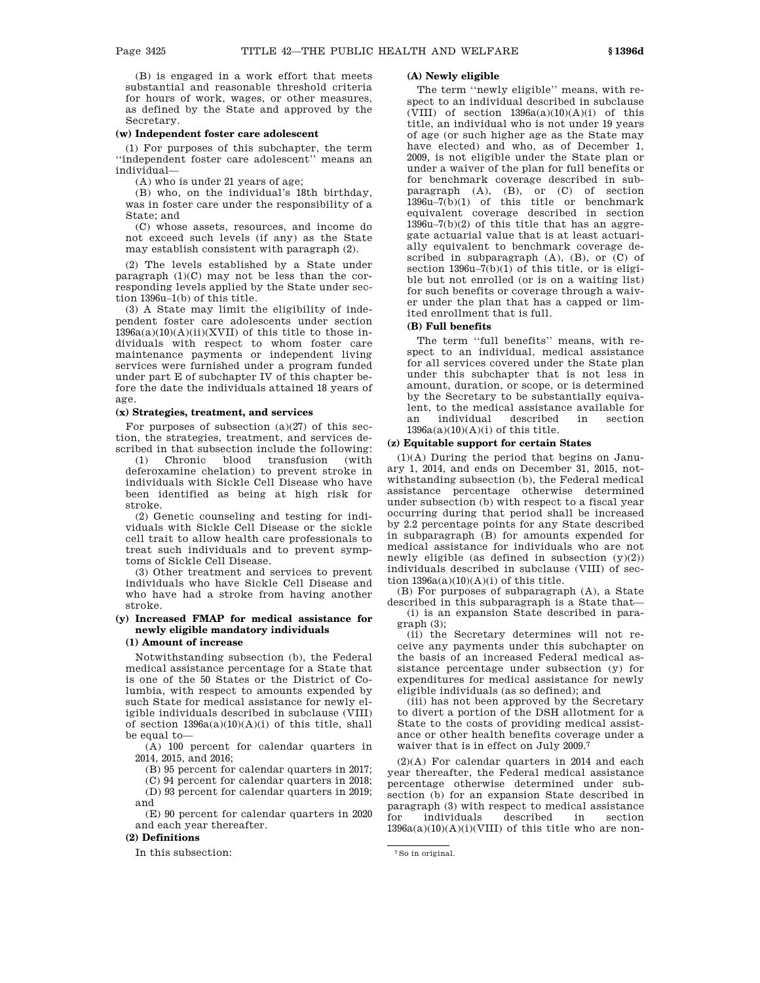(B) is engaged in a work effort that meets substantial and reasonable threshold criteria for hours of work, wages, or other measures, as defined by the State and approved by the Secretary.

### **(w) Independent foster care adolescent**

(1) For purposes of this subchapter, the term ''independent foster care adolescent'' means an individual—

(A) who is under 21 years of age;

(B) who, on the individual's 18th birthday, was in foster care under the responsibility of a State; and

(C) whose assets, resources, and income do not exceed such levels (if any) as the State may establish consistent with paragraph (2).

(2) The levels established by a State under paragraph (1)(C) may not be less than the corresponding levels applied by the State under section 1396u–1(b) of this title.

(3) A State may limit the eligibility of independent foster care adolescents under section  $1396a(a)(10)(A)(ii)(XVII)$  of this title to those individuals with respect to whom foster care maintenance payments or independent living services were furnished under a program funded under part E of subchapter IV of this chapter before the date the individuals attained 18 years of age.

### **(x) Strategies, treatment, and services**

For purposes of subsection  $(a)(27)$  of this section, the strategies, treatment, and services described in that subsection include the following:

(1) Chronic blood transfusion (with deferoxamine chelation) to prevent stroke in individuals with Sickle Cell Disease who have been identified as being at high risk for stroke.

(2) Genetic counseling and testing for individuals with Sickle Cell Disease or the sickle cell trait to allow health care professionals to treat such individuals and to prevent symptoms of Sickle Cell Disease.

(3) Other treatment and services to prevent individuals who have Sickle Cell Disease and who have had a stroke from having another stroke.

# **(y) Increased FMAP for medical assistance for newly eligible mandatory individuals**

# **(1) Amount of increase**

Notwithstanding subsection (b), the Federal medical assistance percentage for a State that is one of the 50 States or the District of Columbia, with respect to amounts expended by such State for medical assistance for newly eligible individuals described in subclause (VIII) of section  $1396a(a)(10)(A)(i)$  of this title, shall be equal to—

(A) 100 percent for calendar quarters in 2014, 2015, and 2016;

(B) 95 percent for calendar quarters in 2017;

(C) 94 percent for calendar quarters in 2018; (D) 93 percent for calendar quarters in 2019;

and

(E) 90 percent for calendar quarters in 2020 and each year thereafter.

# **(2) Definitions**

In this subsection:

## **(A) Newly eligible**

The term ''newly eligible'' means, with respect to an individual described in subclause (VIII) of section  $1396a(a)(10)(A)(i)$  of this title, an individual who is not under 19 years of age (or such higher age as the State may have elected) and who, as of December 1, 2009, is not eligible under the State plan or under a waiver of the plan for full benefits or for benchmark coverage described in subparagraph (A), (B), or (C) of section 1396u–7(b)(1) of this title or benchmark equivalent coverage described in section 1396u–7(b)(2) of this title that has an aggregate actuarial value that is at least actuarially equivalent to benchmark coverage described in subparagraph (A), (B), or (C) of section 1396u–7(b)(1) of this title, or is eligible but not enrolled (or is on a waiting list) for such benefits or coverage through a waiver under the plan that has a capped or limited enrollment that is full.

# **(B) Full benefits**

The term ''full benefits'' means, with respect to an individual, medical assistance for all services covered under the State plan under this subchapter that is not less in amount, duration, or scope, or is determined by the Secretary to be substantially equivalent, to the medical assistance available for an individual described in section  $1396a(a)(10)(A)(i)$  of this title.

# **(z) Equitable support for certain States**

(1)(A) During the period that begins on January 1, 2014, and ends on December 31, 2015, notwithstanding subsection (b), the Federal medical assistance percentage otherwise determined under subsection (b) with respect to a fiscal year occurring during that period shall be increased by 2.2 percentage points for any State described in subparagraph (B) for amounts expended for medical assistance for individuals who are not newly eligible (as defined in subsection  $(y)(2)$ ) individuals described in subclause (VIII) of section  $1396a(a)(10)(A)(i)$  of this title.

(B) For purposes of subparagraph (A), a State described in this subparagraph is a State that—

(i) is an expansion State described in paragraph (3);

(ii) the Secretary determines will not receive any payments under this subchapter on the basis of an increased Federal medical assistance percentage under subsection (y) for expenditures for medical assistance for newly eligible individuals (as so defined); and

(iii) has not been approved by the Secretary to divert a portion of the DSH allotment for a State to the costs of providing medical assistance or other health benefits coverage under a waiver that is in effect on July 2009.7

(2)(A) For calendar quarters in 2014 and each year thereafter, the Federal medical assistance percentage otherwise determined under subsection (b) for an expansion State described in paragraph (3) with respect to medical assistance for individuals described in section  $1396a(a)(10)(A)(i)(VIII)$  of this title who are non-

<sup>7</sup>So in original.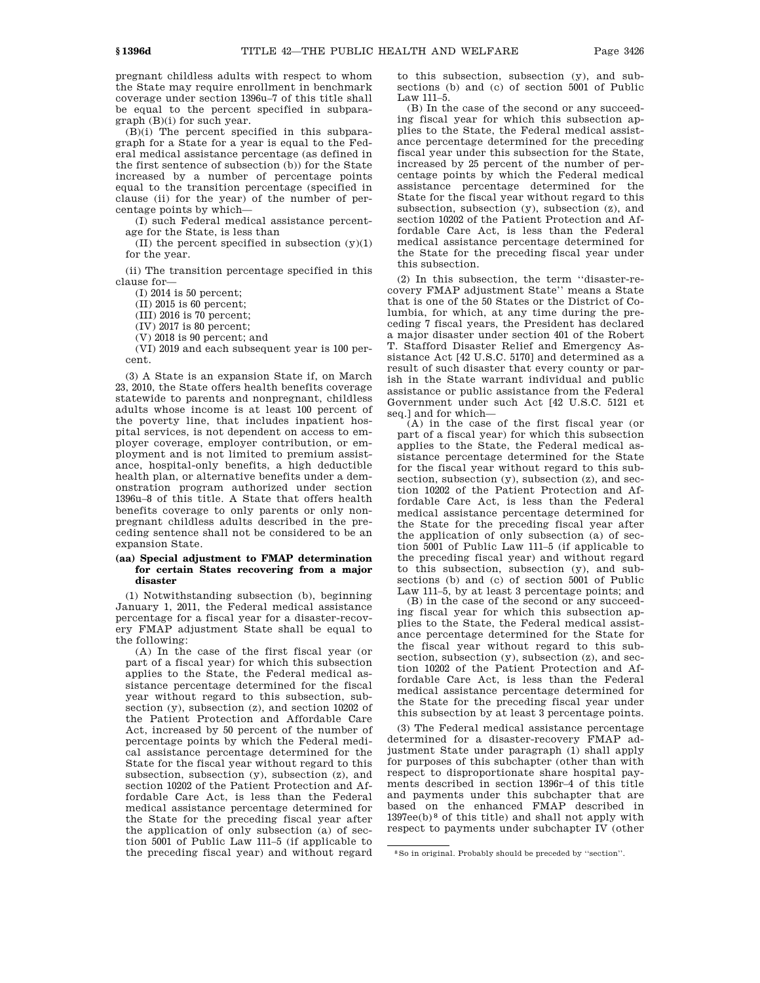pregnant childless adults with respect to whom the State may require enrollment in benchmark coverage under section 1396u–7 of this title shall be equal to the percent specified in subparagraph (B)(i) for such year.

(B)(i) The percent specified in this subparagraph for a State for a year is equal to the Federal medical assistance percentage (as defined in the first sentence of subsection (b)) for the State increased by a number of percentage points equal to the transition percentage (specified in clause (ii) for the year) of the number of percentage points by which—

(I) such Federal medical assistance percentage for the State, is less than

(II) the percent specified in subsection  $(y)(1)$ for the year.

(ii) The transition percentage specified in this clause for—

(I) 2014 is 50 percent;

(II) 2015 is 60 percent;

(III) 2016 is 70 percent;

(IV) 2017 is 80 percent;

(V) 2018 is 90 percent; and

(VI) 2019 and each subsequent year is 100 percent.

(3) A State is an expansion State if, on March 23, 2010, the State offers health benefits coverage statewide to parents and nonpregnant, childless adults whose income is at least 100 percent of the poverty line, that includes inpatient hospital services, is not dependent on access to employer coverage, employer contribution, or employment and is not limited to premium assistance, hospital-only benefits, a high deductible health plan, or alternative benefits under a demonstration program authorized under section 1396u–8 of this title. A State that offers health benefits coverage to only parents or only nonpregnant childless adults described in the preceding sentence shall not be considered to be an expansion State.

## **(aa) Special adjustment to FMAP determination for certain States recovering from a major disaster**

(1) Notwithstanding subsection (b), beginning January 1, 2011, the Federal medical assistance percentage for a fiscal year for a disaster-recovery FMAP adjustment State shall be equal to the following:

(A) In the case of the first fiscal year (or part of a fiscal year) for which this subsection applies to the State, the Federal medical assistance percentage determined for the fiscal year without regard to this subsection, subsection (y), subsection (z), and section 10202 of the Patient Protection and Affordable Care Act, increased by 50 percent of the number of percentage points by which the Federal medical assistance percentage determined for the State for the fiscal year without regard to this subsection, subsection (y), subsection (z), and section 10202 of the Patient Protection and Affordable Care Act, is less than the Federal medical assistance percentage determined for the State for the preceding fiscal year after the application of only subsection (a) of section 5001 of Public Law 111–5 (if applicable to the preceding fiscal year) and without regard to this subsection, subsection (y), and subsections (b) and (c) of section 5001 of Public Law 111–5.

(B) In the case of the second or any succeeding fiscal year for which this subsection applies to the State, the Federal medical assistance percentage determined for the preceding fiscal year under this subsection for the State, increased by 25 percent of the number of percentage points by which the Federal medical assistance percentage determined for the State for the fiscal year without regard to this subsection, subsection (y), subsection (z), and section 10202 of the Patient Protection and Affordable Care Act, is less than the Federal medical assistance percentage determined for the State for the preceding fiscal year under this subsection.

(2) In this subsection, the term ''disaster-recovery FMAP adjustment State'' means a State that is one of the 50 States or the District of Columbia, for which, at any time during the preceding 7 fiscal years, the President has declared a major disaster under section 401 of the Robert T. Stafford Disaster Relief and Emergency Assistance Act [42 U.S.C. 5170] and determined as a result of such disaster that every county or parish in the State warrant individual and public assistance or public assistance from the Federal Government under such Act [42 U.S.C. 5121 et seq.] and for which—

(A) in the case of the first fiscal year (or part of a fiscal year) for which this subsection applies to the State, the Federal medical assistance percentage determined for the State for the fiscal year without regard to this subsection, subsection (y), subsection (z), and section 10202 of the Patient Protection and Affordable Care Act, is less than the Federal medical assistance percentage determined for the State for the preceding fiscal year after the application of only subsection (a) of section 5001 of Public Law 111–5 (if applicable to the preceding fiscal year) and without regard to this subsection, subsection (y), and subsections (b) and (c) of section 5001 of Public Law 111–5, by at least 3 percentage points; and

(B) in the case of the second or any succeeding fiscal year for which this subsection applies to the State, the Federal medical assistance percentage determined for the State for the fiscal year without regard to this subsection, subsection (y), subsection (z), and section 10202 of the Patient Protection and Affordable Care Act, is less than the Federal medical assistance percentage determined for the State for the preceding fiscal year under this subsection by at least 3 percentage points.

(3) The Federal medical assistance percentage determined for a disaster-recovery FMAP adjustment State under paragraph (1) shall apply for purposes of this subchapter (other than with respect to disproportionate share hospital payments described in section 1396r–4 of this title and payments under this subchapter that are based on the enhanced FMAP described in  $1397\mathrm{ee(b)^{\,8}}$  of this title) and shall not apply with respect to payments under subchapter IV (other

<sup>8</sup>So in original. Probably should be preceded by ''section''.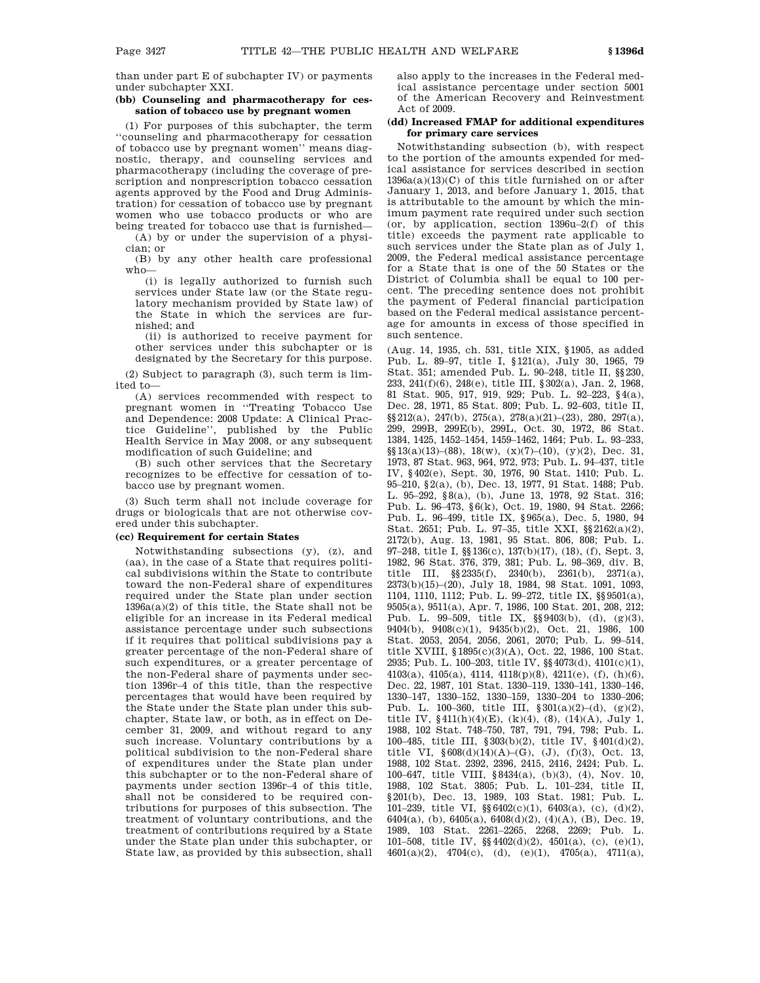than under part E of subchapter IV) or payments under subchapter XXI.

# **(bb) Counseling and pharmacotherapy for cessation of tobacco use by pregnant women**

(1) For purposes of this subchapter, the term ''counseling and pharmacotherapy for cessation of tobacco use by pregnant women'' means diagnostic, therapy, and counseling services and pharmacotherapy (including the coverage of prescription and nonprescription tobacco cessation agents approved by the Food and Drug Administration) for cessation of tobacco use by pregnant women who use tobacco products or who are being treated for tobacco use that is furnished—

(A) by or under the supervision of a physician; or

(B) by any other health care professional who—

(i) is legally authorized to furnish such services under State law (or the State regulatory mechanism provided by State law) of the State in which the services are furnished; and

(ii) is authorized to receive payment for other services under this subchapter or is designated by the Secretary for this purpose.

(2) Subject to paragraph (3), such term is limited to—

(A) services recommended with respect to pregnant women in ''Treating Tobacco Use and Dependence: 2008 Update: A Clinical Practice Guideline'', published by the Public Health Service in May 2008, or any subsequent modification of such Guideline; and

(B) such other services that the Secretary recognizes to be effective for cessation of tobacco use by pregnant women.

(3) Such term shall not include coverage for drugs or biologicals that are not otherwise covered under this subchapter.

## **(cc) Requirement for certain States**

Notwithstanding subsections (y), (z), and (aa), in the case of a State that requires political subdivisions within the State to contribute toward the non-Federal share of expenditures required under the State plan under section  $1396a(a)(2)$  of this title, the State shall not be eligible for an increase in its Federal medical assistance percentage under such subsections if it requires that political subdivisions pay a greater percentage of the non-Federal share of such expenditures, or a greater percentage of the non-Federal share of payments under section 1396r–4 of this title, than the respective percentages that would have been required by the State under the State plan under this subchapter, State law, or both, as in effect on December 31, 2009, and without regard to any such increase. Voluntary contributions by a political subdivision to the non-Federal share of expenditures under the State plan under this subchapter or to the non-Federal share of payments under section 1396r–4 of this title, shall not be considered to be required contributions for purposes of this subsection. The treatment of voluntary contributions, and the treatment of contributions required by a State under the State plan under this subchapter, or State law, as provided by this subsection, shall

also apply to the increases in the Federal medical assistance percentage under section 5001 of the American Recovery and Reinvestment Act of 2009.

## **(dd) Increased FMAP for additional expenditures for primary care services**

Notwithstanding subsection (b), with respect to the portion of the amounts expended for medical assistance for services described in section  $1396a(a)(13)(C)$  of this title furnished on or after January 1, 2013, and before January 1, 2015, that is attributable to the amount by which the minimum payment rate required under such section (or, by application, section 1396u–2(f) of this title) exceeds the payment rate applicable to such services under the State plan as of July 1, 2009, the Federal medical assistance percentage for a State that is one of the 50 States or the District of Columbia shall be equal to 100 percent. The preceding sentence does not prohibit the payment of Federal financial participation based on the Federal medical assistance percentage for amounts in excess of those specified in such sentence.

(Aug. 14, 1935, ch. 531, title XIX, §1905, as added Pub. L. 89–97, title I, §121(a), July 30, 1965, 79 Stat. 351; amended Pub. L. 90–248, title II, §§230, 233, 241(f)(6), 248(e), title III, §302(a), Jan. 2, 1968, 81 Stat. 905, 917, 919, 929; Pub. L. 92–223, §4(a), Dec. 28, 1971, 85 Stat. 809; Pub. L. 92–603, title II, §§212(a), 247(b), 275(a), 278(a)(21)–(23), 280, 297(a), 299, 299B, 299E(b), 299L, Oct. 30, 1972, 86 Stat. 1384, 1425, 1452–1454, 1459–1462, 1464; Pub. L. 93–233,  $\S\ 13(a)(13)$ –(88), 18(w), (x)(7)–(10), (y)(2), Dec. 31, 1973, 87 Stat. 963, 964, 972, 973; Pub. L. 94–437, title IV, §402(e), Sept. 30, 1976, 90 Stat. 1410; Pub. L. 95–210, §2(a), (b), Dec. 13, 1977, 91 Stat. 1488; Pub. L. 95–292, §8(a), (b), June 13, 1978, 92 Stat. 316; Pub. L. 96–473, §6(k), Oct. 19, 1980, 94 Stat. 2266; Pub. L. 96–499, title IX, §965(a), Dec. 5, 1980, 94 Stat. 2651; Pub. L. 97–35, title XXI, §§2162(a)(2), 2172(b), Aug. 13, 1981, 95 Stat. 806, 808; Pub. L. 97–248, title I, §§136(c), 137(b)(17), (18), (f), Sept. 3, 1982, 96 Stat. 376, 379, 381; Pub. L. 98–369, div. B, title III, §§2335(f), 2340(b), 2361(b), 2371(a), 2373(b)(15)–(20), July 18, 1984, 98 Stat. 1091, 1093, 1104, 1110, 1112; Pub. L. 99–272, title IX, §§9501(a), 9505(a), 9511(a), Apr. 7, 1986, 100 Stat. 201, 208, 212; Pub. L. 99-509, title IX, §§9403(b), (d), (g)(3), 9404(b), 9408(c)(1), 9435(b)(2), Oct. 21, 1986, 100 Stat. 2053, 2054, 2056, 2061, 2070; Pub. L. 99–514, title XVIII, §1895(c)(3)(A), Oct. 22, 1986, 100 Stat. 2935; Pub. L. 100–203, title IV, §§4073(d), 4101(c)(1), 4103(a), 4105(a), 4114, 4118(p)(8), 4211(e), (f), (h)(6), Dec. 22, 1987, 101 Stat. 1330–119, 1330–141, 1330–146, 1330–147, 1330–152, 1330–159, 1330–204 to 1330–206; Pub. L. 100-360, title III,  $\S 301(a)(2)-(d)$ ,  $(g)(2)$ , title IV,  $\S 411(h)(4)(E)$ ,  $(k)(4)$ ,  $(8)$ ,  $(14)(A)$ , July 1, 1988, 102 Stat. 748–750, 787, 791, 794, 798; Pub. L. 100–485, title III, $\S 303(b)(2)$ , title IV, $\S 401(d)(2),$ title VI,  $§608(d)(14)(A)-(G)$ , (J), (f)(3), Oct. 13, 1988, 102 Stat. 2392, 2396, 2415, 2416, 2424; Pub. L. 100–647, title VIII, §8434(a), (b)(3), (4), Nov. 10, 1988, 102 Stat. 3805; Pub. L. 101–234, title II, §201(b), Dec. 13, 1989, 103 Stat. 1981; Pub. L. 101–239, title VI, §§6402(c)(1), 6403(a), (c), (d)(2), 6404(a), (b), 6405(a), 6408(d)(2), (4)(A), (B), Dec. 19, 1989, 103 Stat. 2261–2265, 2268, 2269; Pub. L. 101–508, title IV, §§4402(d)(2), 4501(a), (c), (e)(1), 4601(a)(2), 4704(c), (d), (e)(1), 4705(a), 4711(a),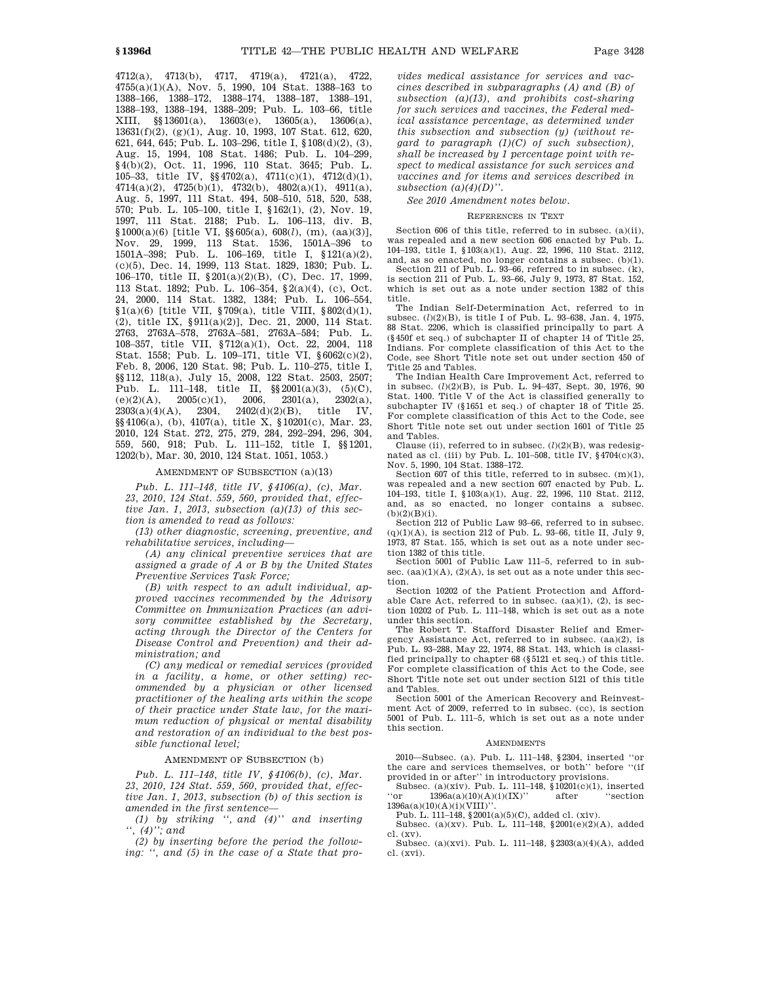4712(a), 4713(b), 4717, 4719(a), 4721(a), 4722, 4755(a)(1)(A), Nov. 5, 1990, 104 Stat. 1388–163 to 1388–166, 1388–172, 1388–174, 1388–187, 1388–191, 1388–193, 1388–194, 1388–209; Pub. L. 103–66, title XIII, §§13601(a), 13603(e), 13605(a), 13606(a), 13631(f)(2), (g)(1), Aug. 10, 1993, 107 Stat. 612, 620, 621, 644, 645; Pub. L. 103–296, title I, §108(d)(2), (3), Aug. 15, 1994, 108 Stat. 1486; Pub. L. 104–299, §4(b)(2), Oct. 11, 1996, 110 Stat. 3645; Pub. L. 105–33, title IV, §§4702(a), 4711(c)(1), 4712(d)(1), 4714(a)(2), 4725(b)(1), 4732(b), 4802(a)(1), 4911(a), Aug. 5, 1997, 111 Stat. 494, 508–510, 518, 520, 538, 570; Pub. L. 105–100, title I, §162(1), (2), Nov. 19, 1997, 111 Stat. 2188; Pub. L. 106–113, div. B, §1000(a)(6) [title VI, §§605(a), 608(*l*), (m), (aa)(3)], Nov. 29, 1999, 113 Stat. 1536, 1501A–396 to 1501A–398; Pub. L. 106–169, title I, §121(a)(2), (c)(5), Dec. 14, 1999, 113 Stat. 1829, 1830; Pub. L. 106–170, title II, §201(a)(2)(B), (C), Dec. 17, 1999, 113 Stat. 1892; Pub. L. 106–354, §2(a)(4), (c), Oct. 24, 2000, 114 Stat. 1382, 1384; Pub. L. 106–554, §1(a)(6) [title VII, §709(a), title VIII, §802(d)(1), (2), title IX, §911(a)(2)], Dec. 21, 2000, 114 Stat. 2763, 2763A–578, 2763A–581, 2763A–584; Pub. L. 108–357, title VII, §712(a)(1), Oct. 22, 2004, 118 Stat. 1558; Pub. L. 109–171, title VI, §6062(c)(2), Feb. 8, 2006, 120 Stat. 98; Pub. L. 110–275, title I, §§112, 118(a), July 15, 2008, 122 Stat. 2503, 2507; Pub. L. 111–148, title II,  $\S$ 2001(a)(3), (5)(C), (e)(2)(A), 2005(c)(1), 2006, 2301(a), 2302(a),  $(e)(2)(A), 2005(c)(1),$ <br>2303(a)(4)(A), 2304,  $2402(d)(2)(B)$ , title IV, §§4106(a), (b), 4107(a), title X, §10201(c), Mar. 23, 2010, 124 Stat. 272, 275, 279, 284, 292–294, 296, 304, 559, 560, 918; Pub. L. 111–152, title I, §§1201, 1202(b), Mar. 30, 2010, 124 Stat. 1051, 1053.)

## AMENDMENT OF SUBSECTION (a)(13)

*Pub. L. 111–148, title IV, §4106(a), (c), Mar. 23, 2010, 124 Stat. 559, 560, provided that, effective Jan. 1, 2013, subsection (a)(13) of this section is amended to read as follows:*

*(13) other diagnostic, screening, preventive, and rehabilitative services, including—*

*(A) any clinical preventive services that are assigned a grade of A or B by the United States Preventive Services Task Force;*

*(B) with respect to an adult individual, approved vaccines recommended by the Advisory Committee on Immunization Practices (an advisory committee established by the Secretary, acting through the Director of the Centers for Disease Control and Prevention) and their administration; and*

*(C) any medical or remedial services (provided in a facility, a home, or other setting) recommended by a physician or other licensed practitioner of the healing arts within the scope of their practice under State law, for the maximum reduction of physical or mental disability and restoration of an individual to the best possible functional level;*

AMENDMENT OF SUBSECTION (b)

*Pub. L. 111–148, title IV, §4106(b), (c), Mar. 23, 2010, 124 Stat. 559, 560, provided that, effective Jan. 1, 2013, subsection (b) of this section is amended in the first sentence—*

*(1) by striking '', and (4)'' and inserting '', (4)''; and*

*(2) by inserting before the period the following: '', and (5) in the case of a State that pro-*

*vides medical assistance for services and vaccines described in subparagraphs (A) and (B) of subsection (a)(13), and prohibits cost-sharing for such services and vaccines, the Federal medical assistance percentage, as determined under this subsection and subsection (y) (without regard to paragraph (1)(C) of such subsection), shall be increased by 1 percentage point with respect to medical assistance for such services and vaccines and for items and services described in subsection (a)(4)(D)''.*

*See 2010 Amendment notes below.*

## REFERENCES IN TEXT

Section 606 of this title, referred to in subsec. (a)(ii), was repealed and a new section 606 enacted by Pub. L. 104–193, title I, §103(a)(1), Aug. 22, 1996, 110 Stat. 2112, and, as so enacted, no longer contains a subsec. (b)(1). Section 211 of Pub. L. 93–66, referred to in subsec. (k),

is section 211 of Pub. L. 93–66, July 9, 1973, 87 Stat. 152, which is set out as a note under section 1382 of this title.

The Indian Self-Determination Act, referred to in subsec. (*l*)(2)(B), is title I of Pub. L. 93–638, Jan. 4, 1975, 88 Stat. 2206, which is classified principally to part A (§450f et seq.) of subchapter II of chapter 14 of Title 25, Indians. For complete classification of this Act to the Code, see Short Title note set out under section 450 of Title 25 and Tables.

The Indian Health Care Improvement Act, referred to in subsec. (*l*)(2)(B), is Pub. L. 94–437, Sept. 30, 1976, 90 Stat. 1400. Title V of the Act is classified generally to subchapter IV (§1651 et seq.) of chapter 18 of Title 25. For complete classification of this Act to the Code, see Short Title note set out under section 1601 of Title 25 and Tables.

Clause (ii), referred to in subsec. (*l*)(2)(B), was redesignated as cl. (iii) by Pub. L. 101–508, title IV, §4704(c)(3), Nov. 5, 1990, 104 Stat. 1388–172.

Section 607 of this title, referred to in subsec. (m)(1), was repealed and a new section 607 enacted by Pub. L. 104–193, title I, §103(a)(1), Aug. 22, 1996, 110 Stat. 2112, and, as so enacted, no longer contains a subsec.  $(b)(2)(B)(i).$ 

Section 212 of Public Law 93–66, referred to in subsec.  $(q)(1)(A)$ , is section 212 of Pub. L. 93-66, title II, July 9, 1973, 87 Stat. 155, which is set out as a note under section 1382 of this title.

Section 5001 of Public Law 111–5, referred to in subsec.  $(aa)(1)(A)$ ,  $(2)(A)$ , is set out as a note under this section.

Section 10202 of the Patient Protection and Affordable Care Act, referred to in subsec. (aa)(1), (2), is section 10202 of Pub. L. 111–148, which is set out as a note under this section.

The Robert T. Stafford Disaster Relief and Emergency Assistance Act, referred to in subsec. (aa)(2), is Pub. L. 93–288, May 22, 1974, 88 Stat. 143, which is classified principally to chapter 68 (§5121 et seq.) of this title. For complete classification of this Act to the Code, see Short Title note set out under section 5121 of this title and Tables.

Section 5001 of the American Recovery and Reinvestment Act of 2009, referred to in subsec. (cc), is section 5001 of Pub. L. 111–5, which is set out as a note under this section.

#### **AMENDMENTS**

2010—Subsec. (a). Pub. L. 111–148, §2304, inserted ''or the care and services themselves, or both'' before ''(if provided in or after'' in introductory provisions.

Subsec. (a)(xiv). Pub. L. 111–148,  $\S 10201(c)(1)$ , inserted<br>"or 1396a(a)(10)(A)(i)(IX)" after "section  $1396a(a)(10)(A)(i)(IX)$  after "section 1396a(a)(10)(A)(i)(VIII)'

Pub. L. 111–148, §2001(a)(5)(C), added cl. (xiv).

Subsec. (a)(xv). Pub. L. 111–148, §2001(e)(2)(A), added cl. (xv).

Subsec. (a)(xvi). Pub. L. 111–148, §2303(a)(4)(A), added cl. (xvi).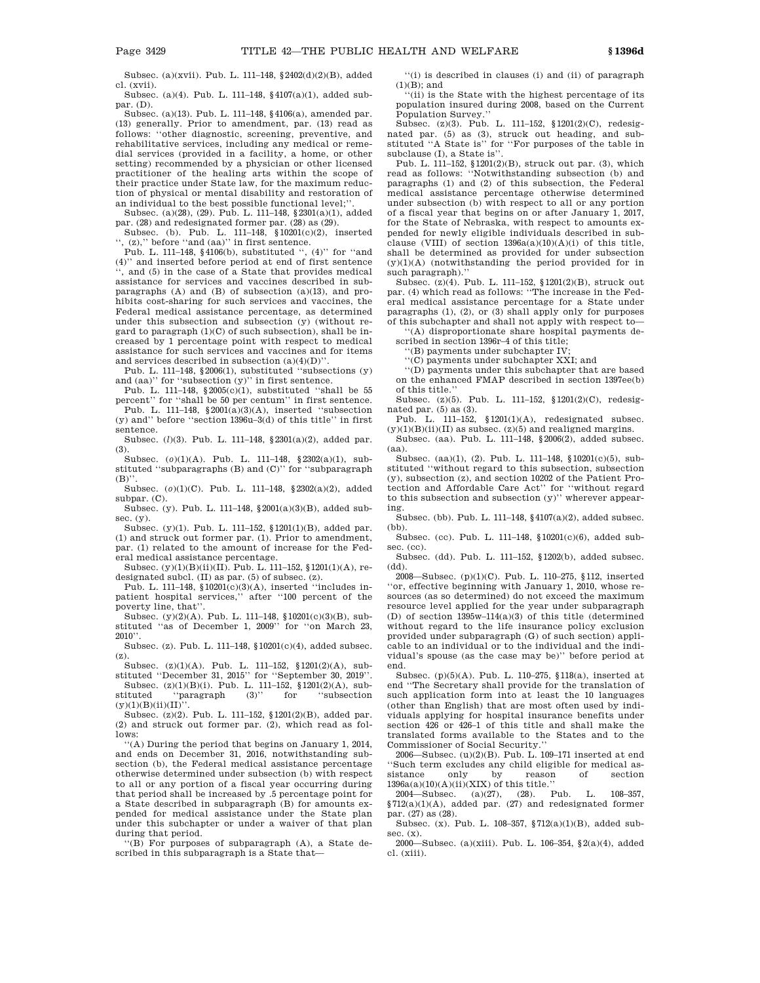Subsec. (a)(xvii). Pub. L. 111–148, §2402(d)(2)(B), added cl. (xvii).

Subsec. (a)(4). Pub. L. 111–148, §4107(a)(1), added subpar. (D).

Subsec. (a)(13). Pub. L. 111–148, §4106(a), amended par. (13) generally. Prior to amendment, par. (13) read as follows: ''other diagnostic, screening, preventive, and rehabilitative services, including any medical or remedial services (provided in a facility, a home, or other setting) recommended by a physician or other licensed practitioner of the healing arts within the scope of their practice under State law, for the maximum reduction of physical or mental disability and restoration of an individual to the best possible functional level;'

Subsec. (a)(28), (29). Pub. L. 111–148, §2301(a)(1), added par. (28) and redesignated former par. (28) as (29).

Subsec. (b). Pub. L. 111–148, §10201(c)(2), inserted '', (z),'' before ''and (aa)'' in first sentence.

Pub. L. 111-148, §4106(b), substituted ", (4)" for "and (4)'' and inserted before period at end of first sentence , and (5) in the case of a State that provides medical assistance for services and vaccines described in subparagraphs (A) and (B) of subsection (a)(13), and prohibits cost-sharing for such services and vaccines, the Federal medical assistance percentage, as determined under this subsection and subsection (y) (without regard to paragraph  $(1)(C)$  of such subsection), shall be increased by 1 percentage point with respect to medical assistance for such services and vaccines and for items and services described in subsection  $(a)(4)(D)$ ".

Pub. L. 111–148, §2006(1), substituted ''subsections (y) and (aa)'' for ''subsection (y)'' in first sentence.

Pub. L. 111-148,  $§2005(c)(1)$ , substituted "shall be 55 percent'' for ''shall be 50 per centum'' in first sentence. Pub. L. 111–148,  $\sqrt{2001(a)(3)(A)}$ , inserted "subsection (y) and'' before ''section 1396u–3(d) of this title'' in first sentence.

Subsec. (*l*)(3). Pub. L. 111–148, §2301(a)(2), added par. (3).

Subsec. (*o*)(1)(A). Pub. L. 111–148, §2302(a)(1), substituted ''subparagraphs (B) and (C)'' for ''subparagraph  $(B)$ 

Subsec. (*o*)(1)(C). Pub. L. 111–148, §2302(a)(2), added subpar. (C).

Subsec. (y). Pub. L. 111–148, §2001(a)(3)(B), added subsec.  $(v)$ .

Subsec. (y)(1). Pub. L. 111–152, §1201(1)(B), added par. (1) and struck out former par. (1). Prior to amendment, par. (1) related to the amount of increase for the Federal medical assistance percentage.

Subsec.  $(y)(1)(B)(ii)(II)$ . Pub. L. 111–152, §1201(1)(A), redesignated subcl. (II) as par. (5) of subsec. (z).

Pub. L. 111-148,  $$10201(c)(3)(A)$ , inserted "includes inpatient hospital services,'' after ''100 percent of the poverty line, that"

Subsec. (y)(2)(A). Pub. L. 111–148, §10201(c)(3)(B), substituted ''as of December 1, 2009'' for ''on March 23, 2010''.

Subsec. (z). Pub. L. 111–148, §10201(c)(4), added subsec. (z).

Subsec. (z)(1)(A). Pub. L. 111–152, §1201(2)(A), substituted "December 31, 2015" for "September 30, 2019".

Subsec.  $(z)(1)(B)(i)$ . Pub. L. 111–152, §1201(2)(A), sub-<br>stituted "paragraph (3)" for "subsection ''paragraph  $(y)(1)(B)(ii)(II)$ <sup>"</sup>

Subsec. (z)(2). Pub. L. 111–152, §1201(2)(B), added par. (2) and struck out former par. (2), which read as follows:

''(A) During the period that begins on January 1, 2014, and ends on December 31, 2016, notwithstanding subsection (b), the Federal medical assistance percentage otherwise determined under subsection (b) with respect to all or any portion of a fiscal year occurring during that period shall be increased by .5 percentage point for a State described in subparagraph (B) for amounts expended for medical assistance under the State plan under this subchapter or under a waiver of that plan during that period.

''(B) For purposes of subparagraph (A), a State described in this subparagraph is a State that—

''(i) is described in clauses (i) and (ii) of paragraph  $(1)(B)$ ; and

''(ii) is the State with the highest percentage of its population insured during 2008, based on the Current Population Survey.''

Subsec. (z)(3). Pub. L. 111–152, §1201(2)(C), redesignated par. (5) as (3), struck out heading, and substituted ''A State is'' for ''For purposes of the table in subclause (I), a State is''.

Pub. L. 111–152, §1201(2)(B), struck out par. (3), which read as follows: ''Notwithstanding subsection (b) and paragraphs (1) and (2) of this subsection, the Federal medical assistance percentage otherwise determined under subsection (b) with respect to all or any portion of a fiscal year that begins on or after January 1, 2017, for the State of Nebraska, with respect to amounts expended for newly eligible individuals described in subclause (VIII) of section  $1396a(a)(10)(A)(i)$  of this title, shall be determined as provided for under subsection  $(y)(1)(A)$  (notwithstanding the period provided for in such paragraph).''

Subsec. (z)(4). Pub. L. 111–152, §1201(2)(B), struck out par. (4) which read as follows: ''The increase in the Federal medical assistance percentage for a State under paragraphs (1), (2), or (3) shall apply only for purposes of this subchapter and shall not apply with respect to—

''(A) disproportionate share hospital payments described in section 1396r–4 of this title;

''(B) payments under subchapter IV;

''(C) payments under subchapter XXI; and

''(D) payments under this subchapter that are based on the enhanced FMAP described in section 1397ee(b) of this title.''

Subsec. (z)(5). Pub. L. 111–152, §1201(2)(C), redesignated par.  $(5)$  as  $(3)$ .

Pub. L. 111–152, §1201(1)(A), redesignated subsec.

 $(y)(1)(B)(ii)(II)$  as subsec.  $(z)(5)$  and realigned margins. Subsec. (aa). Pub. L. 111–148, §2006(2), added subsec. (aa).

Subsec. (aa)(1), (2). Pub. L. 111–148, §10201(c)(5), substituted ''without regard to this subsection, subsection (y), subsection (z), and section 10202 of the Patient Protection and Affordable Care Act'' for ''without regard to this subsection and subsection (y)'' wherever appearing.

Subsec. (bb). Pub. L. 111–148, §4107(a)(2), added subsec. (bb).

Subsec. (cc). Pub. L. 111–148, §10201(c)(6), added subsec. (cc).

Subsec. (dd). Pub. L. 111–152, §1202(b), added subsec. (dd).

2008—Subsec. (p)(1)(C). Pub. L. 110–275, §112, inserted ''or, effective beginning with January 1, 2010, whose resources (as so determined) do not exceed the maximum resource level applied for the year under subparagraph (D) of section 1395w–114(a)(3) of this title (determined without regard to the life insurance policy exclusion provided under subparagraph (G) of such section) applicable to an individual or to the individual and the individual's spouse (as the case may be)'' before period at end.

Subsec. (p)(5)(A). Pub. L. 110–275, §118(a), inserted at end ''The Secretary shall provide for the translation of such application form into at least the 10 languages (other than English) that are most often used by individuals applying for hospital insurance benefits under section 426 or 426–1 of this title and shall make the translated forms available to the States and to the Commissioner of Social Security.''

2006—Subsec. (u)(2)(B). Pub. L. 109–171 inserted at end 'Such term excludes any child eligible for medical assistance only by reason of section  $1396a(a)(10)(A)(ii)(XIX)$  of this title.''

2004—Subsec. (a)(27), (28). Pub. L. 108–357, §712(a)(1)(A), added par. (27) and redesignated former par. (27) as (28).

Subsec. (x). Pub. L. 108–357, §712(a)(1)(B), added sub-

sec. (x). 2000—Subsec. (a)(xiii). Pub. L. 106–354, §2(a)(4), added cl. (xiii).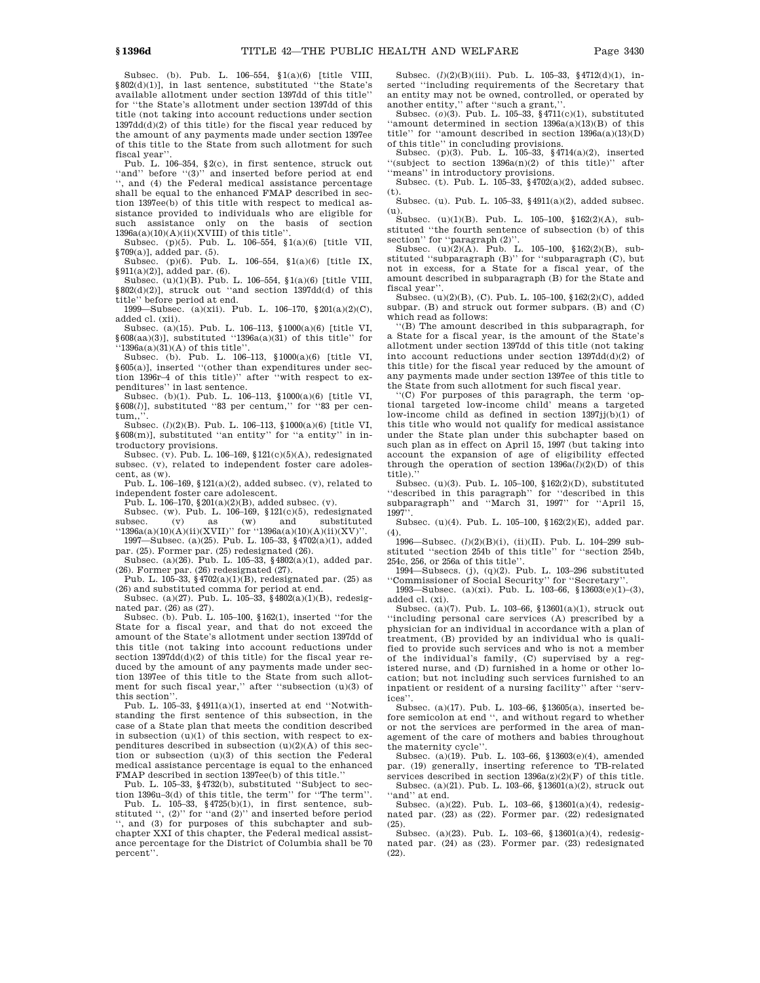Subsec. (b). Pub. L. 106–554, §1(a)(6) [title VIII, §802(d)(1)], in last sentence, substituted ''the State's available allotment under section 1397dd of this title'' for ''the State's allotment under section 1397dd of this title (not taking into account reductions under section  $1397d(d)(2)$  of this title) for the fiscal year reduced by the amount of any payments made under section 1397ee of this title to the State from such allotment for such fiscal year''.

Pub. L. 106–354, §2(c), in first sentence, struck out "and" before "(3)" and inserted before period at end '', and (4) the Federal medical assistance percentage shall be equal to the enhanced FMAP described in section 1397ee(b) of this title with respect to medical assistance provided to individuals who are eligible for such assistance only on the basis of section  $1396a(a)(10)(A)(ii)(XVIII)$  of this title'

Subsec. (p)(5). Pub. L. 106–554, §1(a)(6) [title VII, §709(a)], added par. (5).

Subsec. (p)(6). Pub. L. 106–554, §1(a)(6) [title IX,

 $\S 911(a)(2)$ ], added par. (6).<br>Subsec. (u)(1)(B). Pub. L. 106–554,  $\S 1(a)(6)$  [title VIII, §802(d)(2)], struck out ''and section 1397dd(d) of this

title'' before period at end. 1999—Subsec. (a)(xii). Pub. L. 106–170, §201(a)(2)(C), added cl. (xii).

Subsec. (a)(15). Pub. L. 106–113, §1000(a)(6) [title VI,  $§608(aa)(3)$ , substituted "1396a(a)(31) of this title" for ' $1396a(a)(31)(A)$  of this title'.

Subsec. (b). Pub. L. 106–113,  $$1000(a)(6)$  [title VI, §605(a)], inserted ''(other than expenditures under section 1396r–4 of this title)'' after ''with respect to expenditures'' in last sentence.

Subsec. (b)(1). Pub. L. 106–113, §1000(a)(6) [title VI, §608(*l*)], substituted "83 per centum," for "83 per centum..

Subsec. (*l*)(2)(B). Pub. L. 106–113, §1000(a)(6) [title VI, §608(m)], substituted ''an entity'' for ''a entity'' in introductory provisions.

Subsec.  $(v)$ . Pub. L. 106-169, §121 $(c)(5)(A)$ , redesignated subsec. (v), related to independent foster care adolescent, as (w).

Pub. L. 106–169, §121(a)(2), added subsec. (v), related to

independent foster care adolescent. Pub. L. 106–170, §201(a)(2)(B), added subsec. (v).

Subsec. (w). Pub. L. 106–169, §121(c)(5), redesignated subsec. (v) as (w) and substituted  $``1396a(a)(10)(A)(ii)(XVII)"$  for  $``1396a(a)(10)(A)(ii)(XV)''.$ 

1997—Subsec. (a)(25). Pub. L. 105–33, §4702(a)(1), added par. (25). Former par. (25) redesignated (26).

Subsec. (a)(26). Pub. L. 105–33, §4802(a)(1), added par. (26). Former par. (26) redesignated (27).

Pub. L. 105–33,  $\frac{2702(a)(1)(B)}{B}$ , redesignated par. (25) as (26) and substituted comma for period at end.

Subsec. (a)(27). Pub. L. 105–33, §4802(a)(1)(B), redesignated par. (26) as (27).

Subsec. (b). Pub. L. 105–100, §162(1), inserted ''for the State for a fiscal year, and that do not exceed the amount of the State's allotment under section 1397dd of this title (not taking into account reductions under section  $1397d(d)(2)$  of this title) for the fiscal year reduced by the amount of any payments made under section 1397ee of this title to the State from such allotment for such fiscal year,'' after ''subsection (u)(3) of this section''.

Pub. L. 105–33, §4911(a)(1), inserted at end ''Notwithstanding the first sentence of this subsection, in the case of a State plan that meets the condition described in subsection (u)(1) of this section, with respect to expenditures described in subsection  $(u)(2)(A)$  of this section or subsection (u)(3) of this section the Federal medical assistance percentage is equal to the enhanced FMAP described in section 1397ee(b) of this title.'' Pub. L. 105–33, §4732(b), substituted ''Subject to sec-

tion 1396u–3(d) of this title, the term'' for ''The term''.

Pub. L. 105–33, §4725(b)(1), in first sentence, substituted '', (2)'' for ''and (2)'' and inserted before period ", and (3) for purposes of this subchapter and subchapter XXI of this chapter, the Federal medical assistance percentage for the District of Columbia shall be 70 percent''.

Subsec. (*l*)(2)(B)(iii). Pub. L. 105–33, §4712(d)(1), inserted ''including requirements of the Secretary that an entity may not be owned, controlled, or operated by another entity," after "such a grant,"

Subsec. (*o*)(3). Pub. L. 105–33, §4711(c)(1), substituted ''amount determined in section 1396a(a)(13)(B) of this title'' for ''amount described in section 1396a(a)(13)(D)

of this title'' in concluding provisions. Subsec. (p)(3). Pub. L. 105–33, §4714(a)(2), inserted ''(subject to section 1396a(n)(2) of this title)'' after ''means'' in introductory provisions.

Subsec. (t). Pub. L. 105–33, §4702(a)(2), added subsec. (t).

Subsec. (u). Pub. L. 105–33, §4911(a)(2), added subsec.  $(u)$ 

Subsec. (u)(1)(B). Pub. L. 105–100,  $$162(2)(A)$ , substituted ''the fourth sentence of subsection (b) of this

section" for "paragraph (2)".<br>Subsec. (u)(2)(A). Pub. L. 105–100, §162(2)(B), substituted ''subparagraph (B)'' for ''subparagraph (C), but not in excess, for a State for a fiscal year, of the amount described in subparagraph (B) for the State and fiscal year''.

Subsec. (u)(2)(B), (C). Pub. L. 105–100, §162(2)(C), added subpar. (B) and struck out former subpars. (B) and (C) which read as follows:

''(B) The amount described in this subparagraph, for a State for a fiscal year, is the amount of the State's allotment under section 1397dd of this title (not taking into account reductions under section 1397dd(d)(2) of this title) for the fiscal year reduced by the amount of any payments made under section 1397ee of this title to the State from such allotment for such fiscal year.

''(C) For purposes of this paragraph, the term 'optional targeted low-income child' means a targeted low-income child as defined in section 1397jj(b)(1) of this title who would not qualify for medical assistance under the State plan under this subchapter based on such plan as in effect on April 15, 1997 (but taking into account the expansion of age of eligibility effected through the operation of section  $1396a(l)(2)(D)$  of this title).''

Subsec. (u)(3). Pub. L. 105–100,  $\S 162(2)(D)$  ,substituted ''described in this paragraph'' for ''described in this subparagraph'' and ''March 31, 1997'' for ''April 15, 1997''.

Subsec. (u)(4). Pub. L. 105–100, §162(2)(E), added par. (4).

1996—Subsec. (*l*)(2)(B)(i), (ii)(II). Pub. L. 104–299 substituted ''section 254b of this title'' for ''section 254b, 254c, 256, or 256a of this title''.

1994—Subsecs. (j), (q)(2). Pub. L. 103–296 substituted ''Commissioner of Social Security'' for ''Secretary''.

1993—Subsec. (a)(xi). Pub. L. 103–66, §13603(e)(1)–(3), added cl. (xi).

Subsec. (a)(7). Pub. L. 103–66, §13601(a)(1), struck out ''including personal care services (A) prescribed by a physician for an individual in accordance with a plan of treatment, (B) provided by an individual who is qualified to provide such services and who is not a member of the individual's family, (C) supervised by a registered nurse, and (D) furnished in a home or other location; but not including such services furnished to an inpatient or resident of a nursing facility'' after ''services''.

Subsec. (a)(17). Pub. L. 103–66, §13605(a), inserted before semicolon at end '', and without regard to whether or not the services are performed in the area of management of the care of mothers and babies throughout the maternity cycle''.

Subsec. (a)(19). Pub. L. 103–66, §13603(e)(4), amended par. (19) generally, inserting reference to TB-related services described in section 1396a(z)(2)(F) of this title.

Subsec. (a)(21). Pub. L. 103–66, §13601(a)(2), struck out "and" at end. Subsec. (a)(22). Pub. L. 103–66, §13601(a)(4), redesig-

nated par. (23) as (22). Former par. (22) redesignated (25).

Subsec. (a)(23). Pub. L. 103–66, §13601(a)(4), redesignated par. (24) as (23). Former par. (23) redesignated (22).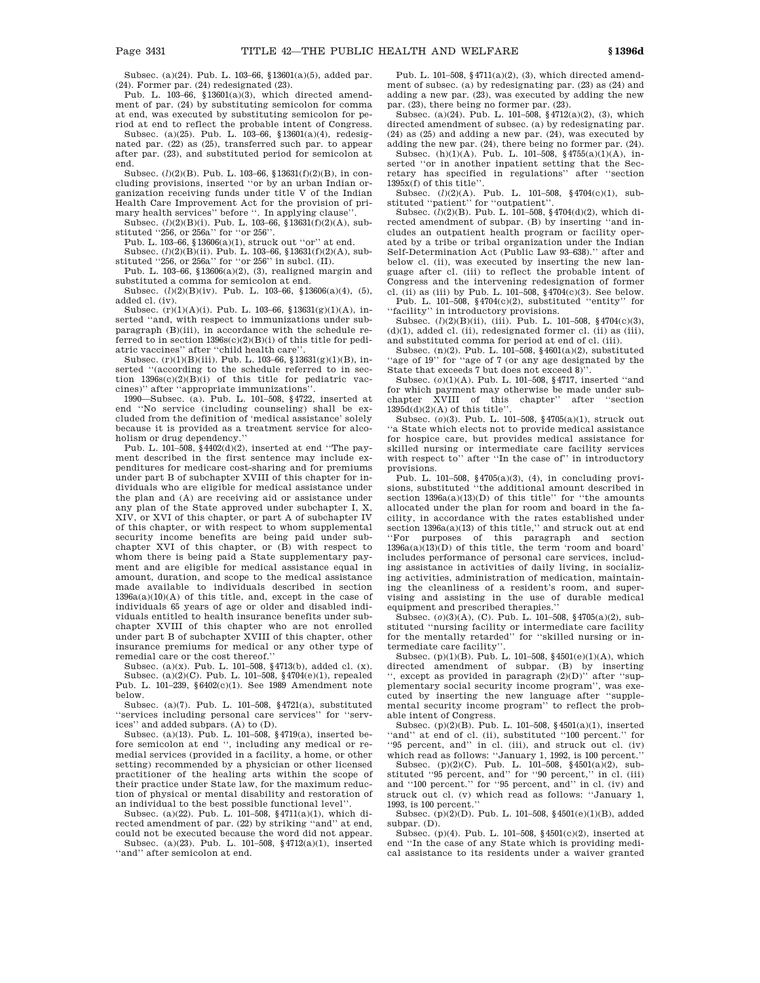Subsec. (a)(24). Pub. L. 103–66, §13601(a)(5), added par. (24). Former par. (24) redesignated (23).

Pub. L. 103-66, §13601(a)(3), which directed amendment of par. (24) by substituting semicolon for comma at end, was executed by substituting semicolon for period at end to reflect the probable intent of Congress.

Subsec. (a)(25). Pub. L. 103–66, §13601(a)(4), redesignated par. (22) as (25), transferred such par. to appear after par. (23), and substituted period for semicolon at end.

Subsec. (*l*)(2)(B). Pub. L. 103–66, §13631(f)(2)(B), in concluding provisions, inserted ''or by an urban Indian organization receiving funds under title V of the Indian Health Care Improvement Act for the provision of primary health services'' before ''. In applying clause''.

Subsec. (*l*)(2)(B)(i). Pub. L. 103–66, §13631(f)(2)(A), substituted ''256, or 256a'' for ''or 256''.

Pub. L. 103–66, §13606(a)(1), struck out ''or'' at end.

Subsec. (*l*)(2)(B)(ii). Pub. L. 103–66, §13631(f)(2)(A), substituted ''256, or 256a'' for ''or 256'' in subcl. (II).

Pub. L. 103–66, §13606(a)(2), (3), realigned margin and substituted a comma for semicolon at end.

Subsec. (*l*)(2)(B)(iv). Pub. L. 103–66, §13606(a)(4), (5), added cl. (iv).

Subsec. (r)(1)(A)(i). Pub. L. 103–66, §13631(g)(1)(A), inserted ''and, with respect to immunizations under subparagraph (B)(iii), in accordance with the schedule referred to in section  $1396s(c)(2)(B)(i)$  of this title for pediatric vaccines'' after ''child health care''.

Subsec. (r)(1)(B)(iii). Pub. L. 103–66, §13631(g)(1)(B), inserted "(according to the schedule referred to in section 1396s(c)(2)(B)(i) of this title for pediatric vaccines)'' after ''appropriate immunizations''.

1990—Subsec. (a). Pub. L. 101–508, §4722, inserted at end ''No service (including counseling) shall be excluded from the definition of 'medical assistance' solely because it is provided as a treatment service for alcoholism or drug dependency.

Pub. L. 101–508, §4402(d)(2), inserted at end ''The payment described in the first sentence may include expenditures for medicare cost-sharing and for premiums under part B of subchapter XVIII of this chapter for individuals who are eligible for medical assistance under the plan and (A) are receiving aid or assistance under any plan of the State approved under subchapter I, X, , or XVI of this chapter, or part A of subchapter IV of this chapter, or with respect to whom supplemental security income benefits are being paid under subchapter XVI of this chapter, or (B) with respect to whom there is being paid a State supplementary payment and are eligible for medical assistance equal in amount, duration, and scope to the medical assistance made available to individuals described in section 1396a(a)(10)(A) of this title, and, except in the case of individuals 65 years of age or older and disabled individuals entitled to health insurance benefits under subchapter XVIII of this chapter who are not enrolled under part B of subchapter XVIII of this chapter, other insurance premiums for medical or any other type of remedial care or the cost thereof.''

Subsec. (a)(x). Pub. L. 101–508, §4713(b), added cl. (x). Subsec. (a)(2)(C). Pub. L. 101–508, §4704(e)(1), repealed Pub. L. 101–239, §6402(c)(1). See 1989 Amendment note below.

Subsec. (a)(7). Pub. L. 101–508, §4721(a), substituted ''services including personal care services'' for ''services'' and added subpars. (A) to (D).

Subsec. (a)(13). Pub. L. 101–508, §4719(a), inserted before semicolon at end '', including any medical or remedial services (provided in a facility, a home, or other setting) recommended by a physician or other licensed practitioner of the healing arts within the scope of their practice under State law, for the maximum reduction of physical or mental disability and restoration of an individual to the best possible functional level'

Subsec. (a)(22). Pub. L. 101–508, §4711(a)(1), which directed amendment of par. (22) by striking ''and'' at end, could not be executed because the word did not appear.

Subsec. (a)(23). Pub. L. 101–508, §4712(a)(1), inserted ''and'' after semicolon at end.

Pub. L. 101–508, §4711(a)(2), (3), which directed amendment of subsec. (a) by redesignating par. (23) as (24) and adding a new par. (23), was executed by adding the new par. (23), there being no former par. (23).

Subsec. (a)(24). Pub. L. 101–508, §4712(a)(2), (3), which directed amendment of subsec. (a) by redesignating par.  $(24)$  as  $(25)$  and adding a new par.  $(24)$ , was executed by adding the new par. (24), there being no former par. (24).

Subsec. (h)(1)(A). Pub. L. 101–508, §4755(a)(1)(A), inserted ''or in another inpatient setting that the Secretary has specified in regulations'' after ''section 1395x(f) of this title''.

Subsec. (*l*)(2)(A). Pub. L. 101-508, §4704(c)(1), substituted "patient" for "outpatient'

Subsec. (*l*)(2)(B). Pub. L. 101–508, §4704(d)(2), which directed amendment of subpar. (B) by inserting ''and includes an outpatient health program or facility operated by a tribe or tribal organization under the Indian Self-Determination Act (Public Law 93–638).'' after and below cl. (ii), was executed by inserting the new language after cl. (iii) to reflect the probable intent of Congress and the intervening redesignation of former cl. (ii) as (iii) by Pub. L.  $101-508$ ,  $$4704(c)(3)$ . See below.

Pub. L. 101-508,  $$4704(c)(2)$ , substituted "entity" ''facility'' in introductory provisions. Subsec. (*l*)(2)(B)(ii), (iii). Pub. L. 101–508, §4704(c)(3),

 $(d)(1)$ , added cl. (ii), redesignated former cl. (ii) as (iii), and substituted comma for period at end of cl. (iii).

Subsec. (n)(2). Pub. L. 101–508, §4601(a)(2), substituted "age of 19" for "age of 7 (or any age designated by the State that exceeds 7 but does not exceed 8)''.

Subsec. (*o*)(1)(A). Pub. L. 101–508, §4717, inserted ''and for which payment may otherwise be made under subchapter XVIII of this chapter'' after ''section  $1395d(d)(2)(A)$  of this title''.

Subsec. (*o*)(3). Pub. L. 101–508, §4705(a)(1), struck out ''a State which elects not to provide medical assistance for hospice care, but provides medical assistance for skilled nursing or intermediate care facility services with respect to'' after ''In the case of'' in introductory provisions.

Pub. L. 101–508, §4705(a)(3), (4), in concluding provisions, substituted ''the additional amount described in section  $1396a(a)(13)(D)$  of this title" for "the amounts allocated under the plan for room and board in the facility, in accordance with the rates established under section  $1396a(a)(13)$  of this title," and struck out at end ''For purposes of this paragraph and section  $1396a(a)(13)(D)$  of this title, the term 'room and board' includes performance of personal care services, including assistance in activities of daily living, in socializing activities, administration of medication, maintaining the cleanliness of a resident's room, and supervising and assisting in the use of durable medical equipment and prescribed therapies.''

Subsec. (*o*)(3)(A), (C). Pub. L. 101–508, §4705(a)(2), substituted ''nursing facility or intermediate care facility for the mentally retarded'' for ''skilled nursing or intermediate care facility''.

Subsec. (p)(1)(B). Pub. L. 101–508, §4501(e)(1)(A), which directed amendment of subpar. (B) by inserting ', except as provided in paragraph  $(2)(D)$ " after "supplementary social security income program'', was executed by inserting the new language after ''supplemental security income program'' to reflect the probable intent of Congress.

Subsec. (p)(2)(B). Pub. L. 101–508, §4501(a)(1), inserted ''and'' at end of cl. (ii), substituted ''100 percent.'' for ''95 percent, and'' in cl. (iii), and struck out cl. (iv) which read as follows: ''January 1, 1992, is 100 percent.''

Subsec. (p)(2)(C). Pub. L. 101–508, §4501(a)(2), substituted ''95 percent, and'' for ''90 percent,'' in cl. (iii) and ''100 percent.'' for ''95 percent, and'' in cl. (iv) and struck out cl. (v) which read as follows: ''January 1, 1993, is 100 percent.''

Subsec. (p)(2)(D). Pub. L. 101–508, §4501(e)(1)(B), added subpar. (D).

Subsec. (p)(4). Pub. L. 101–508, §4501(c)(2), inserted at end ''In the case of any State which is providing medical assistance to its residents under a waiver granted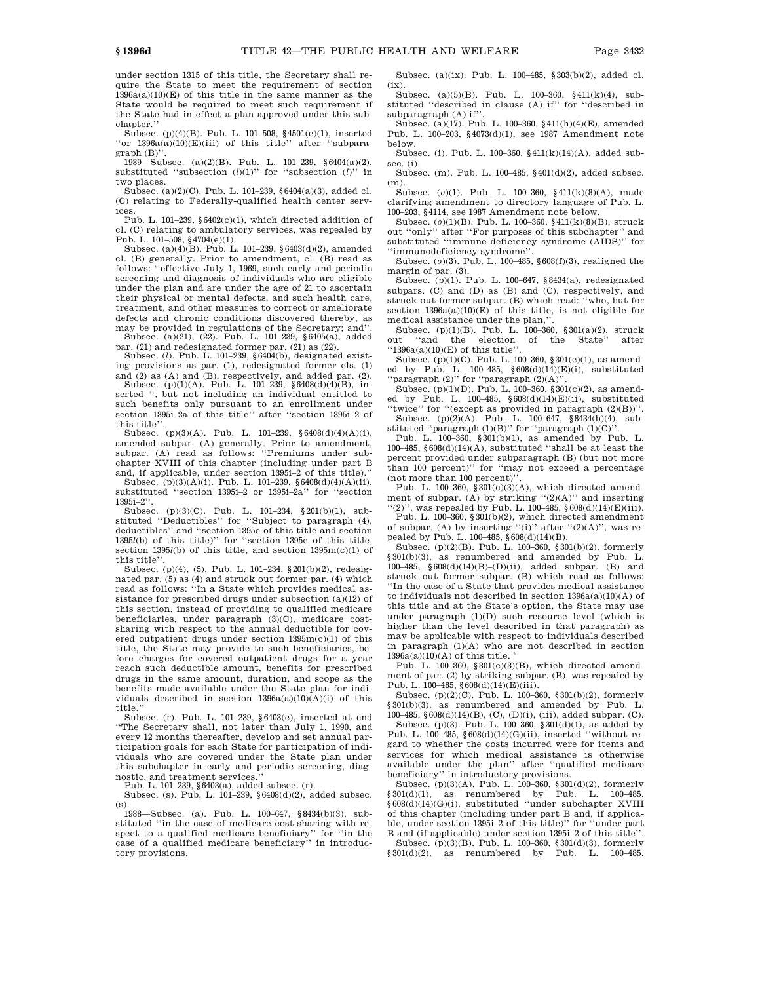under section 1315 of this title, the Secretary shall require the State to meet the requirement of section  $1396a(a)(10)(E)$  of this title in the same manner as the State would be required to meet such requirement if the State had in effect a plan approved under this subchapter.''

Subsec. (p)(4)(B). Pub. L. 101–508, §4501(c)(1), inserted ''or 1396a(a)(10)(E)(iii) of this title'' after ''subparagraph (B)''.

1989—Subsec. (a)(2)(B). Pub. L. 101–239, §6404(a)(2), substituted ''subsection (*l*)(1)'' for ''subsection (*l*)'' in two places.

Subsec. (a)(2)(C). Pub. L. 101–239, §6404(a)(3), added cl. (C) relating to Federally-qualified health center services.

Pub. L. 101–239, §6402(c)(1), which directed addition of cl. (C) relating to ambulatory services, was repealed by Pub. L. 101–508, §4704(e)(1).

Subsec. (a)(4)(B). Pub. L. 101–239, §6403(d)(2), amended cl. (B) generally. Prior to amendment, cl. (B) read as follows: ''effective July 1, 1969, such early and periodic screening and diagnosis of individuals who are eligible under the plan and are under the age of 21 to ascertain their physical or mental defects, and such health care, treatment, and other measures to correct or ameliorate defects and chronic conditions discovered thereby, as may be provided in regulations of the Secretary; and''. Subsec. (a)(21), (22). Pub. L. 101–239, §6405(a), added

par. (21) and redesignated former par. (21) as (22).

Subsec. (*l*). Pub. L. 101–239, §6404(b), designated existing provisions as par. (1), redesignated former cls. (1) and (2) as (A) and (B), respectively, and added par. (2).

Subsec.  $(p)(1)(A)$ . Pub. L. 101-239, §6408(d)(4)(B), inserted '', but not including an individual entitled to such benefits only pursuant to an enrollment under section 1395i–2a of this title'' after ''section 1395i–2 of this title''.

Subsec. (p)(3)(A). Pub. L.  $101-239$ ,  $6408(d)(4)(A)(i)$ , amended subpar. (A) generally. Prior to amendment, subpar. (A) read as follows: ''Premiums under subchapter XVIII of this chapter (including under part B and, if applicable, under section 1395i-2 of this title).

Subsec.  $(p)(3)(A)(i)$ . Pub. L. 101–239, §6408(d)(4)(A)(ii), substituted ''section 1395i–2 or 1395i–2a'' for ''section 1395i–2''.

 $(p)(3)(C)$ . Pub. L. 101–234, §201(b)(1), substituted ''Deductibles'' for ''Subject to paragraph (4), deductibles'' and ''section 1395e of this title and section 1395*l*(b) of this title)'' for ''section 1395e of this title, section 1395*l*(b) of this title, and section 1395m(c)(1) of this title''.

Subsec. (p)(4), (5). Pub. L. 101–234, §201(b)(2), redesignated par. (5) as (4) and struck out former par. (4) which read as follows: ''In a State which provides medical assistance for prescribed drugs under subsection (a)(12) of this section, instead of providing to qualified medicare beneficiaries, under paragraph (3)(C), medicare costsharing with respect to the annual deductible for covered outpatient drugs under section 1395m(c)(1) of this title, the State may provide to such beneficiaries, before charges for covered outpatient drugs for a year reach such deductible amount, benefits for prescribed drugs in the same amount, duration, and scope as the benefits made available under the State plan for individuals described in section  $1396a(a)(10)(A)(i)$  of this title.''

Subsec. (r). Pub. L. 101–239, §6403(c), inserted at end ''The Secretary shall, not later than July 1, 1990, and every 12 months thereafter, develop and set annual participation goals for each State for participation of individuals who are covered under the State plan under this subchapter in early and periodic screening, diagnostic, and treatment services.

Pub. L. 101–239, §6403(a), added subsec. (r).

Subsec. (s). Pub. L. 101–239, §6408(d)(2), added subsec. (s). 1988—Subsec. (a). Pub. L. 100–647, §8434(b)(3), sub-

stituted ''in the case of medicare cost-sharing with respect to a qualified medicare beneficiary'' for ''in the case of a qualified medicare beneficiary'' in introductory provisions.

Subsec. (a)(ix). Pub. L. 100–485, §303(b)(2), added cl. (ix).

Subsec. (a)(5)(B). Pub. L. 100–360, §411(k)(4), substituted ''described in clause (A) if'' for ''described in subparagraph (A) if''.

Subsec. (a)(17). Pub. L. 100–360, §411(h)(4)(E), amended Pub. L. 100–203, §4073(d)(1), see 1987 Amendment note below.

Subsec. (i). Pub. L. 100–360, §411(k)(14)(A), added subsec. (i).

Subsec. (m). Pub. L. 100–485, §401(d)(2), added subsec. (m).

Subsec. (*o*)(1). Pub. L. 100–360, §411(k)(8)(A), made clarifying amendment to directory language of Pub. L. 100–203, §4114, see 1987 Amendment note below.

Subsec. (*o*)(1)(B). Pub. L. 100–360, §411(k)(8)(B), struck out ''only'' after ''For purposes of this subchapter'' and substituted ''immune deficiency syndrome (AIDS)'' for ''immunodeficiency syndrome''.

Subsec. (*o*)(3). Pub. L. 100–485, §608(f)(3), realigned the margin of par. (3).

Subsec. (p)(1). Pub. L. 100–647, §8434(a), redesignated subpars. (C) and (D) as (B) and (C), respectively, and struck out former subpar. (B) which read: ''who, but for section 1396a(a)(10)(E) of this title, is not eligible for medical assistance under the plan,

Subsec. (p)(1)(B). Pub. L. 100–360, §301(a)(2), struck out "and the election of the State"  $"1396a(a)(10)(E)$  of this title".

Subsec. (p)(1)(C). Pub. L. 100–360, §301(c)(1), as amended by Pub. L. 100–485, §608(d)(14)(E)(i), substituted

''paragraph (2)'' for ''paragraph (2)(A)''. Subsec. (p)(1)(D). Pub. L. 100–360, §301(c)(2), as amended by Pub. L. 100–485, §608(d)(14)(E)(ii), substituted ''twice'' for ''(except as provided in paragraph (2)(B))''. Subsec. (p)(2)(A). Pub. L. 100–647, §8434(b)(4), sub-

stituted "paragraph  $(1)(B)$ " for "paragraph  $(1)(C)$ " Pub. L. 100–360, §301(b)(1), as amended by Pub. L.

100–485,  $§608(d)(14)(A)$ , substituted "shall be at least the percent provided under subparagraph (B) (but not more than 100 percent)'' for ''may not exceed a percentage (not more than 100 percent)'

Pub. L. 100–360,  $\S 301(c)(3)(A)$ , which directed amendment of subpar. (A) by striking  $"(2)(A)"$  and inserting  $''(2)$ ", was repealed by Pub. L. 100-485,  $\frac{$608(d)(14)(E)(iii)}{2}$ .

Pub. L. 100–360, §301(b)(2), which directed amendment of subpar. (A) by inserting "(i)" after " $(2)(A)$ ", was repealed by Pub. L. 100–485, §608(d)(14)(B).

Subsec. (p)(2)(B). Pub. L. 100–360, §301(b)(2), formerly §301(b)(3), as renumbered and amended by Pub. L 100–485, §608(d)(14)(B)–(D)(ii), added subpar. (B) and struck out former subpar. (B) which read as follows: ''In the case of a State that provides medical assistance to individuals not described in section  $1396a(a)(10)(A)$  of this title and at the State's option, the State may use under paragraph (1)(D) such resource level (which is higher than the level described in that paragraph) as may be applicable with respect to individuals described in paragraph  $(1)(A)$  who are not described in section  $1396a(a)(10)(A)$  of this title."

Pub. L. 100–360,  $$301(c)(3)(B)$ , which directed amendment of par. (2) by striking subpar. (B), was repealed by Pub. L. 100–485, §608(d)(14)(E)(iii).

Subsec. (p)(2)(C). Pub. L. 100–360, §301(b)(2), formerly §301(b)(3), as renumbered and amended by Pub. L. 100–485, §608(d)(14)(B), (C), (D)(i), (iii), added subpar. (C).

Subsec. (p)(3). Pub. L. 100–360,  $\sqrt{301(d)(1)}$ , as added by Pub. L. 100–485, §608(d)(14)(G)(ii), inserted ''without regard to whether the costs incurred were for items and services for which medical assistance is otherwise available under the plan'' after ''qualified medicare beneficiary'' in introductory provisions.

Subsec. (p)(3)(A). Pub. L. 100–360, §301(d)(2), formerly<br>301(d)(1). as renumbered by Pub. L. 100–485,  $§301(d)(1)$ , as renumbered by Pub. L. 100-485, §608(d)(14)(G)(i), substituted ''under subchapter XVIII of this chapter (including under part B and, if applicable, under section 1395i–2 of this title)'' for ''under part B and (if applicable) under section 1395i–2 of this title''.

Subsec. (p)(3)(B). Pub. L. 100–360, §301(d)(3), formerly §301(d)(2), as renumbered by Pub. L. 100–485,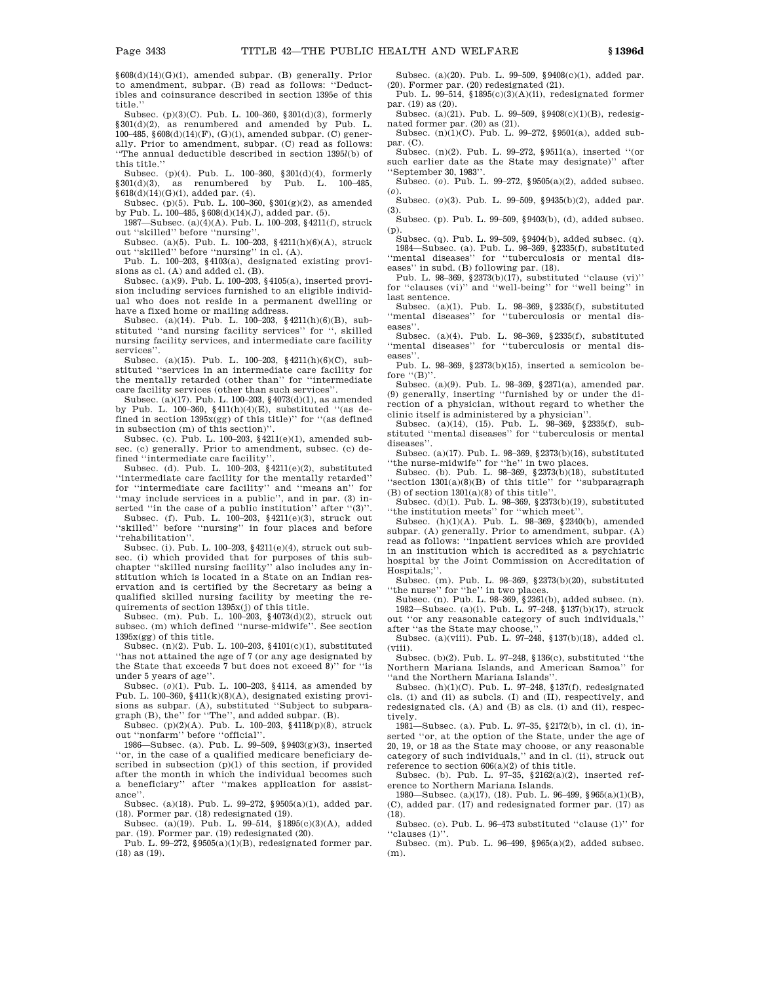§608(d)(14)(G)(i), amended subpar. (B) generally. Prior to amendment, subpar. (B) read as follows: ''Deductibles and coinsurance described in section 1395e of this title.''

Subsec. (p)(3)(C). Pub. L. 100–360, §301(d)(3), formerly §301(d)(2), as renumbered and amended by Pub. L. 100–485, §608(d)(14)(F), (G)(i), amended subpar. (C) generally. Prior to amendment, subpar. (C) read as follows: ''The annual deductible described in section 1395*l*(b) of this title.

Subsec. (p)(4). Pub. L. 100–360, §301(d)(4), formerly 301(d)(3), as renumbered by Pub. L. 100–485,  $§301(d)(3)$ , as renumbered by  $§618(d)(14)(G)(i)$ , added par. (4).

Subsec. (p)(5). Pub. L. 100–360, §301(g)(2), as amended by Pub. L. 100–485, §608(d)(14)(J), added par. (5).

1987—Subsec. (a)(4)(A). Pub. L. 100–203, §4211(f), struck out ''skilled'' before ''nursing''.

Subsec. (a)(5). Pub. L. 100–203, §4211(h)(6)(A), struck out ''skilled'' before ''nursing'' in cl. (A).

Pub. L. 100–203, §4103(a), designated existing provisions as cl. (A) and added cl. (B).

Subsec. (a)(9). Pub. L. 100–203, §4105(a), inserted provision including services furnished to an eligible individual who does not reside in a permanent dwelling or have a fixed home or mailing address.

Subsec. (a)(14). Pub. L. 100–203, §4211(h)(6)(B), substituted ''and nursing facility services'' for '', skilled nursing facility services, and intermediate care facility services''.

Subsec. (a)(15). Pub. L. 100–203, §4211(h)(6)(C), substituted ''services in an intermediate care facility for the mentally retarded (other than'' for ''intermediate care facility services (other than such services''.

Subsec. (a)(17). Pub. L. 100–203, §4073(d)(1), as amended by Pub. L. 100–360, §411(h)(4)(E), substituted ''(as defined in section 1395x(gg) of this title)'' for ''(as defined in subsection (m) of this section)''.

Subsec. (c). Pub. L. 100–203, §4211(e)(1), amended subsec. (c) generally. Prior to amendment, subsec. (c) defined ''intermediate care facility''.

Subsec. (d). Pub. L. 100–203, §4211(e)(2), substituted ''intermediate care facility for the mentally retarded'' for ''intermediate care facility'' and ''means an'' for "may include services in a public", and in par. (3) inserted "in the case of a public institution" after "(3)".

Subsec. (f). Pub. L. 100–203, §4211(e)(3), struck out "skilled" before "nursing" in four places and before ''rehabilitation''.

Subsec. (i). Pub. L. 100–203, §4211(e)(4), struck out subsec. (i) which provided that for purposes of this subchapter ''skilled nursing facility'' also includes any institution which is located in a State on an Indian reservation and is certified by the Secretary as being a qualified skilled nursing facility by meeting the requirements of section 1395x(j) of this title.

Subsec. (m). Pub. L. 100–203, §4073(d)(2), struck out subsec. (m) which defined ''nurse-midwife''. See section 1395x(gg) of this title.

Subsec. (n)(2). Pub. L. 100–203, §4101(c)(1), substituted ''has not attained the age of 7 (or any age designated by the State that exceeds 7 but does not exceed 8)'' for ''is under 5 years of age''.

Subsec. (*o*)(1). Pub. L. 100–203, §4114, as amended by Pub. L. 100–360,  $§411(k)(8)(A)$ , designated existing provisions as subpar. (A), substituted ''Subject to subpara-

graph (B), the'' for ''The'', and added subpar. (B). Subsec. (p)(2)(A). Pub. L. 100–203, §4118(p)(8), struck out ''nonfarm'' before ''official''.

1986—Subsec. (a). Pub. L. 99–509, §9403(g)(3), inserted ''or, in the case of a qualified medicare beneficiary described in subsection (p)(1) of this section, if provided after the month in which the individual becomes such a beneficiary'' after ''makes application for assistance''.

Subsec. (a)(18). Pub. L. 99–272, §9505(a)(1), added par. (18). Former par. (18) redesignated (19).

Subsec. (a)(19). Pub. L. 99–514, §1895(c)(3)(A), added par. (19). Former par. (19) redesignated (20).

Pub. L. 99–272, §9505(a)(1)(B), redesignated former par. (18) as (19).

Subsec. (a)(20). Pub. L. 99–509, §9408(c)(1), added par. (20). Former par. (20) redesignated (21). Pub. L. 99-514, §1895(c)(3)(A)(ii), redesignated former

par. (19) as (20). Subsec. (a)(21). Pub. L. 99–509, §9408(c)(1)(B), redesig-

nated former par. (20) as (21).<br>Subsec. (n)(1)(C). Pub. L. 99–272, §9501(a), added sub-

par. (C). Subsec. (n)(2). Pub. L. 99–272, §9511(a), inserted ''(or such earlier date as the State may designate)'' after ''September 30, 1983''.

Subsec. (*o*). Pub. L. 99–272, §9505(a)(2), added subsec.  $(0)$ 

Subsec. (*o*)(3). Pub. L. 99–509, §9435(b)(2), added par. (3).

Subsec. (p). Pub. L. 99–509, §9403(b), (d), added subsec. (p).

Subsec. (q). Pub. L. 99–509, §9404(b), added subsec. (q). 1984—Subsec. (a). Pub. L. 98–369, §2335(f), substituted ''mental diseases'' for ''tuberculosis or mental diseases'' in subd. (B) following par. (18).

Pub. L. 98–369, §2373(b)(17), substituted ''clause (vi)'' for ''clauses (vi)'' and ''well-being'' for ''well being'' in last sentence.

Subsec. (a)(1). Pub. L. 98–369, §2335(f), substituted ''mental diseases'' for ''tuberculosis or mental diseases''.

Subsec. (a)(4). Pub. L. 98–369, §2335(f), substituted ''mental diseases'' for ''tuberculosis or mental diseases''.

Pub. L. 98–369, §2373(b)(15), inserted a semicolon before  $``(B)"$ .

Subsec. (a)(9). Pub. L. 98–369, §2371(a), amended par. (9) generally, inserting ''furnished by or under the direction of a physician, without regard to whether the clinic itself is administered by a physician''.

Subsec. (a)(14), (15). Pub. L. 98–369, §2335(f), substituted ''mental diseases'' for ''tuberculosis or mental diseases''.

Subsec. (a)(17). Pub. L. 98–369, §2373(b)(16), substituted 'the nurse-midwife'' for "he" in two places.

Subsec. (b). Pub. L. 98–369, §2373(b)(18), substituted  $\text{Section } 1301(a)(8)(B)$  of this title" for "subparagraph" (B) of section  $1301(a)(8)$  of this title".

Subsec. (d)(1). Pub. L. 98–369, §2373(b)(19), substituted ''the institution meets'' for ''which meet''.

Subsec. (h)(1)(A). Pub. L. 98–369, §2340(b), amended subpar. (A) generally. Prior to amendment, subpar. (A) read as follows: ''inpatient services which are provided in an institution which is accredited as a psychiatric hospital by the Joint Commission on Accreditation of Hospitals;''.

Subsec. (m). Pub. L. 98–369, §2373(b)(20), substituted ''the nurse'' for ''he'' in two places.

Subsec. (n). Pub. L. 98–369, §2361(b), added subsec. (n). 1982—Subsec. (a)(i). Pub. L. 97–248, §137(b)(17), struck out ''or any reasonable category of such individuals,'' after "as the State may choose,"

Subsec. (a)(viii). Pub. L. 97–248, §137(b)(18), added cl. (viii).

Subsec. (b)(2). Pub. L. 97–248, §136(c), substituted ''the Northern Mariana Islands, and American Samoa'' for ''and the Northern Mariana Islands''.

Subsec. (h)(1)(C). Pub. L. 97–248, §137(f), redesignated cls. (i) and (ii) as subcls. (I) and (II), respectively, and redesignated cls. (A) and (B) as cls. (i) and (ii), respectively.

1981—Subsec. (a). Pub. L. 97–35, §2172(b), in cl. (i), inserted ''or, at the option of the State, under the age of 20, 19, or 18 as the State may choose, or any reasonable category of such individuals,'' and in cl. (ii), struck out reference to section 606(a)(2) of this title.

Subsec. (b). Pub. L. 97–35, §2162(a)(2), inserted reference to Northern Mariana Islands.

1980—Subsec. (a)(17), (18). Pub. L. 96–499, §965(a)(1)(B), (C), added par. (17) and redesignated former par. (17) as (18).

Subsec. (c). Pub. L. 96–473 substituted ''clause (1)'' for ''clauses (1)''.

Subsec. (m). Pub. L. 96–499, §965(a)(2), added subsec. (m).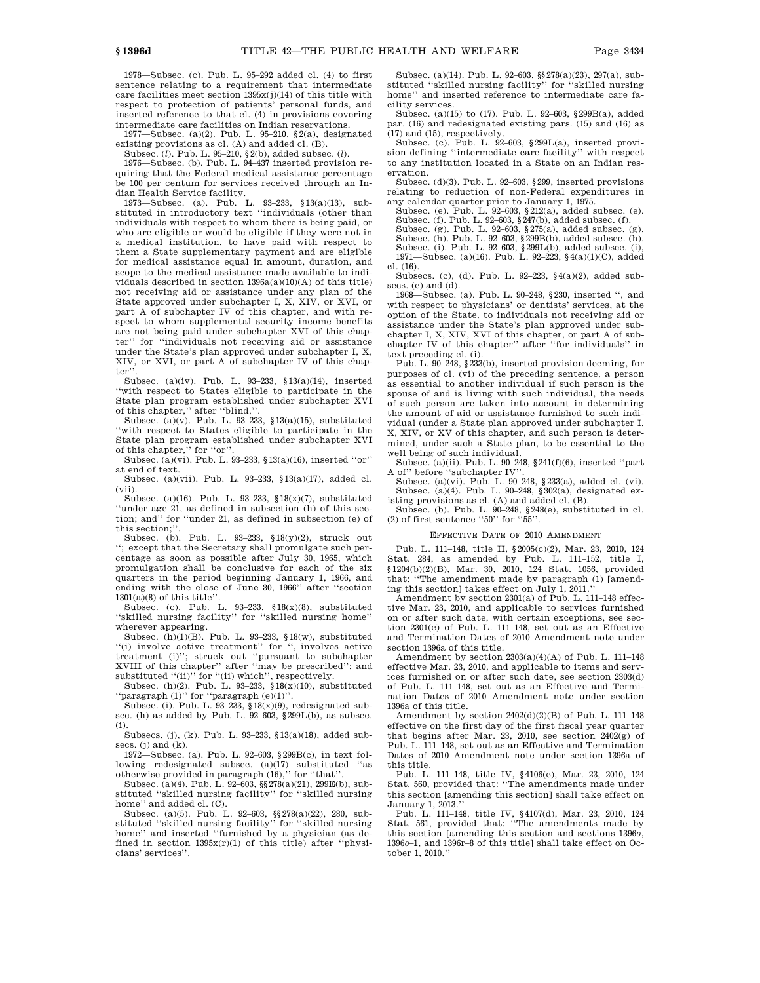1978—Subsec. (c). Pub. L. 95–292 added cl. (4) to first sentence relating to a requirement that intermediate care facilities meet section 1395x(j)(14) of this title with respect to protection of patients' personal funds, and inserted reference to that cl. (4) in provisions covering intermediate care facilities on Indian reservations.

1977—Subsec. (a)(2). Pub. L. 95–210, §2(a), designated existing provisions as cl. (A) and added cl. (B).

Subsec. (*l*). Pub. L. 95–210, §2(b), added subsec. (*l*).

1976—Subsec. (b). Pub. L. 94–437 inserted provision requiring that the Federal medical assistance percentage be 100 per centum for services received through an Indian Health Service facility. 1973—Subsec. (a). Pub. L. 93–233, §13(a)(13), sub-

stituted in introductory text ''individuals (other than individuals with respect to whom there is being paid, or who are eligible or would be eligible if they were not in a medical institution, to have paid with respect to them a State supplementary payment and are eligible for medical assistance equal in amount, duration, and scope to the medical assistance made available to individuals described in section  $1396a(a)(10)(A)$  of this title) not receiving aid or assistance under any plan of the State approved under subchapter I, X, XIV, or XVI, or part A of subchapter IV of this chapter, and with respect to whom supplemental security income benefits are not being paid under subchapter XVI of this chapter'' for ''individuals not receiving aid or assistance under the State's plan approved under subchapter I, X, XIV, or XVI, or part A of subchapter IV of this chapter'

Subsec. (a)(iv). Pub. L. 93–233, §13(a)(14), inserted ''with respect to States eligible to participate in the State plan program established under subchapter XVI of this chapter,'' after ''blind,''.

Subsec.  $\bar{a}$ (x). Pub. L. 93–233, §13(a)(15), substituted ''with respect to States eligible to participate in the State plan program established under subchapter XVI of this chapter,'' for ''or''.

Subsec. (a)(vi). Pub. L. 93–233, §13(a)(16), inserted ''or'' at end of text.

Subsec. (a)(vii). Pub. L. 93–233, §13(a)(17), added cl. (vii).

Subsec. (a)(16). Pub. L. 93–233, §18(x)(7), substituted ''under age 21, as defined in subsection (h) of this section; and'' for ''under 21, as defined in subsection (e) of this section;''.

Subsec. (b). Pub. L. 93-233,  $$18(y)(2)$ , struck out ''; except that the Secretary shall promulgate such percentage as soon as possible after July 30, 1965, which promulgation shall be conclusive for each of the six quarters in the period beginning January 1, 1966, and ending with the close of June 30, 1966'' after ''section  $1301(a)(8)$  of this title'.

Subsec. (c). Pub. L.  $93-233$ ,  $18(x)(8)$ , substituted ''skilled nursing facility'' for ''skilled nursing home'' wherever appearing.

Subsec. (h)(1)(B). Pub. L. 93–233, §18(w), substituted ''(i) involve active treatment'' for '', involves active treatment (i)''; struck out ''pursuant to subchapter XVIII of this chapter'' after ''may be prescribed''; and

substituted "(ii)" for "(ii) which", respectively.<br>Subsec. (h)(2). Pub. L. 93–233,  $\S 18(x)(10)$ , substituted

"paragraph (1)" for "paragraph  $(e)(1)$ ".<br>Subsec. (i). Pub. L. 93–233, §18(x)(9), redesignated subsec. (h) as added by Pub. L. 92–603, §299L(b), as subsec. (i).

Subsecs. (j), (k). Pub. L. 93–233, §13(a)(18), added subsecs. (i) and  $(k)$ .

1972—Subsec. (a). Pub. L. 92–603, §299B(c), in text following redesignated subsec. (a)(17) substituted ''as otherwise provided in paragraph (16),'' for ''that''.

Subsec. (a)(4). Pub. L. 92–603, §§278(a)(21), 299E(b), substituted ''skilled nursing facility'' for ''skilled nursing

home'' and added cl. (C). Subsec. (a)(5). Pub. L. 92–603, §§278(a)(22), 280, substituted ''skilled nursing facility'' for ''skilled nursing home'' and inserted ''furnished by a physician (as defined in section  $1395x(r)(1)$  of this title) after "physicians' services''.

Subsec. (a)(14). Pub. L. 92–603, §§278(a)(23), 297(a), substituted ''skilled nursing facility'' for ''skilled nursing home'' and inserted reference to intermediate care facility services.

Subsec. (a)(15) to (17). Pub. L. 92–603, §299B(a), added par. (16) and redesignated existing pars. (15) and (16) as (17) and (15), respectively.

Subsec. (c). Pub. L. 92–603, §299L(a), inserted provision defining ''intermediate care facility'' with respect to any institution located in a State on an Indian reservation.

Subsec. (d)(3). Pub. L. 92–603, §299, inserted provisions relating to reduction of non-Federal expenditures in any calendar quarter prior to January 1, 1975.

Subsec. (e). Pub. L. 92–603, §212(a), added subsec. (e). Subsec. (f). Pub. L. 92–603, §247(b), added subsec. (f).

Subsec. (g). Pub. L. 92–603, §275(a), added subsec. (g).<br>Subsec. (h). Pub. L. 92–603, §299B(b), added subsec. (h).<br>Subsec. (i). Pub. L. 92–603, §299L(b), added subsec. (i), 1971—Subsec. (a)(16). Pub. L. 92–223, §4(a)(1)(C), added

cl. (16). Subsecs. (c), (d). Pub. L. 92–223, §4(a)(2), added sub-

secs. (c) and  $\overrightarrow{d}$ . 1968—Subsec. (a). Pub. L. 90–248, §230, inserted '', and with respect to physicians' or dentists' services, at the option of the State, to individuals not receiving aid or assistance under the State's plan approved under subchapter I, X, XIV, XVI of this chapter, or part A of subchapter IV of this chapter'' after "for individuals" in

text preceding cl. (i). Pub. L. 90–248, §233(b), inserted provision deeming, for purposes of cl. (vi) of the preceding sentence, a person as essential to another individual if such person is the spouse of and is living with such individual, the needs of such person are taken into account in determining the amount of aid or assistance furnished to such individual (under a State plan approved under subchapter I, X, XIV, or XV of this chapter, and such person is determined, under such a State plan, to be essential to the well being of such individual.

Subsec. (a)(ii). Pub. L. 90–248, §241(f)(6), inserted ''part A of'' before ''subchapter IV''.

Subsec. (a)(vi). Pub. L. 90–248, §233(a), added cl. (vi). Subsec. (a)(4). Pub. L. 90–248, §302(a), designated existing provisions as cl. (A) and added cl. (B).

Subsec. (b). Pub. L. 90–248, §248(e), substituted in cl. (2) of first sentence ''50'' for ''55''.

#### EFFECTIVE DATE OF 2010 AMENDMENT

Pub. L. 111–148, title II, §2005(c)(2), Mar. 23, 2010, 124 Stat. 284, as amended by Pub. L. 111–152, title I, §1204(b)(2)(B), Mar. 30, 2010, 124 Stat. 1056, provided that: ''The amendment made by paragraph (1) [amending this section] takes effect on July 1, 2011.''

Amendment by section 2301(a) of Pub. L. 111-148 effective Mar. 23, 2010, and applicable to services furnished on or after such date, with certain exceptions, see section 2301(c) of Pub. L. 111–148, set out as an Effective and Termination Dates of 2010 Amendment note under section 1396a of this title.

Amendment by section  $2303(a)(4)(A)$  of Pub. L. 111–148 effective Mar. 23, 2010, and applicable to items and services furnished on or after such date, see section 2303(d) of Pub. L. 111–148, set out as an Effective and Termination Dates of 2010 Amendment note under section 1396a of this title.

Amendment by section 2402(d)(2)(B) of Pub. L. 111–148 effective on the first day of the first fiscal year quarter that begins after Mar. 23, 2010, see section 2402(g) of Pub. L. 111–148, set out as an Effective and Termination Dates of 2010 Amendment note under section 1396a of this title.

Pub. L. 111–148, title IV, §4106(c), Mar. 23, 2010, 124 Stat. 560, provided that: ''The amendments made under this section [amending this section] shall take effect on January 1, 2013.''

Pub. L. 111–148, title IV, §4107(d), Mar. 23, 2010, 124 Stat. 561, provided that: ''The amendments made by this section [amending this section and sections 1396*o*, 1396*o*–1, and 1396r–8 of this title] shall take effect on October 1, 2010.''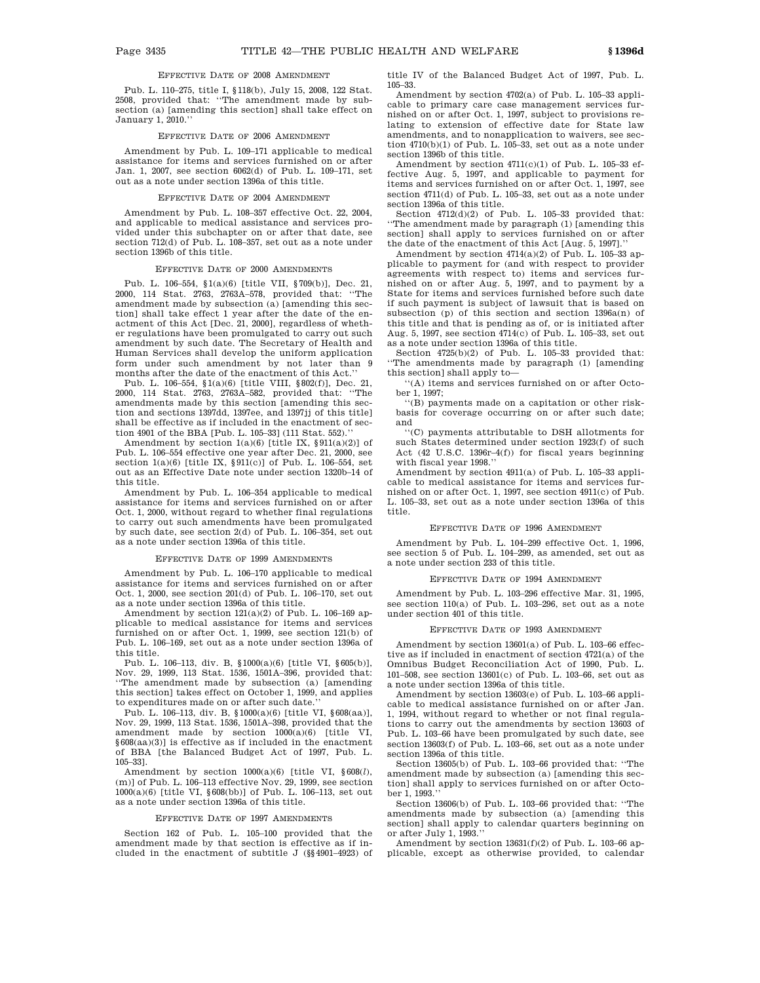# EFFECTIVE DATE OF 2008 AMENDMENT

Pub. L. 110–275, title I, §118(b), July 15, 2008, 122 Stat. 2508, provided that: ''The amendment made by subsection (a) [amending this section] shall take effect on January 1, 2010.''

### EFFECTIVE DATE OF 2006 AMENDMENT

Amendment by Pub. L. 109–171 applicable to medical assistance for items and services furnished on or after Jan. 1, 2007, see section 6062(d) of Pub. L. 109–171, set out as a note under section 1396a of this title.

#### EFFECTIVE DATE OF 2004 AMENDMENT

Amendment by Pub. L. 108–357 effective Oct. 22, 2004, and applicable to medical assistance and services provided under this subchapter on or after that date, see section 712(d) of Pub. L. 108–357, set out as a note under section 1396b of this title.

#### EFFECTIVE DATE OF 2000 AMENDMENTS

Pub. L. 106–554, §1(a)(6) [title VII, §709(b)], Dec. 21, 2000, 114 Stat. 2763, 2763A–578, provided that: ''The amendment made by subsection (a) [amending this section] shall take effect 1 year after the date of the enactment of this Act [Dec. 21, 2000], regardless of whether regulations have been promulgated to carry out such amendment by such date. The Secretary of Health and Human Services shall develop the uniform application form under such amendment by not later than 9 months after the date of the enactment of this Act.''

Pub. L. 106–554, §1(a)(6) [title VIII, §802(f)], Dec. 21, 2000, 114 Stat. 2763, 2763A–582, provided that: ''The amendments made by this section [amending this section and sections 1397dd, 1397ee, and 1397jj of this title] shall be effective as if included in the enactment of section 4901 of the BBA [Pub. L. 105-33] (111 Stat. 552).

Amendment by section  $1(a)(6)$  [title IX, §911(a)(2)] of Pub. L. 106–554 effective one year after Dec. 21, 2000, see section  $1(a)(6)$  [title IX, §911(c)] of Pub. L. 106–554, set out as an Effective Date note under section 1320b–14 of this title.

Amendment by Pub. L. 106–354 applicable to medical assistance for items and services furnished on or after Oct. 1, 2000, without regard to whether final regulations to carry out such amendments have been promulgated by such date, see section 2(d) of Pub. L. 106–354, set out as a note under section 1396a of this title.

#### EFFECTIVE DATE OF 1999 AMENDMENTS

Amendment by Pub. L. 106–170 applicable to medical assistance for items and services furnished on or after Oct. 1, 2000, see section 201(d) of Pub. L. 106–170, set out as a note under section 1396a of this title.

Amendment by section  $121(a)(2)$  of Pub. L. 106-169 applicable to medical assistance for items and services furnished on or after Oct. 1, 1999, see section 121(b) of Pub. L. 106–169, set out as a note under section 1396a of this title.

Pub. L. 106–113, div. B, §1000(a)(6) [title VI, §605(b)], Nov. 29, 1999, 113 Stat. 1536, 1501A–396, provided that: ''The amendment made by subsection (a) [amending this section] takes effect on October 1, 1999, and applies to expenditures made on or after such date.''

Pub. L. 106–113, div. B, §1000(a)(6) [title VI, §608(aa)], Nov. 29, 1999, 113 Stat. 1536, 1501A–398, provided that the amendment made by section  $1000(a)(6)$  [title VI, §608(aa)(3)] is effective as if included in the enactment of BBA [the Balanced Budget Act of 1997, Pub. L. 105–33].

Amendment by section 1000(a)(6) [title VI, §608(*l*), (m)] of Pub. L. 106–113 effective Nov. 29, 1999, see section 1000(a)(6) [title VI, §608(bb)] of Pub. L. 106–113, set out as a note under section 1396a of this title.

#### EFFECTIVE DATE OF 1997 AMENDMENTS

Section 162 of Pub. L. 105–100 provided that the amendment made by that section is effective as if included in the enactment of subtitle J (§§4901–4923) of

title IV of the Balanced Budget Act of 1997, Pub. L. 105–33.

Amendment by section 4702(a) of Pub. L. 105–33 applicable to primary care case management services furnished on or after Oct. 1, 1997, subject to provisions relating to extension of effective date for State law amendments, and to nonapplication to waivers, see section 4710(b)(1) of Pub. L. 105–33, set out as a note under section 1396b of this title.

Amendment by section 4711(c)(1) of Pub. L. 105–33 effective Aug. 5, 1997, and applicable to payment for items and services furnished on or after Oct. 1, 1997, see section 4711(d) of Pub. L. 105–33, set out as a note under section 1396a of this title.

Section 4712(d)(2) of Pub. L. 105–33 provided that: ''The amendment made by paragraph (1) [amending this section] shall apply to services furnished on or after the date of the enactment of this Act  $[Aug, 5, 1997]$ .

Amendment by section  $4714(a)(2)$  of Pub. L. 105-33 applicable to payment for (and with respect to provider agreements with respect to) items and services furnished on or after Aug. 5, 1997, and to payment by a State for items and services furnished before such date if such payment is subject of lawsuit that is based on subsection (p) of this section and section 1396a(n) of this title and that is pending as of, or is initiated after Aug. 5, 1997, see section 4714(c) of Pub. L. 105–33, set out as a note under section 1396a of this title.

Section 4725(b)(2) of Pub. L. 105–33 provided that: ''The amendments made by paragraph (1) [amending this section] shall apply to—

''(A) items and services furnished on or after October 1, 1997;

''(B) payments made on a capitation or other riskbasis for coverage occurring on or after such date; and

''(C) payments attributable to DSH allotments for such States determined under section 1923(f) of such Act (42 U.S.C. 1396r–4(f)) for fiscal years beginning with fiscal year 1998.''

Amendment by section 4911(a) of Pub. L. 105–33 applicable to medical assistance for items and services furnished on or after Oct. 1, 1997, see section 4911(c) of Pub. L. 105–33, set out as a note under section 1396a of this title.

#### EFFECTIVE DATE OF 1996 AMENDMENT

Amendment by Pub. L. 104–299 effective Oct. 1, 1996, see section 5 of Pub. L. 104–299, as amended, set out as a note under section 233 of this title.

### EFFECTIVE DATE OF 1994 AMENDMENT

Amendment by Pub. L. 103–296 effective Mar. 31, 1995, see section 110(a) of Pub. L. 103-296, set out as a note under section 401 of this title.

### EFFECTIVE DATE OF 1993 AMENDMENT

Amendment by section 13601(a) of Pub. L. 103–66 effective as if included in enactment of section 4721(a) of the Omnibus Budget Reconciliation Act of 1990, Pub. L. 101–508, see section 13601(c) of Pub. L. 103–66, set out as a note under section 1396a of this title.

Amendment by section 13603(e) of Pub. L. 103–66 applicable to medical assistance furnished on or after Jan. 1, 1994, without regard to whether or not final regulations to carry out the amendments by section 13603 of Pub. L. 103–66 have been promulgated by such date, see section 13603(f) of Pub. L. 103–66, set out as a note under section 1396a of this title.

Section 13605(b) of Pub. L. 103–66 provided that: ''The amendment made by subsection (a) [amending this section] shall apply to services furnished on or after October 1, 1993.''

Section 13606(b) of Pub. L. 103–66 provided that: ''The amendments made by subsection (a) [amending this section] shall apply to calendar quarters beginning on or after July 1, 1993.''

Amendment by section 13631(f)(2) of Pub. L. 103–66 applicable, except as otherwise provided, to calendar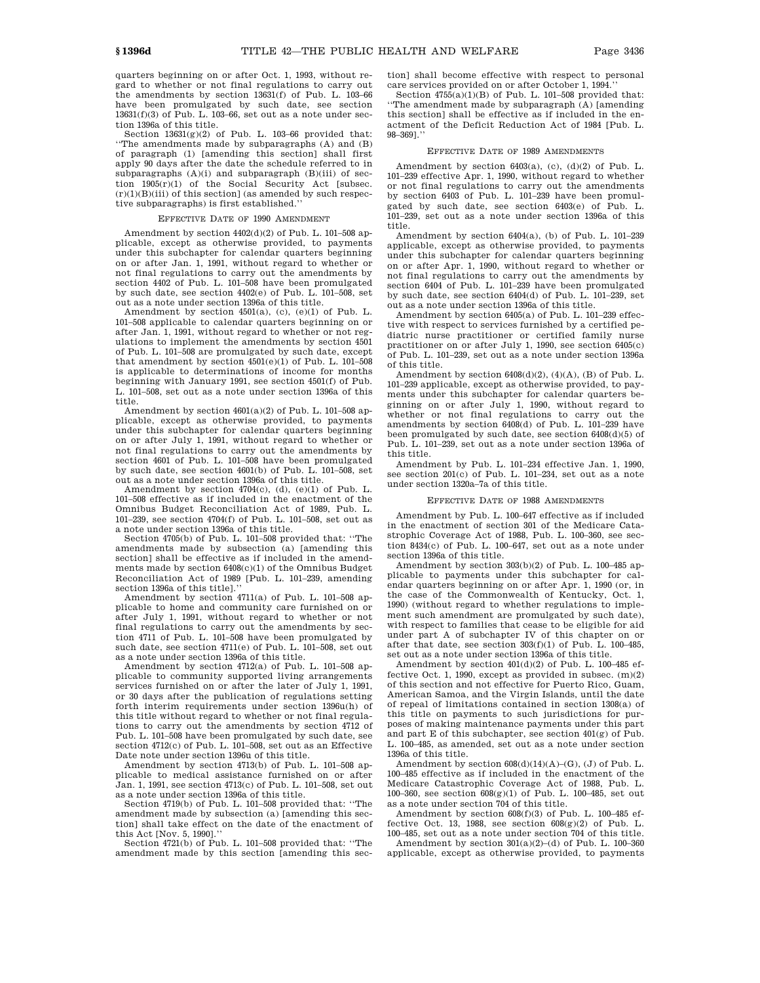quarters beginning on or after Oct. 1, 1993, without regard to whether or not final regulations to carry out the amendments by section 13631(f) of Pub. L. 103–66 have been promulgated by such date, see section  $13631(f)(3)$  of Pub. L. 103-66, set out as a note under section 1396a of this title.

Section  $13631(g)(2)$  of Pub. L. 103-66 provided that: ''The amendments made by subparagraphs (A) and (B) of paragraph (1) [amending this section] shall first apply 90 days after the date the schedule referred to in subparagraphs  $(A)(i)$  and subparagraph  $(B)(iii)$  of section 1905(r)(1) of the Social Security Act [subsec.  $(r)(1)(B)(iii)$  of this section] (as amended by such respective subparagraphs) is first established.''

### EFFECTIVE DATE OF 1990 AMENDMENT

Amendment by section 4402(d)(2) of Pub. L. 101–508 applicable, except as otherwise provided, to payments under this subchapter for calendar quarters beginning on or after Jan. 1, 1991, without regard to whether or not final regulations to carry out the amendments by section 4402 of Pub. L. 101–508 have been promulgated by such date, see section 4402(e) of Pub. L. 101–508, set out as a note under section 1396a of this title.

Amendment by section 4501(a), (c), (e)(1) of Pub. L. 101–508 applicable to calendar quarters beginning on or after Jan. 1, 1991, without regard to whether or not regulations to implement the amendments by section 4501 of Pub. L. 101–508 are promulgated by such date, except that amendment by section 4501(e)(1) of Pub. L. 101–508 is applicable to determinations of income for months beginning with January 1991, see section 4501(f) of Pub. L. 101–508, set out as a note under section 1396a of this title.

Amendment by section 4601(a)(2) of Pub. L. 101–508 applicable, except as otherwise provided, to payments under this subchapter for calendar quarters beginning on or after July 1, 1991, without regard to whether or not final regulations to carry out the amendments by section 4601 of Pub. L. 101–508 have been promulgated by such date, see section 4601(b) of Pub. L. 101–508, set out as a note under section 1396a of this title.

Amendment by section 4704(c), (d), (e)(1) of Pub. L. 101–508 effective as if included in the enactment of the Omnibus Budget Reconciliation Act of 1989, Pub. L. 101–239, see section 4704(f) of Pub. L. 101–508, set out as a note under section 1396a of this title.

Section 4705(b) of Pub. L. 101–508 provided that: ''The amendments made by subsection (a) [amending this section] shall be effective as if included in the amendments made by section  $6408(c)(1)$  of the Omnibus Budget Reconciliation Act of 1989 [Pub. L. 101–239, amending section 1396a of this title].''

Amendment by section  $4711(a)$  of Pub. L. 101–508 applicable to home and community care furnished on or after July 1, 1991, without regard to whether or not final regulations to carry out the amendments by section 4711 of Pub. L. 101–508 have been promulgated by such date, see section 4711(e) of Pub. L. 101–508, set out as a note under section 1396a of this title.

Amendment by section 4712(a) of Pub. L. 101–508 applicable to community supported living arrangements services furnished on or after the later of July 1, 1991, or 30 days after the publication of regulations setting forth interim requirements under section 1396u(h) of this title without regard to whether or not final regulations to carry out the amendments by section 4712 of Pub. L. 101–508 have been promulgated by such date, see section 4712(c) of Pub. L. 101–508, set out as an Effective Date note under section 1396u of this title.

Amendment by section 4713(b) of Pub. L. 101–508 applicable to medical assistance furnished on or after Jan. 1, 1991, see section 4713(c) of Pub. L. 101–508, set out as a note under section 1396a of this title.

Section 4719(b) of Pub. L. 101–508 provided that: ''The amendment made by subsection (a) [amending this section] shall take effect on the date of the enactment of this Act [Nov. 5, 1990].

Section 4721(b) of Pub. L. 101–508 provided that: ''The amendment made by this section [amending this section] shall become effective with respect to personal care services provided on or after October 1, 1994.

Section  $4755(a)(1)(B)$  of Pub. L. 101-508 provided that: ''The amendment made by subparagraph (A) [amending this section] shall be effective as if included in the enactment of the Deficit Reduction Act of 1984 [Pub. L. 98–369].''

# EFFECTIVE DATE OF 1989 AMENDMENTS

Amendment by section  $6403(a)$ , (c), (d)(2) of Pub. L. 101–239 effective Apr. 1, 1990, without regard to whether or not final regulations to carry out the amendments by section 6403 of Pub. L. 101–239 have been promulgated by such date, see section 6403(e) of Pub. L. 101–239, set out as a note under section 1396a of this title.

Amendment by section 6404(a), (b) of Pub. L. 101–239 applicable, except as otherwise provided, to payments under this subchapter for calendar quarters beginning on or after Apr. 1, 1990, without regard to whether or not final regulations to carry out the amendments by section 6404 of Pub. L. 101–239 have been promulgated by such date, see section 6404(d) of Pub. L. 101–239, set out as a note under section 1396a of this title.

Amendment by section 6405(a) of Pub. L. 101–239 effective with respect to services furnished by a certified pediatric nurse practitioner or certified family nurse practitioner on or after July 1, 1990, see section 6405(c) of Pub. L. 101–239, set out as a note under section 1396a of this title.

Amendment by section  $6408(d)(2)$ ,  $(4)(A)$ ,  $(B)$  of Pub. L. 101–239 applicable, except as otherwise provided, to payments under this subchapter for calendar quarters beginning on or after July 1, 1990, without regard to whether or not final regulations to carry out the amendments by section 6408(d) of Pub. L. 101–239 have been promulgated by such date, see section 6408(d)(5) of Pub. L. 101–239, set out as a note under section 1396a of this title.

Amendment by Pub. L. 101–234 effective Jan. 1, 1990, see section 201(c) of Pub. L. 101–234, set out as a note under section 1320a–7a of this title.

### EFFECTIVE DATE OF 1988 AMENDMENTS

Amendment by Pub. L. 100–647 effective as if included in the enactment of section 301 of the Medicare Catastrophic Coverage Act of 1988, Pub. L. 100–360, see section 8434(c) of Pub. L. 100–647, set out as a note under section 1396a of this title.

Amendment by section 303(b)(2) of Pub. L. 100–485 applicable to payments under this subchapter for calendar quarters beginning on or after Apr. 1, 1990 (or, in the case of the Commonwealth of Kentucky, Oct. 1, 1990) (without regard to whether regulations to implement such amendment are promulgated by such date), with respect to families that cease to be eligible for aid under part A of subchapter IV of this chapter on or after that date, see section 303(f)(1) of Pub. L. 100–485, set out as a note under section 1396a of this title.

Amendment by section 401(d)(2) of Pub. L. 100–485 effective Oct. 1, 1990, except as provided in subsec. (m)(2) of this section and not effective for Puerto Rico, Guam, American Samoa, and the Virgin Islands, until the date of repeal of limitations contained in section 1308(a) of this title on payments to such jurisdictions for purposes of making maintenance payments under this part and part E of this subchapter, see section 401(g) of Pub. L. 100–485, as amended, set out as a note under section 1396a of this title.

Amendment by section  $608(d)(14)(A)-(G)$ , (J) of Pub. L. 100–485 effective as if included in the enactment of the Medicare Catastrophic Coverage Act of 1988, Pub. L. 100–360, see section 608(g)(1) of Pub. L. 100–485, set out as a note under section 704 of this title.

Amendment by section 608(f)(3) of Pub. L. 100–485 effective Oct. 13, 1988, see section  $608(g)(2)$  of Pub. L. 100–485, set out as a note under section 704 of this title.

Amendment by section  $301(a)(2)-(d)$  of Pub. L.  $100-360$ applicable, except as otherwise provided, to payments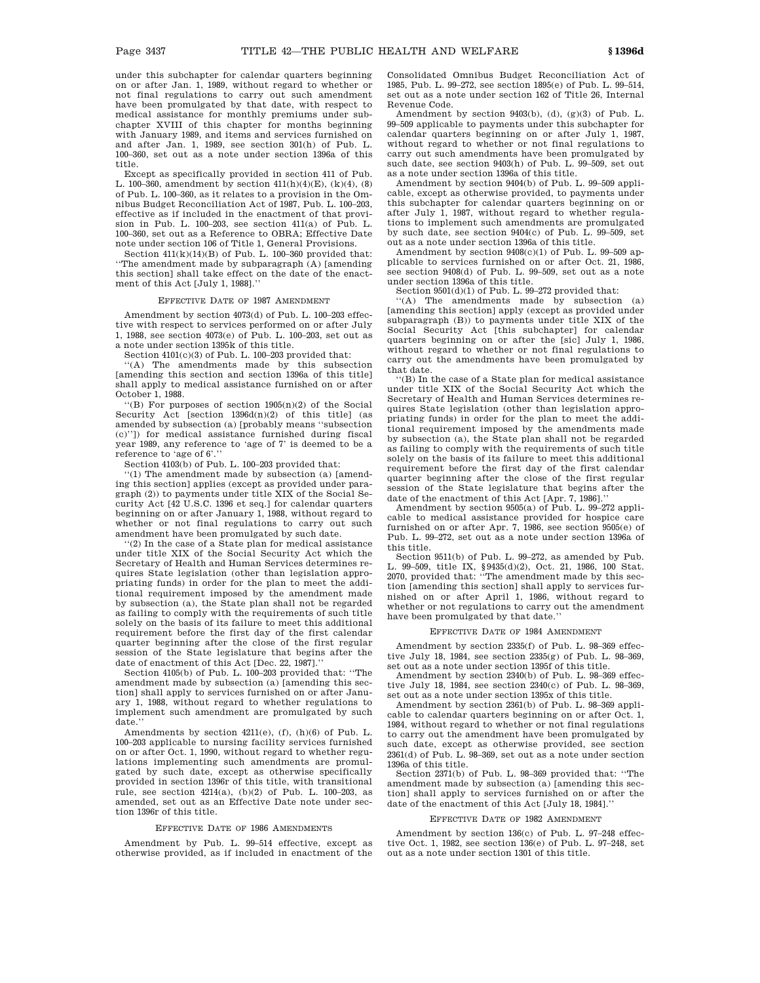under this subchapter for calendar quarters beginning on or after Jan. 1, 1989, without regard to whether or not final regulations to carry out such amendment have been promulgated by that date, with respect to medical assistance for monthly premiums under subchapter XVIII of this chapter for months beginning with January 1989, and items and services furnished on and after Jan. 1, 1989, see section 301(h) of Pub. L. 100–360, set out as a note under section 1396a of this title.

Except as specifically provided in section 411 of Pub. L. 100–360, amendment by section  $411(h)(4)(E)$ ,  $(k)(4)$ ,  $(8)$ of Pub. L. 100–360, as it relates to a provision in the Omnibus Budget Reconciliation Act of 1987, Pub. L. 100–203, effective as if included in the enactment of that provision in Pub. L. 100–203, see section 411(a) of Pub. L. 100–360, set out as a Reference to OBRA; Effective Date note under section 106 of Title 1, General Provisions.

Section  $411(k)(14)(B)$  of Pub. L. 100-360 provided that: ''The amendment made by subparagraph (A) [amending this section] shall take effect on the date of the enactment of this Act [July 1, 1988].''

### EFFECTIVE DATE OF 1987 AMENDMENT

Amendment by section 4073(d) of Pub. L. 100–203 effective with respect to services performed on or after July 1, 1988, see section 4073(e) of Pub. L. 100–203, set out as a note under section 1395k of this title.

Section  $4101(\mathrm{c})(3)$  of Pub. L. 100–203 provided that:

''(A) The amendments made by this subsection [amending this section and section 1396a of this title] shall apply to medical assistance furnished on or after October 1, 1988.

''(B) For purposes of section 1905(n)(2) of the Social Security Act [section  $1396d(n)(2)$  of this title] (as amended by subsection (a) [probably means ''subsection (c)'']) for medical assistance furnished during fiscal year 1989, any reference to 'age of 7' is deemed to be a reference to 'age of 6'.

Section 4103(b) of Pub. L. 100–203 provided that:

''(1) The amendment made by subsection (a) [amending this section] applies (except as provided under paragraph (2)) to payments under title XIX of the Social Security Act [42 U.S.C. 1396 et seq.] for calendar quarters beginning on or after January 1, 1988, without regard to whether or not final regulations to carry out such amendment have been promulgated by such date.

'(2) In the case of a State plan for medical assistance under title XIX of the Social Security Act which the Secretary of Health and Human Services determines requires State legislation (other than legislation appropriating funds) in order for the plan to meet the additional requirement imposed by the amendment made by subsection (a), the State plan shall not be regarded as failing to comply with the requirements of such title solely on the basis of its failure to meet this additional requirement before the first day of the first calendar quarter beginning after the close of the first regular session of the State legislature that begins after the date of enactment of this Act [Dec. 22, 1987].

Section 4105(b) of Pub. L. 100–203 provided that: ''The amendment made by subsection (a) [amending this section] shall apply to services furnished on or after January 1, 1988, without regard to whether regulations to implement such amendment are promulgated by such date.'

Amendments by section 4211(e), (f), (h)(6) of Pub. L. 100–203 applicable to nursing facility services furnished on or after Oct. 1, 1990, without regard to whether regulations implementing such amendments are promulgated by such date, except as otherwise specifically provided in section 1396r of this title, with transitional rule, see section 4214(a), (b)(2) of Pub. L. 100–203, as amended, set out as an Effective Date note under section 1396r of this title.

#### EFFECTIVE DATE OF 1986 AMENDMENTS

Amendment by Pub. L. 99–514 effective, except as otherwise provided, as if included in enactment of the Consolidated Omnibus Budget Reconciliation Act of 1985, Pub. L. 99–272, see section 1895(e) of Pub. L. 99–514, set out as a note under section 162 of Title 26, Internal Revenue Code.

Amendment by section 9403(b), (d), (g)(3) of Pub. L. 99–509 applicable to payments under this subchapter for calendar quarters beginning on or after July 1, 1987, without regard to whether or not final regulations to carry out such amendments have been promulgated by such date, see section 9403(h) of Pub. L. 99–509, set out as a note under section 1396a of this title.

Amendment by section 9404(b) of Pub. L. 99–509 applicable, except as otherwise provided, to payments under this subchapter for calendar quarters beginning on or after July 1, 1987, without regard to whether regulations to implement such amendments are promulgated by such date, see section 9404(c) of Pub. L. 99–509, set out as a note under section 1396a of this title.

Amendment by section 9408(c)(1) of Pub. L. 99–509 applicable to services furnished on or after Oct. 21, 1986, see section 9408(d) of Pub. L. 99–509, set out as a note under section 1396a of this title.

Section 9501(d)(1) of Pub. L. 99–272 provided that:

''(A) The amendments made by subsection (a) [amending this section] apply (except as provided under subparagraph (B)) to payments under title XIX of the Social Security Act [this subchapter] for calendar quarters beginning on or after the [sic] July 1, 1986, without regard to whether or not final regulations to carry out the amendments have been promulgated by that date.

''(B) In the case of a State plan for medical assistance under title XIX of the Social Security Act which the Secretary of Health and Human Services determines requires State legislation (other than legislation appropriating funds) in order for the plan to meet the additional requirement imposed by the amendments made by subsection (a), the State plan shall not be regarded as failing to comply with the requirements of such title solely on the basis of its failure to meet this additional requirement before the first day of the first calendar quarter beginning after the close of the first regular session of the State legislature that begins after the date of the enactment of this Act [Apr. 7, 1986].''

Amendment by section 9505(a) of Pub. L. 99–272 applicable to medical assistance provided for hospice care furnished on or after Apr. 7, 1986, see section 9505(e) of Pub. L. 99–272, set out as a note under section 1396a of this title.

Section 9511(b) of Pub. L. 99–272, as amended by Pub. L. 99–509, title IX, §9435(d)(2), Oct. 21, 1986, 100 Stat. 2070, provided that: ''The amendment made by this section [amending this section] shall apply to services furnished on or after April 1, 1986, without regard to whether or not regulations to carry out the amendment have been promulgated by that date.''

#### EFFECTIVE DATE OF 1984 AMENDMENT

Amendment by section 2335(f) of Pub. L. 98–369 effective July 18, 1984, see section 2335(g) of Pub. L. 98–369, set out as a note under section 1395f of this title.

Amendment by section 2340(b) of Pub. L. 98–369 effective July 18, 1984, see section 2340(c) of Pub. L. 98–369, set out as a note under section 1395x of this title.

Amendment by section 2361(b) of Pub. L. 98–369 applicable to calendar quarters beginning on or after Oct. 1, 1984, without regard to whether or not final regulations to carry out the amendment have been promulgated by such date, except as otherwise provided, see section 2361(d) of Pub. L. 98–369, set out as a note under section 1396a of this title.

Section 2371(b) of Pub. L. 98–369 provided that: ''The amendment made by subsection  $(a)$  [amending this section] shall apply to services furnished on or after the date of the enactment of this Act [July 18, 1984].''

#### EFFECTIVE DATE OF 1982 AMENDMENT

Amendment by section 136(c) of Pub. L. 97–248 effective Oct. 1, 1982, see section 136(e) of Pub. L. 97–248, set out as a note under section 1301 of this title.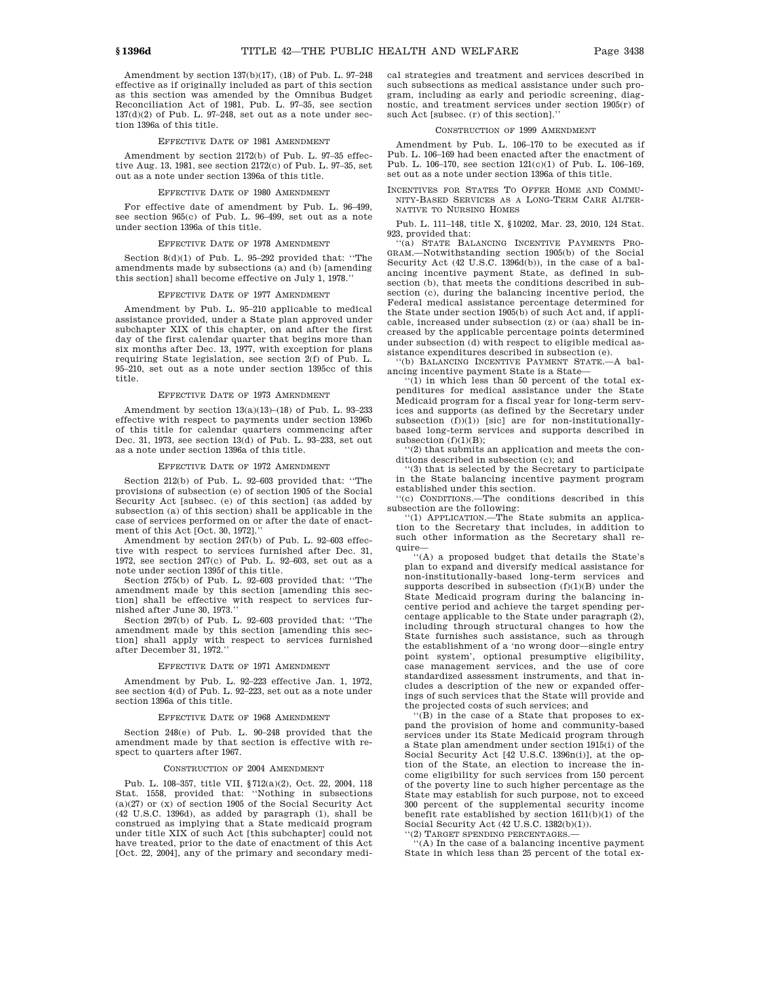Amendment by section 137(b)(17), (18) of Pub. L. 97–248 effective as if originally included as part of this section as this section was amended by the Omnibus Budget Reconciliation Act of 1981, Pub. L. 97–35, see section  $137(d)(2)$  of Pub. L. 97-248, set out as a note under section 1396a of this title.

## EFFECTIVE DATE OF 1981 AMENDMENT

Amendment by section 2172(b) of Pub. L. 97–35 effective Aug. 13, 1981, see section 2172(c) of Pub. L. 97–35, set out as a note under section 1396a of this title.

#### EFFECTIVE DATE OF 1980 AMENDMENT

For effective date of amendment by Pub. L. 96–499, see section 965(c) of Pub. L. 96–499, set out as a note under section 1396a of this title.

# EFFECTIVE DATE OF 1978 AMENDMENT

Section 8(d)(1) of Pub. L. 95–292 provided that: ''The amendments made by subsections (a) and (b) [amending this section] shall become effective on July 1, 1978.''

### EFFECTIVE DATE OF 1977 AMENDMEN

Amendment by Pub. L. 95–210 applicable to medical assistance provided, under a State plan approved under subchapter XIX of this chapter, on and after the first day of the first calendar quarter that begins more than six months after Dec. 13, 1977, with exception for plans requiring State legislation, see section 2(f) of Pub. L. 95–210, set out as a note under section 1395cc of this title.

### EFFECTIVE DATE OF 1973 AMENDMENT

Amendment by section  $13(a)(13)$ – $(18)$  of Pub. L. 93–233 effective with respect to payments under section 1396b of this title for calendar quarters commencing after Dec. 31, 1973, see section 13(d) of Pub. L. 93–233, set out as a note under section 1396a of this title.

### EFFECTIVE DATE OF 1972 AMENDMENT

Section 212(b) of Pub. L. 92–603 provided that: ''The provisions of subsection (e) of section 1905 of the Social Security Act [subsec. (e) of this section] (as added by subsection (a) of this section) shall be applicable in the case of services performed on or after the date of enactment of this Act [Oct. 30, 1972].''

Amendment by section 247(b) of Pub. L. 92–603 effective with respect to services furnished after Dec. 31, 1972, see section 247(c) of Pub. L. 92–603, set out as a note under section 1395f of this title.

Section 275(b) of Pub. L. 92–603 provided that: ''The amendment made by this section [amending this section] shall be effective with respect to services furnished after June 30, 1973.''

Section 297(b) of Pub. L. 92–603 provided that: ''The amendment made by this section [amending this section] shall apply with respect to services furnished after December 31, 1972.''

#### EFFECTIVE DATE OF 1971 AMENDMENT

Amendment by Pub. L. 92–223 effective Jan. 1, 1972, see section 4(d) of Pub. L. 92–223, set out as a note under section 1396a of this title.

#### EFFECTIVE DATE OF 1968 AMENDMENT

Section 248(e) of Pub. L. 90–248 provided that the amendment made by that section is effective with respect to quarters after 1967.

#### CONSTRUCTION OF 2004 AMENDMENT

Pub. L. 108–357, title VII, §712(a)(2), Oct. 22, 2004, 118 Stat. 1558, provided that: ''Nothing in subsections (a)(27) or (x) of section 1905 of the Social Security Act (42 U.S.C. 1396d), as added by paragraph (1), shall be construed as implying that a State medicaid program under title XIX of such Act [this subchapter] could not have treated, prior to the date of enactment of this Act [Oct. 22, 2004], any of the primary and secondary medi-

cal strategies and treatment and services described in such subsections as medical assistance under such program, including as early and periodic screening, diagnostic, and treatment services under section 1905(r) of such Act [subsec. (r) of this section].''

### CONSTRUCTION OF 1999 AMENDMENT

Amendment by Pub. L. 106–170 to be executed as if Pub. L. 106–169 had been enacted after the enactment of Pub. L. 106–170, see section 121(c)(1) of Pub. L. 106–169, set out as a note under section 1396a of this title.

INCENTIVES FOR STATES TO OFFER HOME AND COMMU-NITY-BASED SERVICES AS A LONG-TERM CARE ALTER-NATIVE TO NURSING HOMES

Pub. L. 111–148, title X, §10202, Mar. 23, 2010, 124 Stat. 923, provided that:

''(a) STATE BALANCING INCENTIVE PAYMENTS PRO-GRAM.—Notwithstanding section 1905(b) of the Social Security Act (42 U.S.C. 1396d(b)), in the case of a balancing incentive payment State, as defined in subsection (b), that meets the conditions described in subsection (c), during the balancing incentive period, the Federal medical assistance percentage determined for the State under section  $1905(b)$  of such Act and, if applicable, increased under subsection (z) or (aa) shall be increased by the applicable percentage points determined under subsection (d) with respect to eligible medical assistance expenditures described in subsection (e).

''(b) BALANCING INCENTIVE PAYMENT STATE.—A balancing incentive payment State is a State—

 $''(1)$  in which less than 50 percent of the total expenditures for medical assistance under the State Medicaid program for a fiscal year for long-term services and supports (as defined by the Secretary under subsection (f))(1)) [sic] are for non-institutionallybased long-term services and supports described in subsection (f)(1)(B):

 $\mathcal{L}(2)$  that submits an application and meets the conditions described in subsection (c); and

''(3) that is selected by the Secretary to participate in the State balancing incentive payment program established under this section.

'(c) CONDITIONS.—The conditions described in this subsection are the following:

''(1) APPLICATION.—The State submits an application to the Secretary that includes, in addition to such other information as the Secretary shall require—

''(A) a proposed budget that details the State's plan to expand and diversify medical assistance for non-institutionally-based long-term services and supports described in subsection  $(f)(1)(B)$  under the State Medicaid program during the balancing incentive period and achieve the target spending percentage applicable to the State under paragraph (2), including through structural changes to how the State furnishes such assistance, such as through the establishment of a 'no wrong door—single entry point system', optional presumptive eligibility, case management services, and the use of core standardized assessment instruments, and that includes a description of the new or expanded offerings of such services that the State will provide and the projected costs of such services; and

''(B) in the case of a State that proposes to expand the provision of home and community-based services under its State Medicaid program through a State plan amendment under section 1915(i) of the Social Security Act [42 U.S.C. 1396n(i)], at the option of the State, an election to increase the income eligibility for such services from 150 percent of the poverty line to such higher percentage as the State may establish for such purpose, not to exceed 300 percent of the supplemental security income benefit rate established by section 1611(b)(1) of the Social Security Act (42 U.S.C. 1382(b)(1)).

''(2) TARGET SPENDING PERCENTAGES.— ''(A) In the case of a balancing incentive payment State in which less than 25 percent of the total ex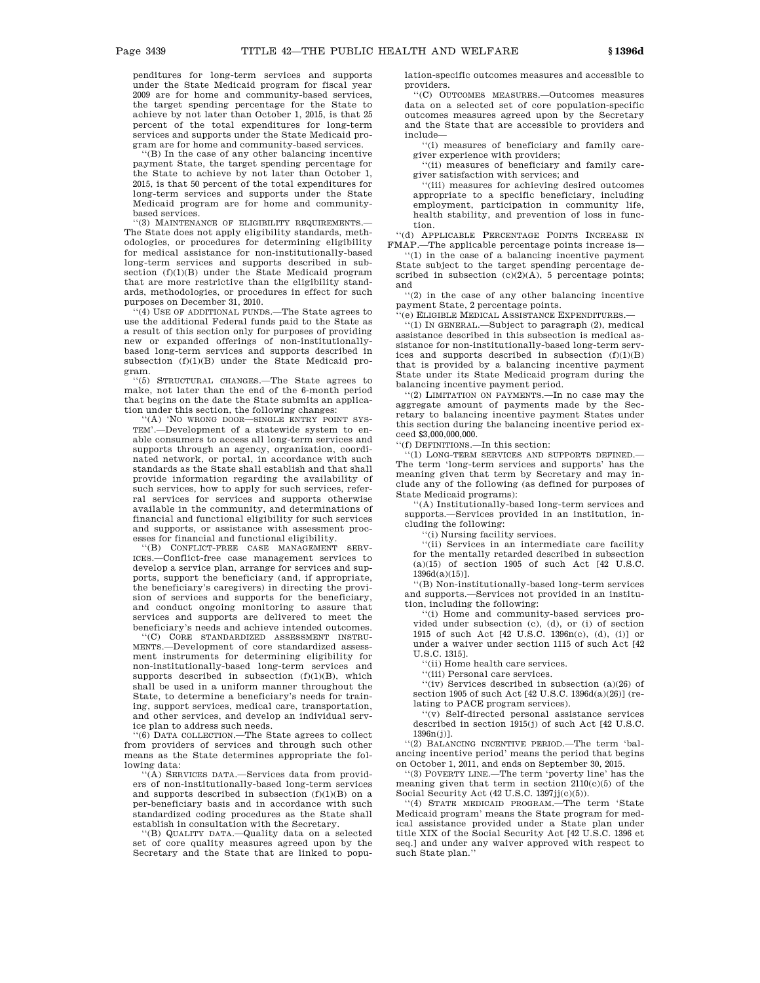penditures for long-term services and supports under the State Medicaid program for fiscal year 2009 are for home and community-based services, the target spending percentage for the State to achieve by not later than October 1, 2015, is that 25 percent of the total expenditures for long-term services and supports under the State Medicaid program are for home and community-based services.

''(B) In the case of any other balancing incentive payment State, the target spending percentage for the State to achieve by not later than October 1, 2015, is that 50 percent of the total expenditures for long-term services and supports under the State Medicaid program are for home and communitybased services.

'(3) MAINTENANCE OF ELIGIBILITY REQUIREMENTS. The State does not apply eligibility standards, methodologies, or procedures for determining eligibility for medical assistance for non-institutionally-based long-term services and supports described in subsection  $(f)(1)(B)$  under the State Medicaid program that are more restrictive than the eligibility standards, methodologies, or procedures in effect for such purposes on December 31, 2010.

 $(4)$  USE OF ADDITIONAL FUNDS.—The State agrees to use the additional Federal funds paid to the State as a result of this section only for purposes of providing new or expanded offerings of non-institutionallybased long-term services and supports described in subsection  $(f)(1)(B)$  under the State Medicaid program.

''(5) STRUCTURAL CHANGES.—The State agrees to make, not later than the end of the 6-month period that begins on the date the State submits an application under this section, the following changes:

'(A) 'NO WRONG DOOR-SINGLE ENTRY POINT SYS-TEM'.—Development of a statewide system to enable consumers to access all long-term services and supports through an agency, organization, coordinated network, or portal, in accordance with such standards as the State shall establish and that shall provide information regarding the availability of such services, how to apply for such services, referral services for services and supports otherwise available in the community, and determinations of financial and functional eligibility for such services and supports, or assistance with assessment processes for financial and functional eligibility.

''(B) CONFLICT-FREE CASE MANAGEMENT SERV-ICES.—Conflict-free case management services to develop a service plan, arrange for services and supports, support the beneficiary (and, if appropriate, the beneficiary's caregivers) in directing the provision of services and supports for the beneficiary, and conduct ongoing monitoring to assure that services and supports are delivered to meet the beneficiary's needs and achieve intended outcomes.

''(C) CORE STANDARDIZED ASSESSMENT INSTRU-MENTS.—Development of core standardized assessment instruments for determining eligibility for non-institutionally-based long-term services and supports described in subsection  $(f)(1)(B)$ , which shall be used in a uniform manner throughout the State, to determine a beneficiary's needs for training, support services, medical care, transportation, and other services, and develop an individual service plan to address such needs.

''(6) DATA COLLECTION.—The State agrees to collect from providers of services and through such other means as the State determines appropriate the following data:

''(A) SERVICES DATA.—Services data from providers of non-institutionally-based long-term services and supports described in subsection  $(f)(1)(B)$  on a per-beneficiary basis and in accordance with such standardized coding procedures as the State shall establish in consultation with the Secretary.

''(B) QUALITY DATA.—Quality data on a selected set of core quality measures agreed upon by the Secretary and the State that are linked to population-specific outcomes measures and accessible to providers.

''(C) OUTCOMES MEASURES.—Outcomes measures data on a selected set of core population-specific outcomes measures agreed upon by the Secretary and the State that are accessible to providers and include—

''(i) measures of beneficiary and family caregiver experience with providers;

''(ii) measures of beneficiary and family caregiver satisfaction with services; and

''(iii) measures for achieving desired outcomes appropriate to a specific beneficiary, including employment, participation in community life, health stability, and prevention of loss in function.

''(d) APPLICABLE PERCENTAGE POINTS INCREASE IN FMAP.—The applicable percentage points increase is—

''(1) in the case of a balancing incentive payment State subject to the target spending percentage described in subsection  $(c)(2)(A)$ , 5 percentage points; and

''(2) in the case of any other balancing incentive payment State, 2 percentage points.

''(e) ELIGIBLE MEDICAL ASSISTANCE EXPENDITURES.—

''(1) IN GENERAL.—Subject to paragraph (2), medical assistance described in this subsection is medical assistance for non-institutionally-based long-term services and supports described in subsection (f)(1)(B) that is provided by a balancing incentive payment State under its State Medicaid program during the balancing incentive payment period.

''(2) LIMITATION ON PAYMENTS.—In no case may the aggregate amount of payments made by the Secretary to balancing incentive payment States under this section during the balancing incentive period exceed \$3,000,000,000.

''(f) DEFINITIONS.—In this section:

''(1) LONG-TERM SERVICES AND SUPPORTS DEFINED.— The term 'long-term services and supports' has the meaning given that term by Secretary and may include any of the following (as defined for purposes of State Medicaid programs):

''(A) Institutionally-based long-term services and supports.—Services provided in an institution, including the following:

''(i) Nursing facility services.

''(ii) Services in an intermediate care facility for the mentally retarded described in subsection  $(a)(15)$  of section 1905 of such Act  $[42 \text{ U.S.C.}]$ 1396d(a)(15)].

''(B) Non-institutionally-based long-term services and supports.—Services not provided in an institution, including the following:

''(i) Home and community-based services provided under subsection (c), (d), or (i) of section 1915 of such Act [42 U.S.C. 1396n(c), (d), (i)] or under a waiver under section 1115 of such Act [42 U.S.C. 1315].

''(ii) Home health care services.

''(iii) Personal care services.

''(iv) Services described in subsection (a)(26) of section 1905 of such Act [42 U.S.C. 1396d(a)(26)] (relating to PACE program services).

''(v) Self-directed personal assistance services described in section 1915(j) of such Act [42 U.S.C. 1396n(j)].

''(2) BALANCING INCENTIVE PERIOD.—The term 'balancing incentive period' means the period that begins on October 1, 2011, and ends on September 30, 2015.

'(3) POVERTY LINE.—The term 'poverty line' has the meaning given that term in section  $2110(c)(5)$  of the Social Security Act (42 U.S.C. 1397jj(c)(5)).

''(4) STATE MEDICAID PROGRAM.—The term 'State Medicaid program' means the State program for medical assistance provided under a State plan under title XIX of the Social Security Act [42 U.S.C. 1396 et seq.] and under any waiver approved with respect to such State plan.''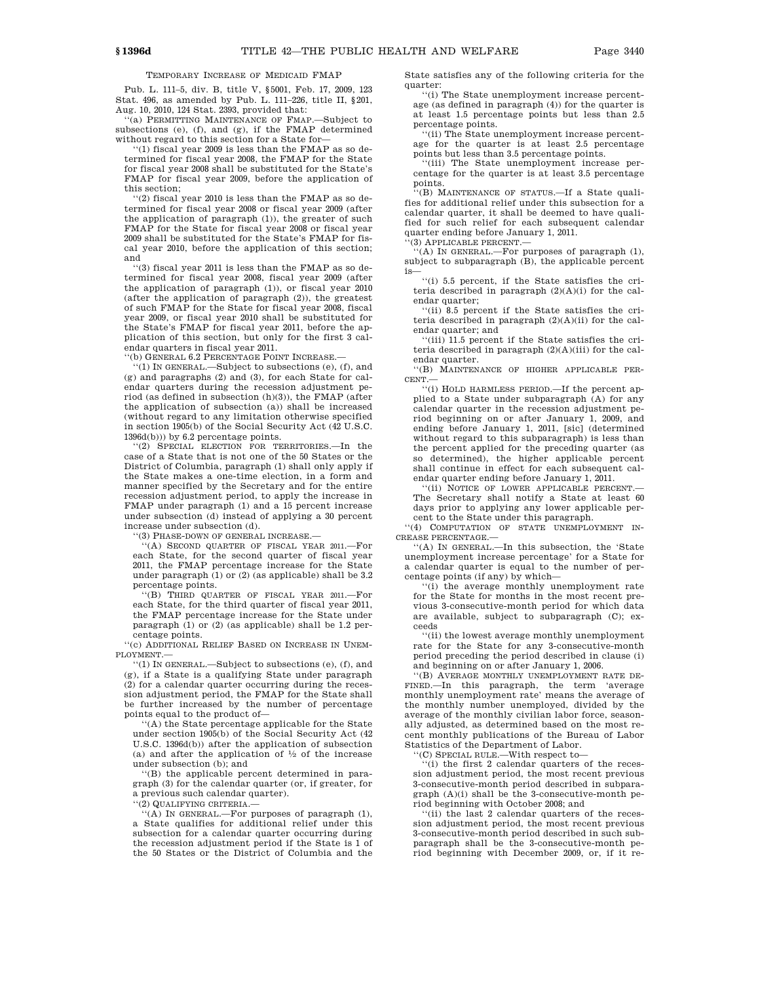TEMPORARY INCREASE OF MEDICAID FMAP

Pub. L. 111–5, div. B, title V, §5001, Feb. 17, 2009, 123 Stat. 496, as amended by Pub. L. 111–226, title II, §201, Aug. 10, 2010, 124 Stat. 2393, provided that:

''(a) PERMITTING MAINTENANCE OF FMAP.—Subject to subsections (e), (f), and (g), if the FMAP determined without regard to this section for a State for—

''(1) fiscal year 2009 is less than the FMAP as so determined for fiscal year 2008, the FMAP for the State for fiscal year 2008 shall be substituted for the State's FMAP for fiscal year 2009, before the application of this section;

''(2) fiscal year 2010 is less than the FMAP as so determined for fiscal year 2008 or fiscal year 2009 (after the application of paragraph (1)), the greater of such FMAP for the State for fiscal year 2008 or fiscal year 2009 shall be substituted for the State's FMAP for fiscal year 2010, before the application of this section; and

''(3) fiscal year 2011 is less than the FMAP as so determined for fiscal year 2008, fiscal year 2009 (after the application of paragraph (1)), or fiscal year 2010 (after the application of paragraph (2)), the greatest of such FMAP for the State for fiscal year 2008, fiscal year 2009, or fiscal year 2010 shall be substituted for the State's FMAP for fiscal year 2011, before the application of this section, but only for the first 3 calendar quarters in fiscal year 2011.

''(b) GENERAL 6.2 PERCENTAGE POINT INCREASE.—

 $(1)$  IN GENERAL.—Subject to subsections (e), (f), and (g) and paragraphs (2) and (3), for each State for calendar quarters during the recession adjustment period (as defined in subsection (h)(3)), the FMAP (after the application of subsection (a)) shall be increased (without regard to any limitation otherwise specified in section 1905(b) of the Social Security Act (42 U.S.C.  $1396d(b))$  by  $6.2$  percentage points.

''(2) SPECIAL ELECTION FOR TERRITORIES.—In the case of a State that is not one of the 50 States or the District of Columbia, paragraph (1) shall only apply if the State makes a one-time election, in a form and manner specified by the Secretary and for the entire recession adjustment period, to apply the increase in FMAP under paragraph (1) and a 15 percent increase under subsection (d) instead of applying a 30 percent increase under subsection (d).

''(3) PHASE-DOWN OF GENERAL INCREASE.—

'(A) SECOND QUARTER OF FISCAL YEAR 2011.-For each State, for the second quarter of fiscal year 2011, the FMAP percentage increase for the State under paragraph (1) or (2) (as applicable) shall be 3.2 percentage points.

''(B) THIRD QUARTER OF FISCAL YEAR 2011.—For each State, for the third quarter of fiscal year 2011, the FMAP percentage increase for the State under paragraph (1) or (2) (as applicable) shall be 1.2 percentage points.

''(c) ADDITIONAL RELIEF BASED ON INCREASE IN UNEM-PLOYMENT.—

''(1) IN GENERAL.—Subject to subsections (e), (f), and (g), if a State is a qualifying State under paragraph (2) for a calendar quarter occurring during the recession adjustment period, the FMAP for the State shall be further increased by the number of percentage points equal to the product of—

''(A) the State percentage applicable for the State under section 1905(b) of the Social Security Act (42 U.S.C. 1396d(b)) after the application of subsection (a) and after the application of  $\frac{1}{2}$  of the increase under subsection (b); and

''(B) the applicable percent determined in paragraph (3) for the calendar quarter (or, if greater, for a previous such calendar quarter).

''(2) QUALIFYING CRITERIA.—

 $(A)$  In GENERAL.—For purposes of paragraph  $(1)$ , a State qualifies for additional relief under this subsection for a calendar quarter occurring during the recession adjustment period if the State is 1 of the 50 States or the District of Columbia and the State satisfies any of the following criteria for the quarter:

''(i) The State unemployment increase percentage (as defined in paragraph (4)) for the quarter is at least 1.5 percentage points but less than 2.5 percentage points.

''(ii) The State unemployment increase percentage for the quarter is at least 2.5 percentage points but less than 3.5 percentage points.

''(iii) The State unemployment increase percentage for the quarter is at least 3.5 percentage points.

''(B) MAINTENANCE OF STATUS.—If a State qualifies for additional relief under this subsection for a calendar quarter, it shall be deemed to have qualified for such relief for each subsequent calendar quarter ending before January 1, 2011.

(3) APPLICABLE PERCENT.

 $\cdot$ <sup>''</sup>(A) IN GENERAL.—For purposes of paragraph (1), subject to subparagraph (B), the applicable percent is—

''(i) 5.5 percent, if the State satisfies the criteria described in paragraph (2)(A)(i) for the calendar quarter;

''(ii) 8.5 percent if the State satisfies the criteria described in paragraph (2)(A)(ii) for the calendar quarter; and

''(iii) 11.5 percent if the State satisfies the criteria described in paragraph (2)(A)(iii) for the calendar quarter.

''(B) MAINTENANCE OF HIGHER APPLICABLE PER-CENT.—

''(i) HOLD HARMLESS PERIOD.—If the percent applied to a State under subparagraph (A) for any calendar quarter in the recession adjustment period beginning on or after January 1, 2009, and ending before January 1, 2011, [sic] (determined without regard to this subparagraph) is less than the percent applied for the preceding quarter (as so determined), the higher applicable percent shall continue in effect for each subsequent calendar quarter ending before January 1, 2011.

''(ii) NOTICE OF LOWER APPLICABLE PERCENT.— The Secretary shall notify a State at least 60 days prior to applying any lower applicable percent to the State under this paragraph.

''(4) COMPUTATION OF STATE UNEMPLOYMENT IN-CREASE PERCENTAGE.—

''(A) IN GENERAL.—In this subsection, the 'State unemployment increase percentage' for a State for a calendar quarter is equal to the number of percentage points (if any) by which—

''(i) the average monthly unemployment rate for the State for months in the most recent previous 3-consecutive-month period for which data are available, subject to subparagraph (C); exceeds

''(ii) the lowest average monthly unemployment rate for the State for any 3-consecutive-month period preceding the period described in clause (i) and beginning on or after January 1, 2006.

''(B) AVERAGE MONTHLY UNEMPLOYMENT RATE DE-FINED.—In this paragraph, the term 'average monthly unemployment rate' means the average of the monthly number unemployed, divided by the average of the monthly civilian labor force, seasonally adjusted, as determined based on the most recent monthly publications of the Bureau of Labor Statistics of the Department of Labor.

''(C) SPECIAL RULE.—With respect to—

''(i) the first 2 calendar quarters of the recession adjustment period, the most recent previous 3-consecutive-month period described in subparagraph (A)(i) shall be the 3-consecutive-month period beginning with October 2008; and

''(ii) the last 2 calendar quarters of the recession adjustment period, the most recent previous 3-consecutive-month period described in such subparagraph shall be the 3-consecutive-month period beginning with December 2009, or, if it re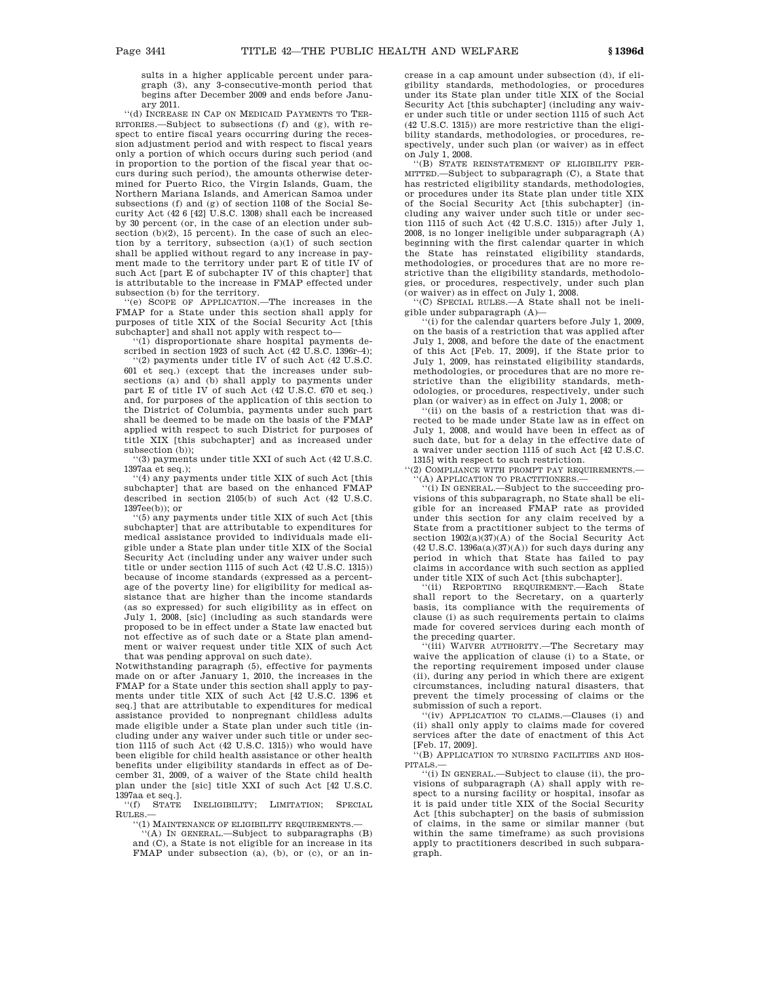sults in a higher applicable percent under paragraph (3), any 3-consecutive-month period that begins after December 2009 and ends before January 2011.

''(d) INCREASE IN CAP ON MEDICAID PAYMENTS TO TER-RITORIES.—Subject to subsections (f) and (g), with respect to entire fiscal years occurring during the recession adjustment period and with respect to fiscal years only a portion of which occurs during such period (and in proportion to the portion of the fiscal year that occurs during such period), the amounts otherwise determined for Puerto Rico, the Virgin Islands, Guam, the Northern Mariana Islands, and American Samoa under subsections (f) and (g) of section 1108 of the Social Security Act (42 6 [42] U.S.C. 1308) shall each be increased by 30 percent (or, in the case of an election under subsection  $(b)(2)$ , 15 percent). In the case of such an election by a territory, subsection (a)(1) of such section shall be applied without regard to any increase in payment made to the territory under part E of title IV of such Act [part E of subchapter IV of this chapter] that is attributable to the increase in FMAP effected under subsection (b) for the territory.

''(e) SCOPE OF APPLICATION.—The increases in the FMAP for a State under this section shall apply for purposes of title XIX of the Social Security Act [this subchapter] and shall not apply with respect to—

''(1) disproportionate share hospital payments described in section 1923 of such Act (42 U.S.C. 1396r-4);

'(2) payments under title IV of such Act  $(42 \text{ U.S. C.})$ 601 et seq.) (except that the increases under subsections (a) and (b) shall apply to payments under part E of title IV of such Act (42 U.S.C. 670 et seq.) and, for purposes of the application of this section to the District of Columbia, payments under such part shall be deemed to be made on the basis of the FMAP applied with respect to such District for purposes of title XIX [this subchapter] and as increased under subsection (b));

''(3) payments under title XXI of such Act (42 U.S.C. 1397aa et seq.);

'(4) any payments under title XIX of such Act [this subchapter] that are based on the enhanced FMAP described in section 2105(b) of such Act (42 U.S.C. 1397ee(b)); or

''(5) any payments under title XIX of such Act [this subchapter] that are attributable to expenditures for medical assistance provided to individuals made eligible under a State plan under title XIX of the Social Security Act (including under any waiver under such title or under section 1115 of such Act (42 U.S.C. 1315)) because of income standards (expressed as a percentage of the poverty line) for eligibility for medical assistance that are higher than the income standards (as so expressed) for such eligibility as in effect on July 1, 2008, [sic] (including as such standards were proposed to be in effect under a State law enacted but not effective as of such date or a State plan amendment or waiver request under title XIX of such Act that was pending approval on such date).

Notwithstanding paragraph (5), effective for payments made on or after January 1, 2010, the increases in the FMAP for a State under this section shall apply to payments under title XIX of such Act [42 U.S.C. 1396 et seq.] that are attributable to expenditures for medical assistance provided to nonpregnant childless adults made eligible under a State plan under such title (including under any waiver under such title or under section 1115 of such Act (42 U.S.C. 1315)) who would have been eligible for child health assistance or other health benefits under eligibility standards in effect as of December 31, 2009, of a waiver of the State child health plan under the [sic] title XXI of such Act [42 U.S.C. 1397aa et seq.].<br>"(f) STATE

INELIGIBILITY; LIMITATION; SPECIAL RULES.—

''(1) MAINTENANCE OF ELIGIBILITY REQUIREMENTS.—

''(A) IN GENERAL.—Subject to subparagraphs (B) and (C), a State is not eligible for an increase in its FMAP under subsection (a), (b), or (c), or an increase in a cap amount under subsection (d), if eligibility standards, methodologies, or procedures under its State plan under title XIX of the Social Security Act [this subchapter] (including any waiver under such title or under section 1115 of such Act (42 U.S.C. 1315)) are more restrictive than the eligibility standards, methodologies, or procedures, respectively, under such plan (or waiver) as in effect on July 1, 2008.

''(B) STATE REINSTATEMENT OF ELIGIBILITY PER-MITTED.—Subject to subparagraph (C), a State that has restricted eligibility standards, methodologies, or procedures under its State plan under title XIX of the Social Security Act [this subchapter] (including any waiver under such title or under section 1115 of such Act (42 U.S.C. 1315)) after July 1, 2008, is no longer ineligible under subparagraph (A) beginning with the first calendar quarter in which the State has reinstated eligibility standards, methodologies, or procedures that are no more restrictive than the eligibility standards, methodologies, or procedures, respectively, under such plan (or waiver) as in effect on July 1, 2008.

''(C) SPECIAL RULES.—A State shall not be ineligible under subparagraph (A)—

(i) for the calendar quarters before July 1, 2009, on the basis of a restriction that was applied after July 1, 2008, and before the date of the enactment of this Act [Feb. 17, 2009], if the State prior to July 1, 2009, has reinstated eligibility standards, methodologies, or procedures that are no more restrictive than the eligibility standards, methodologies, or procedures, respectively, under such plan (or waiver) as in effect on July 1, 2008; or

''(ii) on the basis of a restriction that was directed to be made under State law as in effect on July 1, 2008, and would have been in effect as of such date, but for a delay in the effective date of a waiver under section 1115 of such Act [42 U.S.C. 1315] with respect to such restriction.

''(2) COMPLIANCE WITH PROMPT PAY REQUIREMENTS.— '(A) APPLICATION TO PRACTITIONERS.

''(i) IN GENERAL.—Subject to the succeeding provisions of this subparagraph, no State shall be eligible for an increased FMAP rate as provided under this section for any claim received by a State from a practitioner subject to the terms of section  $1902(a)(37)(A)$  of the Social Security Act  $(42 \text{ U.S.C. } 1396a(a)(37)(A))$  for such days during any period in which that State has failed to pay claims in accordance with such section as applied under title XIX of such Act [this subchapter].

''(ii) REPORTING REQUIREMENT.—Each State shall report to the Secretary, on a quarterly basis, its compliance with the requirements of clause (i) as such requirements pertain to claims made for covered services during each month of the preceding quarter.

''(iii) WAIVER AUTHORITY.—The Secretary may waive the application of clause (i) to a State, or the reporting requirement imposed under clause (ii), during any period in which there are exigent circumstances, including natural disasters, that prevent the timely processing of claims or the submission of such a report.

''(iv) APPLICATION TO CLAIMS.—Clauses (i) and (ii) shall only apply to claims made for covered services after the date of enactment of this Act [Feb. 17, 2009].

''(B) APPLICATION TO NURSING FACILITIES AND HOS-PITALS.—

''(i) IN GENERAL.—Subject to clause (ii), the provisions of subparagraph (A) shall apply with respect to a nursing facility or hospital, insofar as it is paid under title XIX of the Social Security Act [this subchapter] on the basis of submission of claims, in the same or similar manner (but within the same timeframe) as such provisions apply to practitioners described in such subparagraph.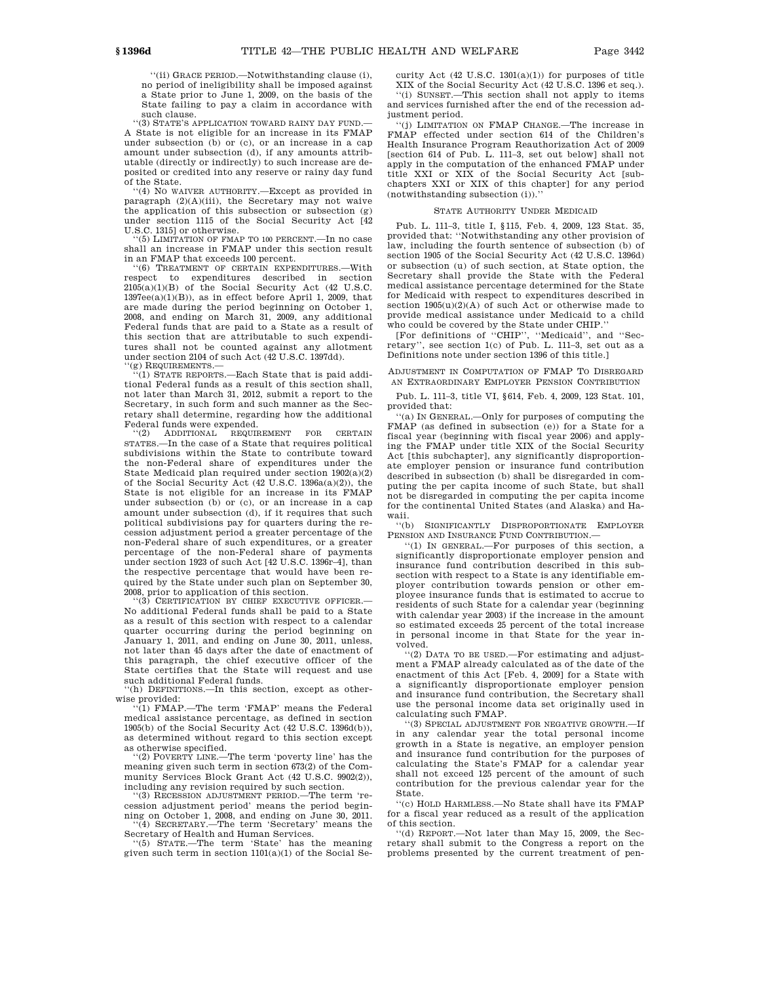''(ii) GRACE PERIOD.—Notwithstanding clause (i), no period of ineligibility shall be imposed against a State prior to June 1, 2009, on the basis of the State failing to pay a claim in accordance with such clause.

''(3) STATE'S APPLICATION TOWARD RAINY DAY FUND.— A State is not eligible for an increase in its FMAP under subsection (b) or (c), or an increase in a cap amount under subsection (d), if any amounts attributable (directly or indirectly) to such increase are deposited or credited into any reserve or rainy day fund of the State.

''(4) NO WAIVER AUTHORITY.—Except as provided in paragraph  $(2)(A)(iii)$ , the Secretary may not waive the application of this subsection or subsection (g) under section 1115 of the Social Security Act [42 U.S.C. 1315] or otherwise.

''(5) LIMITATION OF FMAP TO 100 PERCENT.—In no case shall an increase in FMAP under this section result in an FMAP that exceeds 100 percent.

''(6) TREATMENT OF CERTAIN EXPENDITURES.—With respect to expenditures described in section 2105(a)(1)(B) of the Social Security Act (42 U.S.C.  $1397ee(a)(1)(B)$ , as in effect before April 1, 2009, that are made during the period beginning on October 1, 2008, and ending on March 31, 2009, any additional Federal funds that are paid to a State as a result of this section that are attributable to such expenditures shall not be counted against any allotment under section 2104 of such Act (42 U.S.C. 1397dd). ''(g) REQUIREMENTS.—

 $(1)$  STATE REPORTS.—Each State that is paid additional Federal funds as a result of this section shall, not later than March 31, 2012, submit a report to the Secretary, in such form and such manner as the Secretary shall determine, regarding how the additional Federal funds were expended.

''(2) ADDITIONAL REQUIREMENT FOR CERTAIN STATES.—In the case of a State that requires political subdivisions within the State to contribute toward the non-Federal share of expenditures under the State Medicaid plan required under section 1902(a)(2) of the Social Security Act (42 U.S.C. 1396a(a)(2)), the State is not eligible for an increase in its FMAP under subsection (b) or (c), or an increase in a cap amount under subsection (d), if it requires that such political subdivisions pay for quarters during the recession adjustment period a greater percentage of the non-Federal share of such expenditures, or a greater percentage of the non-Federal share of payments under section 1923 of such Act [42 U.S.C. 1396r–4], than the respective percentage that would have been required by the State under such plan on September 30, 2008, prior to application of this section.

''(3) CERTIFICATION BY CHIEF EXECUTIVE OFFICER.— No additional Federal funds shall be paid to a State as a result of this section with respect to a calendar quarter occurring during the period beginning on January 1, 2011, and ending on June 30, 2011, unless, not later than 45 days after the date of enactment of this paragraph, the chief executive officer of the State certifies that the State will request and use such additional Federal funds.

''(h) DEFINITIONS.—In this section, except as otherwise provided:

 $(1)$  FMAP.—The term 'FMAP' means the Federal medical assistance percentage, as defined in section 1905(b) of the Social Security Act (42 U.S.C. 1396d(b)), as determined without regard to this section except as otherwise specified.

''(2) POVERTY LINE.—The term 'poverty line' has the meaning given such term in section 673(2) of the Community Services Block Grant Act (42 U.S.C. 9902(2)), including any revision required by such section.

''(3) RECESSION ADJUSTMENT PERIOD.—The term 'recession adjustment period' means the period beginning on October 1, 2008, and ending on June 30, 2011. ''(4) SECRETARY.—The term 'Secretary' means the

Secretary of Health and Human Services. ''(5) STATE.—The term 'State' has the meaning given such term in section 1101(a)(1) of the Social Security Act (42 U.S.C. 1301(a)(1)) for purposes of title XIX of the Social Security Act (42 U.S.C. 1396 et seq.).

''(i) SUNSET.—This section shall not apply to items and services furnished after the end of the recession adjustment period.

''(j) LIMITATION ON FMAP CHANGE.—The increase in FMAP effected under section 614 of the Children's Health Insurance Program Reauthorization Act of 2009 [section 614 of Pub. L. 111–3, set out below] shall not apply in the computation of the enhanced FMAP under title XXI or XIX of the Social Security Act [subchapters XXI or XIX of this chapter] for any period (notwithstanding subsection (i)).''

### STATE AUTHORITY UNDER MEDICAID

Pub. L. 111–3, title I, §115, Feb. 4, 2009, 123 Stat. 35, provided that: ''Notwithstanding any other provision of law, including the fourth sentence of subsection (b) of section 1905 of the Social Security Act (42 U.S.C. 1396d) or subsection (u) of such section, at State option, the Secretary shall provide the State with the Federal medical assistance percentage determined for the State for Medicaid with respect to expenditures described in section  $1905(u)(2)(A)$  of such Act or otherwise made to provide medical assistance under Medicaid to a child who could be covered by the State under CHIP.''

[For definitions of ''CHIP'', ''Medicaid'', and ''Secretary'', see section 1(c) of Pub. L. 111–3, set out as a Definitions note under section 1396 of this title.]

ADJUSTMENT IN COMPUTATION OF FMAP TO DISREGARD AN EXTRAORDINARY EMPLOYER PENSION CONTRIBUTION

Pub. L. 111–3, title VI, §614, Feb. 4, 2009, 123 Stat. 101, provided that:

''(a) IN GENERAL.—Only for purposes of computing the FMAP (as defined in subsection (e)) for a State for a fiscal year (beginning with fiscal year 2006) and applying the FMAP under title XIX of the Social Security Act [this subchapter], any significantly disproportionate employer pension or insurance fund contribution described in subsection (b) shall be disregarded in computing the per capita income of such State, but shall not be disregarded in computing the per capita income for the continental United States (and Alaska) and Hawaii.

''(b) SIGNIFICANTLY DISPROPORTIONATE EMPLOYER PENSION AND INSURANCE FUND CONTRIBUTION.

''(1) IN GENERAL.—For purposes of this section, a significantly disproportionate employer pension and insurance fund contribution described in this subsection with respect to a State is any identifiable employer contribution towards pension or other employee insurance funds that is estimated to accrue to residents of such State for a calendar year (beginning with calendar year 2003) if the increase in the amount so estimated exceeds 25 percent of the total increase in personal income in that State for the year involved.

''(2) DATA TO BE USED.—For estimating and adjustment a FMAP already calculated as of the date of the enactment of this Act [Feb. 4, 2009] for a State with a significantly disproportionate employer pension and insurance fund contribution, the Secretary shall use the personal income data set originally used in calculating such FMAP.

''(3) SPECIAL ADJUSTMENT FOR NEGATIVE GROWTH.—If in any calendar year the total personal income growth in a State is negative, an employer pension and insurance fund contribution for the purposes of calculating the State's FMAP for a calendar year shall not exceed 125 percent of the amount of such contribution for the previous calendar year for the State.

''(c) HOLD HARMLESS.—No State shall have its FMAP for a fiscal year reduced as a result of the application of this section.

''(d) REPORT.—Not later than May 15, 2009, the Secretary shall submit to the Congress a report on the problems presented by the current treatment of pen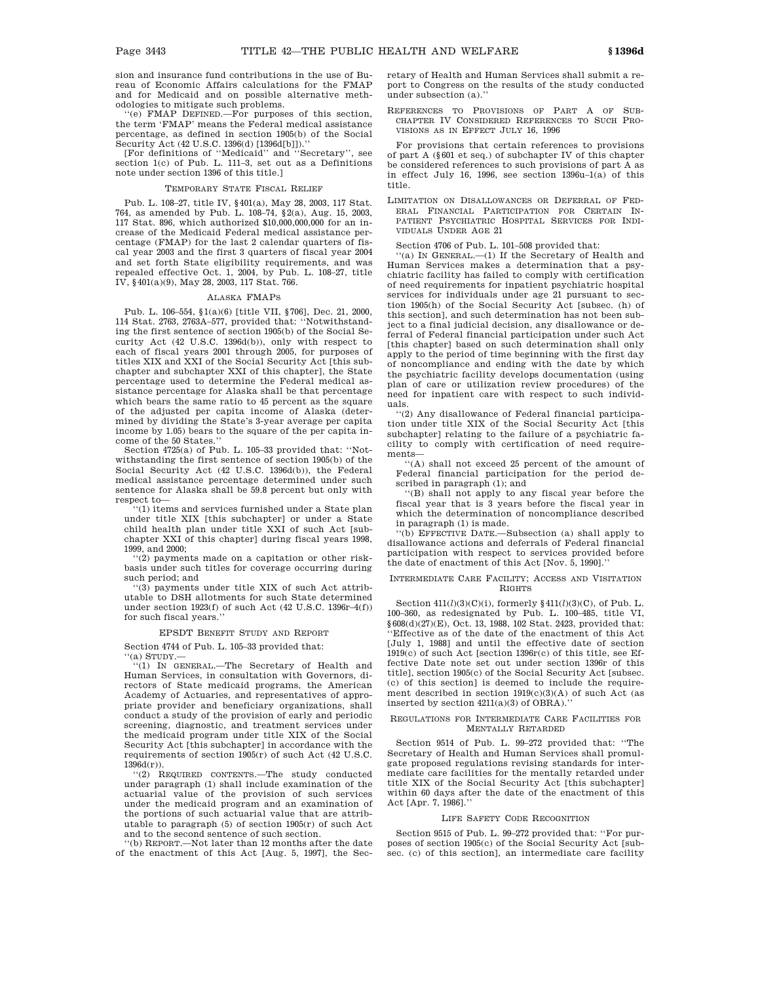sion and insurance fund contributions in the use of Bureau of Economic Affairs calculations for the FMAP and for Medicaid and on possible alternative methodologies to mitigate such problems.

''(e) FMAP DEFINED.—For purposes of this section, the term 'FMAP' means the Federal medical assistance percentage, as defined in section 1905(b) of the Social Security Act (42 U.S.C. 1396(d) [1396d[b]]).''

[For definitions of ''Medicaid'' and ''Secretary'', see section 1(c) of Pub. L. 111–3, set out as a Definitions note under section 1396 of this title.]

### TEMPORARY STATE FISCAL RELIEF

Pub. L. 108–27, title IV, §401(a), May 28, 2003, 117 Stat. 764, as amended by Pub. L. 108–74, §2(a), Aug. 15, 2003, 117 Stat. 896, which authorized \$10,000,000,000 for an increase of the Medicaid Federal medical assistance percentage (FMAP) for the last 2 calendar quarters of fiscal year 2003 and the first 3 quarters of fiscal year 2004 and set forth State eligibility requirements, and was repealed effective Oct. 1, 2004, by Pub. L. 108–27, title IV, §401(a)(9), May 28, 2003, 117 Stat. 766.

#### ALASKA FMAPS

Pub. L. 106–554, §1(a)(6) [title VII, §706], Dec. 21, 2000, 114 Stat. 2763, 2763A–577, provided that: ''Notwithstanding the first sentence of section 1905(b) of the Social Security Act (42 U.S.C. 1396d(b)), only with respect to each of fiscal years 2001 through 2005, for purposes of titles XIX and XXI of the Social Security Act [this subchapter and subchapter XXI of this chapter], the State percentage used to determine the Federal medical assistance percentage for Alaska shall be that percentage which bears the same ratio to 45 percent as the square of the adjusted per capita income of Alaska (determined by dividing the State's 3-year average per capita income by 1.05) bears to the square of the per capita income of the 50 States.''

Section 4725(a) of Pub. L. 105–33 provided that: ''Notwithstanding the first sentence of section 1905(b) of the Social Security Act (42 U.S.C. 1396d(b)), the Federal medical assistance percentage determined under such sentence for Alaska shall be 59.8 percent but only with respect to—

''(1) items and services furnished under a State plan under title XIX [this subchapter] or under a State child health plan under title XXI of such Act [subchapter XXI of this chapter] during fiscal years 1998, 1999, and 2000;

''(2) payments made on a capitation or other riskbasis under such titles for coverage occurring during such period; and

''(3) payments under title XIX of such Act attributable to DSH allotments for such State determined under section 1923(f) of such Act  $(42$  U.S.C. 1396r-4(f)) for such fiscal years.

### EPSDT BENEFIT STUDY AND REPORT

Section 4744 of Pub. L. 105–33 provided that:

''(a) STUDY.—

''(1) IN GENERAL.—The Secretary of Health and Human Services, in consultation with Governors, directors of State medicaid programs, the American Academy of Actuaries, and representatives of appropriate provider and beneficiary organizations, shall conduct a study of the provision of early and periodic screening, diagnostic, and treatment services under the medicaid program under title XIX of the Social Security Act [this subchapter] in accordance with the requirements of section 1905(r) of such Act (42 U.S.C.  $1396d(r)$ ).

''(2) REQUIRED CONTENTS.—The study conducted under paragraph (1) shall include examination of the actuarial value of the provision of such services under the medicaid program and an examination of the portions of such actuarial value that are attributable to paragraph (5) of section 1905(r) of such Act and to the second sentence of such section.

''(b) REPORT.—Not later than 12 months after the date of the enactment of this Act [Aug. 5, 1997], the Secretary of Health and Human Services shall submit a report to Congress on the results of the study conducted under subsection (a).''

REFERENCES TO PROVISIONS OF PART A OF SUB-CHAPTER IV CONSIDERED REFERENCES TO SUCH PRO-VISIONS AS IN EFFECT JULY 16, 1996

For provisions that certain references to provisions of part A (§601 et seq.) of subchapter IV of this chapter be considered references to such provisions of part A as in effect July 16, 1996, see section 1396u–1(a) of this title.

LIMITATION ON DISALLOWANCES OR DEFERRAL OF FED-ERAL FINANCIAL PARTICIPATION FOR CERTAIN IN-PATIENT PSYCHIATRIC HOSPITAL SERVICES FOR INDI-VIDUALS UNDER AGE 21

Section 4706 of Pub. L. 101–508 provided that:

''(a) IN GENERAL.—(1) If the Secretary of Health and Human Services makes a determination that a psychiatric facility has failed to comply with certification of need requirements for inpatient psychiatric hospital services for individuals under age 21 pursuant to section 1905(h) of the Social Security Act [subsec. (h) of this section], and such determination has not been subject to a final judicial decision, any disallowance or deferral of Federal financial participation under such Act [this chapter] based on such determination shall only apply to the period of time beginning with the first day of noncompliance and ending with the date by which the psychiatric facility develops documentation (using plan of care or utilization review procedures) of the need for inpatient care with respect to such individuals.

''(2) Any disallowance of Federal financial participation under title XIX of the Social Security Act [this subchapter] relating to the failure of a psychiatric facility to comply with certification of need requirements—

''(A) shall not exceed 25 percent of the amount of Federal financial participation for the period described in paragraph (1); and

''(B) shall not apply to any fiscal year before the fiscal year that is 3 years before the fiscal year in which the determination of noncompliance described in paragraph (1) is made.

''(b) EFFECTIVE DATE.—Subsection (a) shall apply to disallowance actions and deferrals of Federal financial participation with respect to services provided before the date of enactment of this Act [Nov. 5, 1990].''

#### INTERMEDIATE CARE FACILITY; ACCESS AND VISITATION RIGHTS

Section 411(*l*)(3)(C)(i), formerly §411(*l*)(3)(C), of Pub. L. 100–360, as redesignated by Pub. L. 100–485, title VI, §608(d)(27)(E), Oct. 13, 1988, 102 Stat. 2423, provided that: ''Effective as of the date of the enactment of this Act [July 1, 1988] and until the effective date of section 1919(c) of such Act [section 1396r(c) of this title, see Effective Date note set out under section 1396r of this title], section 1905(c) of the Social Security Act [subsec. (c) of this section] is deemed to include the requirement described in section 1919(c)(3)(A) of such Act (as inserted by section 4211(a)(3) of OBRA).''

### REGULATIONS FOR INTERMEDIATE CARE FACILITIES FOR MENTALLY RETARDED

Section 9514 of Pub. L. 99–272 provided that: ''The Secretary of Health and Human Services shall promulgate proposed regulations revising standards for intermediate care facilities for the mentally retarded under title XIX of the Social Security Act [this subchapter] within 60 days after the date of the enactment of this Act [Apr. 7, 1986].''

### LIFE SAFETY CODE RECOGNITION

Section 9515 of Pub. L. 99–272 provided that: ''For purposes of section 1905(c) of the Social Security Act [subsec. (c) of this section], an intermediate care facility